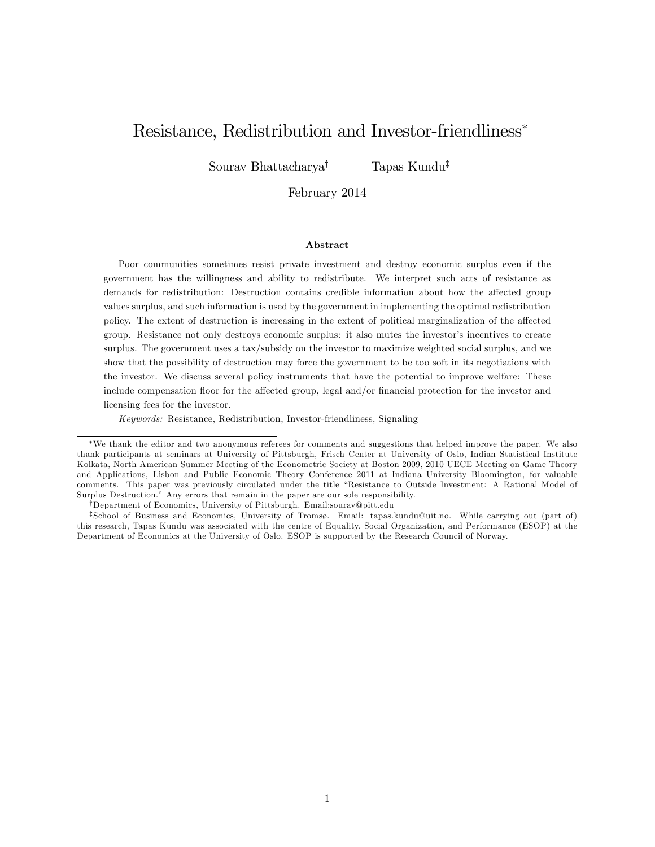# Resistance, Redistribution and Investor-friendliness

Sourav Bhattacharya<sup>†</sup> Tapas Kundu<sup>‡</sup>

February 2014

#### Abstract

Poor communities sometimes resist private investment and destroy economic surplus even if the government has the willingness and ability to redistribute. We interpret such acts of resistance as demands for redistribution: Destruction contains credible information about how the affected group values surplus, and such information is used by the government in implementing the optimal redistribution policy. The extent of destruction is increasing in the extent of political marginalization of the affected group. Resistance not only destroys economic surplus: it also mutes the investor's incentives to create surplus. The government uses a tax/subsidy on the investor to maximize weighted social surplus, and we show that the possibility of destruction may force the government to be too soft in its negotiations with the investor. We discuss several policy instruments that have the potential to improve welfare: These include compensation floor for the affected group, legal and/or financial protection for the investor and licensing fees for the investor.

Keywords: Resistance, Redistribution, Investor-friendliness, Signaling

We thank the editor and two anonymous referees for comments and suggestions that helped improve the paper. We also thank participants at seminars at University of Pittsburgh, Frisch Center at University of Oslo, Indian Statistical Institute Kolkata, North American Summer Meeting of the Econometric Society at Boston 2009, 2010 UECE Meeting on Game Theory and Applications, Lisbon and Public Economic Theory Conference 2011 at Indiana University Bloomington, for valuable comments. This paper was previously circulated under the title "Resistance to Outside Investment: A Rational Model of Surplus Destruction." Any errors that remain in the paper are our sole responsibility.

<sup>&</sup>lt;sup>†</sup>Department of Economics, University of Pittsburgh. Email:sourav@pitt.edu

<sup>&</sup>lt;sup>‡</sup>School of Business and Economics, University of Tromsø. Email: tapas.kundu@uit.no. While carrying out (part of) this research, Tapas Kundu was associated with the centre of Equality, Social Organization, and Performance (ESOP) at the Department of Economics at the University of Oslo. ESOP is supported by the Research Council of Norway.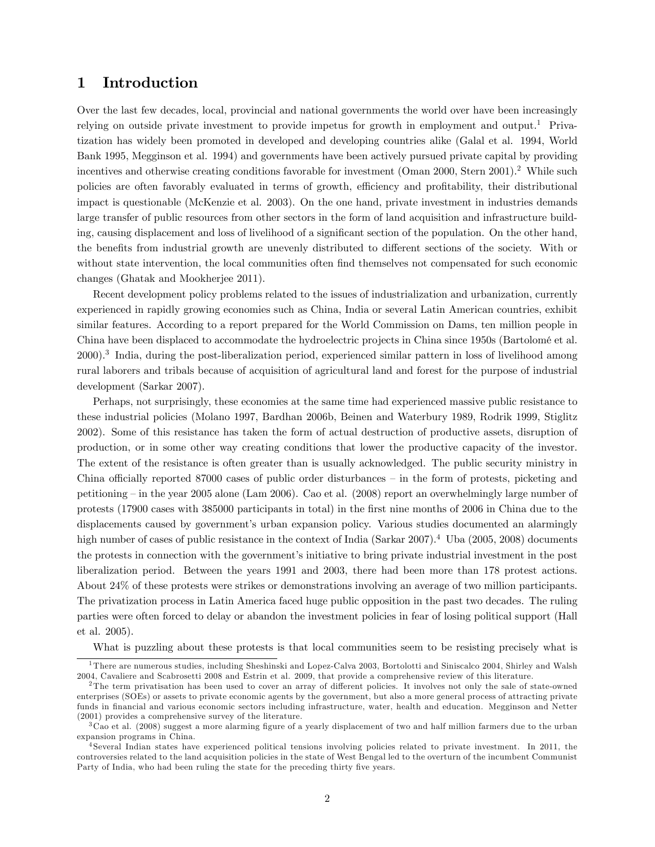# 1 Introduction

Over the last few decades, local, provincial and national governments the world over have been increasingly relying on outside private investment to provide impetus for growth in employment and output.<sup>1</sup> Privatization has widely been promoted in developed and developing countries alike (Galal et al. 1994, World Bank 1995, Megginson et al. 1994) and governments have been actively pursued private capital by providing incentives and otherwise creating conditions favorable for investment (Oman 2000, Stern 2001).<sup>2</sup> While such policies are often favorably evaluated in terms of growth, efficiency and profitability, their distributional impact is questionable (McKenzie et al. 2003). On the one hand, private investment in industries demands large transfer of public resources from other sectors in the form of land acquisition and infrastructure building, causing displacement and loss of livelihood of a significant section of the population. On the other hand, the benefits from industrial growth are unevenly distributed to different sections of the society. With or without state intervention, the local communities often find themselves not compensated for such economic changes (Ghatak and Mookherjee 2011).

Recent development policy problems related to the issues of industrialization and urbanization, currently experienced in rapidly growing economies such as China, India or several Latin American countries, exhibit similar features. According to a report prepared for the World Commission on Dams, ten million people in China have been displaced to accommodate the hydroelectric projects in China since 1950s (BartolomÈ et al. 2000).<sup>3</sup> India, during the post-liberalization period, experienced similar pattern in loss of livelihood among rural laborers and tribals because of acquisition of agricultural land and forest for the purpose of industrial development (Sarkar 2007).

Perhaps, not surprisingly, these economies at the same time had experienced massive public resistance to these industrial policies (Molano 1997, Bardhan 2006b, Beinen and Waterbury 1989, Rodrik 1999, Stiglitz 2002). Some of this resistance has taken the form of actual destruction of productive assets, disruption of production, or in some other way creating conditions that lower the productive capacity of the investor. The extent of the resistance is often greater than is usually acknowledged. The public security ministry in China officially reported 87000 cases of public order disturbances  $-$  in the form of protests, picketing and petitioning – in the year 2005 alone (Lam 2006). Cao et al. (2008) report an overwhelmingly large number of protests (17900 cases with 385000 participants in total) in the first nine months of 2006 in China due to the displacements caused by government's urban expansion policy. Various studies documented an alarmingly high number of cases of public resistance in the context of India (Sarkar 2007).<sup>4</sup> Uba (2005, 2008) documents the protests in connection with the government's initiative to bring private industrial investment in the post liberalization period. Between the years 1991 and 2003, there had been more than 178 protest actions. About 24% of these protests were strikes or demonstrations involving an average of two million participants. The privatization process in Latin America faced huge public opposition in the past two decades. The ruling parties were often forced to delay or abandon the investment policies in fear of losing political support (Hall et al. 2005).

What is puzzling about these protests is that local communities seem to be resisting precisely what is

<sup>&</sup>lt;sup>1</sup>There are numerous studies, including Sheshinski and Lopez-Calva 2003, Bortolotti and Siniscalco 2004, Shirley and Walsh 2004, Cavaliere and Scabrosetti 2008 and Estrin et al. 2009, that provide a comprehensive review of this literature.

 $2$ The term privatisation has been used to cover an array of different policies. It involves not only the sale of state-owned enterprises (SOEs) or assets to private economic agents by the government, but also a more general process of attracting private funds in financial and various economic sectors including infrastructure, water, health and education. Megginson and Netter (2001) provides a comprehensive survey of the literature.

 $3$  Cao et al. (2008) suggest a more alarming figure of a yearly displacement of two and half million farmers due to the urban expansion programs in China.

<sup>4</sup> Several Indian states have experienced political tensions involving policies related to private investment. In 2011, the controversies related to the land acquisition policies in the state of West Bengal led to the overturn of the incumbent Communist Party of India, who had been ruling the state for the preceding thirty five years.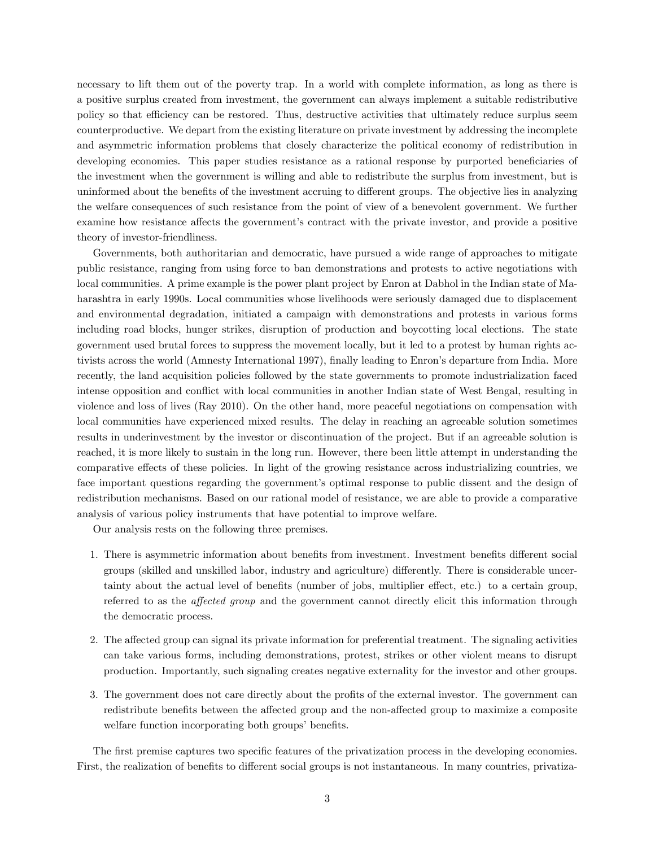necessary to lift them out of the poverty trap. In a world with complete information, as long as there is a positive surplus created from investment, the government can always implement a suitable redistributive policy so that efficiency can be restored. Thus, destructive activities that ultimately reduce surplus seem counterproductive. We depart from the existing literature on private investment by addressing the incomplete and asymmetric information problems that closely characterize the political economy of redistribution in developing economies. This paper studies resistance as a rational response by purported beneficiaries of the investment when the government is willing and able to redistribute the surplus from investment, but is uninformed about the benefits of the investment accruing to different groups. The objective lies in analyzing the welfare consequences of such resistance from the point of view of a benevolent government. We further examine how resistance affects the government's contract with the private investor, and provide a positive theory of investor-friendliness.

Governments, both authoritarian and democratic, have pursued a wide range of approaches to mitigate public resistance, ranging from using force to ban demonstrations and protests to active negotiations with local communities. A prime example is the power plant project by Enron at Dabhol in the Indian state of Maharashtra in early 1990s. Local communities whose livelihoods were seriously damaged due to displacement and environmental degradation, initiated a campaign with demonstrations and protests in various forms including road blocks, hunger strikes, disruption of production and boycotting local elections. The state government used brutal forces to suppress the movement locally, but it led to a protest by human rights activists across the world (Amnesty International 1997), finally leading to Enron's departure from India. More recently, the land acquisition policies followed by the state governments to promote industrialization faced intense opposition and conflict with local communities in another Indian state of West Bengal, resulting in violence and loss of lives (Ray 2010). On the other hand, more peaceful negotiations on compensation with local communities have experienced mixed results. The delay in reaching an agreeable solution sometimes results in underinvestment by the investor or discontinuation of the project. But if an agreeable solution is reached, it is more likely to sustain in the long run. However, there been little attempt in understanding the comparative effects of these policies. In light of the growing resistance across industrializing countries, we face important questions regarding the government's optimal response to public dissent and the design of redistribution mechanisms. Based on our rational model of resistance, we are able to provide a comparative analysis of various policy instruments that have potential to improve welfare.

Our analysis rests on the following three premises.

- 1. There is asymmetric information about benefits from investment. Investment benefits different social groups (skilled and unskilled labor, industry and agriculture) differently. There is considerable uncertainty about the actual level of benefits (number of jobs, multiplier effect, etc.) to a certain group, referred to as the *affected group* and the government cannot directly elicit this information through the democratic process.
- 2. The affected group can signal its private information for preferential treatment. The signaling activities can take various forms, including demonstrations, protest, strikes or other violent means to disrupt production. Importantly, such signaling creates negative externality for the investor and other groups.
- 3. The government does not care directly about the profits of the external investor. The government can redistribute benefits between the affected group and the non-affected group to maximize a composite welfare function incorporating both groups' benefits.

The first premise captures two specific features of the privatization process in the developing economies. First, the realization of benefits to different social groups is not instantaneous. In many countries, privatiza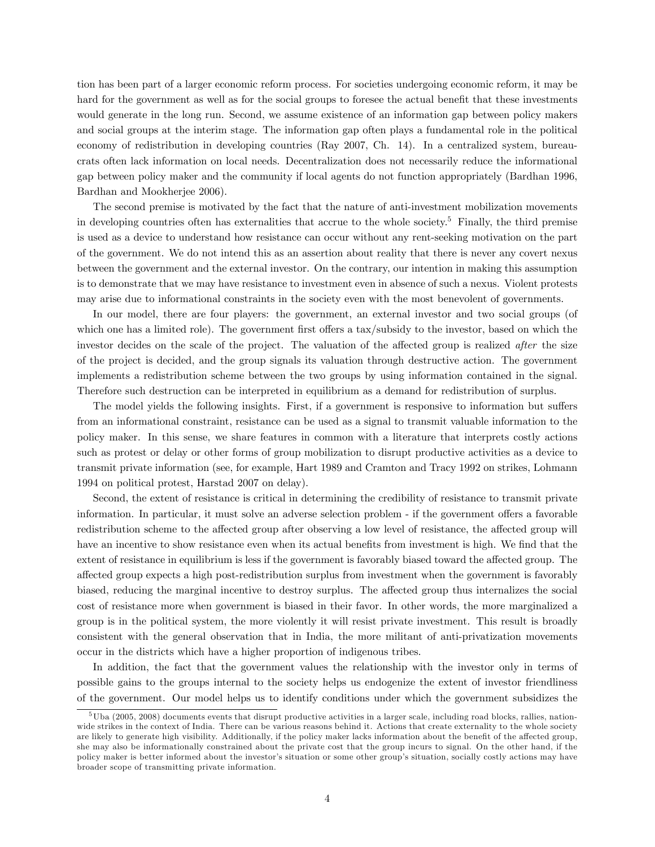tion has been part of a larger economic reform process. For societies undergoing economic reform, it may be hard for the government as well as for the social groups to foresee the actual benefit that these investments would generate in the long run. Second, we assume existence of an information gap between policy makers and social groups at the interim stage. The information gap often plays a fundamental role in the political economy of redistribution in developing countries (Ray 2007, Ch. 14). In a centralized system, bureaucrats often lack information on local needs. Decentralization does not necessarily reduce the informational gap between policy maker and the community if local agents do not function appropriately (Bardhan 1996, Bardhan and Mookherjee 2006).

The second premise is motivated by the fact that the nature of anti-investment mobilization movements in developing countries often has externalities that accrue to the whole society.<sup>5</sup> Finally, the third premise is used as a device to understand how resistance can occur without any rent-seeking motivation on the part of the government. We do not intend this as an assertion about reality that there is never any covert nexus between the government and the external investor. On the contrary, our intention in making this assumption is to demonstrate that we may have resistance to investment even in absence of such a nexus. Violent protests may arise due to informational constraints in the society even with the most benevolent of governments.

In our model, there are four players: the government, an external investor and two social groups (of which one has a limited role). The government first offers a tax/subsidy to the investor, based on which the investor decides on the scale of the project. The valuation of the affected group is realized *after* the size of the project is decided, and the group signals its valuation through destructive action. The government implements a redistribution scheme between the two groups by using information contained in the signal. Therefore such destruction can be interpreted in equilibrium as a demand for redistribution of surplus.

The model yields the following insights. First, if a government is responsive to information but suffers from an informational constraint, resistance can be used as a signal to transmit valuable information to the policy maker. In this sense, we share features in common with a literature that interprets costly actions such as protest or delay or other forms of group mobilization to disrupt productive activities as a device to transmit private information (see, for example, Hart 1989 and Cramton and Tracy 1992 on strikes, Lohmann 1994 on political protest, Harstad 2007 on delay).

Second, the extent of resistance is critical in determining the credibility of resistance to transmit private information. In particular, it must solve an adverse selection problem - if the government offers a favorable redistribution scheme to the affected group after observing a low level of resistance, the affected group will have an incentive to show resistance even when its actual benefits from investment is high. We find that the extent of resistance in equilibrium is less if the government is favorably biased toward the affected group. The affected group expects a high post-redistribution surplus from investment when the government is favorably biased, reducing the marginal incentive to destroy surplus. The affected group thus internalizes the social cost of resistance more when government is biased in their favor. In other words, the more marginalized a group is in the political system, the more violently it will resist private investment. This result is broadly consistent with the general observation that in India, the more militant of anti-privatization movements occur in the districts which have a higher proportion of indigenous tribes.

In addition, the fact that the government values the relationship with the investor only in terms of possible gains to the groups internal to the society helps us endogenize the extent of investor friendliness of the government. Our model helps us to identify conditions under which the government subsidizes the

 $5$ Uba (2005, 2008) documents events that disrupt productive activities in a larger scale, including road blocks, rallies, nationwide strikes in the context of India. There can be various reasons behind it. Actions that create externality to the whole society are likely to generate high visibility. Additionally, if the policy maker lacks information about the benefit of the affected group, she may also be informationally constrained about the private cost that the group incurs to signal. On the other hand, if the policy maker is better informed about the investor's situation or some other group's situation, socially costly actions may have broader scope of transmitting private information.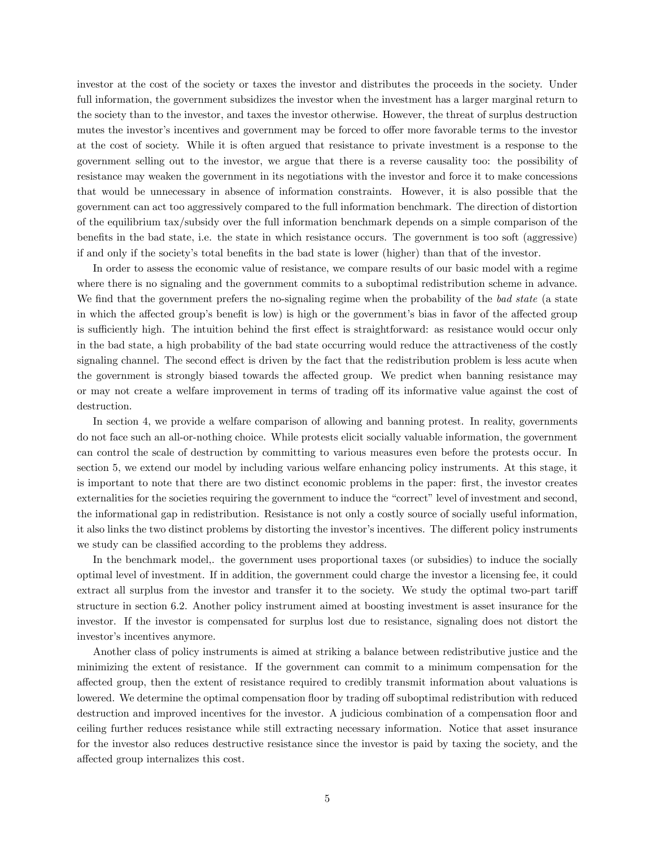investor at the cost of the society or taxes the investor and distributes the proceeds in the society. Under full information, the government subsidizes the investor when the investment has a larger marginal return to the society than to the investor, and taxes the investor otherwise. However, the threat of surplus destruction mutes the investor's incentives and government may be forced to offer more favorable terms to the investor at the cost of society. While it is often argued that resistance to private investment is a response to the government selling out to the investor, we argue that there is a reverse causality too: the possibility of resistance may weaken the government in its negotiations with the investor and force it to make concessions that would be unnecessary in absence of information constraints. However, it is also possible that the government can act too aggressively compared to the full information benchmark. The direction of distortion of the equilibrium tax/subsidy over the full information benchmark depends on a simple comparison of the benefits in the bad state, i.e. the state in which resistance occurs. The government is too soft (aggressive) if and only if the society's total benefits in the bad state is lower (higher) than that of the investor.

In order to assess the economic value of resistance, we compare results of our basic model with a regime where there is no signaling and the government commits to a suboptimal redistribution scheme in advance. We find that the government prefers the no-signaling regime when the probability of the bad state (a state in which the affected group's benefit is low) is high or the government's bias in favor of the affected group is sufficiently high. The intuition behind the first effect is straightforward: as resistance would occur only in the bad state, a high probability of the bad state occurring would reduce the attractiveness of the costly signaling channel. The second effect is driven by the fact that the redistribution problem is less acute when the government is strongly biased towards the affected group. We predict when banning resistance may or may not create a welfare improvement in terms of trading off its informative value against the cost of destruction.

In section 4, we provide a welfare comparison of allowing and banning protest. In reality, governments do not face such an all-or-nothing choice. While protests elicit socially valuable information, the government can control the scale of destruction by committing to various measures even before the protests occur. In section 5, we extend our model by including various welfare enhancing policy instruments. At this stage, it is important to note that there are two distinct economic problems in the paper: Örst, the investor creates externalities for the societies requiring the government to induce the "correct" level of investment and second, the informational gap in redistribution. Resistance is not only a costly source of socially useful information, it also links the two distinct problems by distorting the investor's incentives. The different policy instruments we study can be classified according to the problems they address.

In the benchmark model,. the government uses proportional taxes (or subsidies) to induce the socially optimal level of investment. If in addition, the government could charge the investor a licensing fee, it could extract all surplus from the investor and transfer it to the society. We study the optimal two-part tariff structure in section 6.2. Another policy instrument aimed at boosting investment is asset insurance for the investor. If the investor is compensated for surplus lost due to resistance, signaling does not distort the investor's incentives anymore.

Another class of policy instruments is aimed at striking a balance between redistributive justice and the minimizing the extent of resistance. If the government can commit to a minimum compensation for the affected group, then the extent of resistance required to credibly transmit information about valuations is lowered. We determine the optimal compensation floor by trading off suboptimal redistribution with reduced destruction and improved incentives for the investor. A judicious combination of a compensation floor and ceiling further reduces resistance while still extracting necessary information. Notice that asset insurance for the investor also reduces destructive resistance since the investor is paid by taxing the society, and the affected group internalizes this cost.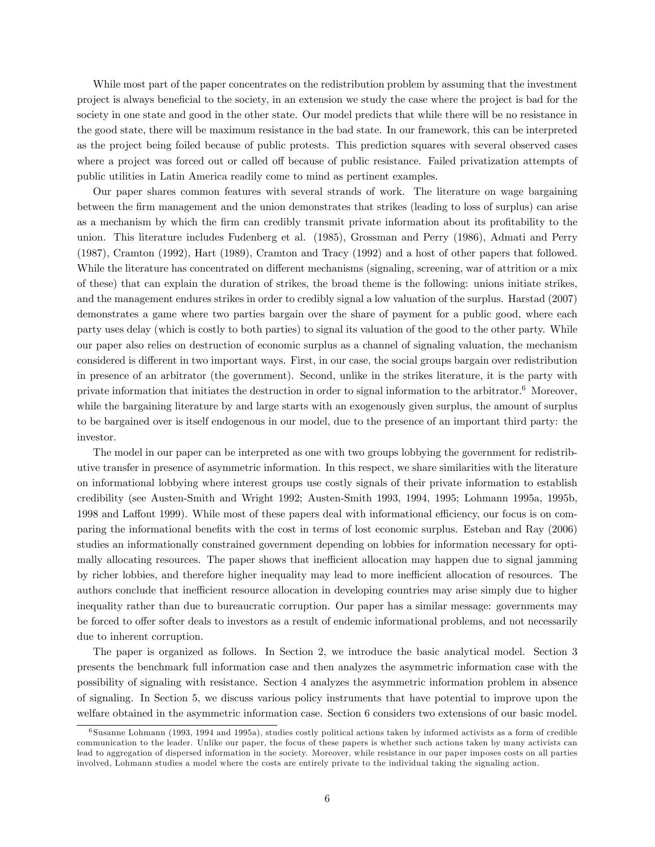While most part of the paper concentrates on the redistribution problem by assuming that the investment project is always beneficial to the society, in an extension we study the case where the project is bad for the society in one state and good in the other state. Our model predicts that while there will be no resistance in the good state, there will be maximum resistance in the bad state. In our framework, this can be interpreted as the project being foiled because of public protests. This prediction squares with several observed cases where a project was forced out or called off because of public resistance. Failed privatization attempts of public utilities in Latin America readily come to mind as pertinent examples.

Our paper shares common features with several strands of work. The literature on wage bargaining between the Örm management and the union demonstrates that strikes (leading to loss of surplus) can arise as a mechanism by which the firm can credibly transmit private information about its profitability to the union. This literature includes Fudenberg et al. (1985), Grossman and Perry (1986), Admati and Perry (1987), Cramton (1992), Hart (1989), Cramton and Tracy (1992) and a host of other papers that followed. While the literature has concentrated on different mechanisms (signaling, screening, war of attrition or a mix of these) that can explain the duration of strikes, the broad theme is the following: unions initiate strikes, and the management endures strikes in order to credibly signal a low valuation of the surplus. Harstad (2007) demonstrates a game where two parties bargain over the share of payment for a public good, where each party uses delay (which is costly to both parties) to signal its valuation of the good to the other party. While our paper also relies on destruction of economic surplus as a channel of signaling valuation, the mechanism considered is different in two important ways. First, in our case, the social groups bargain over redistribution in presence of an arbitrator (the government). Second, unlike in the strikes literature, it is the party with private information that initiates the destruction in order to signal information to the arbitrator.<sup>6</sup> Moreover, while the bargaining literature by and large starts with an exogenously given surplus, the amount of surplus to be bargained over is itself endogenous in our model, due to the presence of an important third party: the investor.

The model in our paper can be interpreted as one with two groups lobbying the government for redistributive transfer in presence of asymmetric information. In this respect, we share similarities with the literature on informational lobbying where interest groups use costly signals of their private information to establish credibility (see Austen-Smith and Wright 1992; Austen-Smith 1993, 1994, 1995; Lohmann 1995a, 1995b, 1998 and Laffont 1999). While most of these papers deal with informational efficiency, our focus is on comparing the informational benefits with the cost in terms of lost economic surplus. Esteban and Ray (2006) studies an informationally constrained government depending on lobbies for information necessary for optimally allocating resources. The paper shows that inefficient allocation may happen due to signal jamming by richer lobbies, and therefore higher inequality may lead to more inefficient allocation of resources. The authors conclude that inefficient resource allocation in developing countries may arise simply due to higher inequality rather than due to bureaucratic corruption. Our paper has a similar message: governments may be forced to offer softer deals to investors as a result of endemic informational problems, and not necessarily due to inherent corruption.

The paper is organized as follows. In Section 2, we introduce the basic analytical model. Section 3 presents the benchmark full information case and then analyzes the asymmetric information case with the possibility of signaling with resistance. Section 4 analyzes the asymmetric information problem in absence of signaling. In Section 5, we discuss various policy instruments that have potential to improve upon the welfare obtained in the asymmetric information case. Section 6 considers two extensions of our basic model.

 $6$ Susanne Lohmann (1993, 1994 and 1995a), studies costly political actions taken by informed activists as a form of credible communication to the leader. Unlike our paper, the focus of these papers is whether such actions taken by many activists can lead to aggregation of dispersed information in the society. Moreover, while resistance in our paper imposes costs on all parties involved, Lohmann studies a model where the costs are entirely private to the individual taking the signaling action.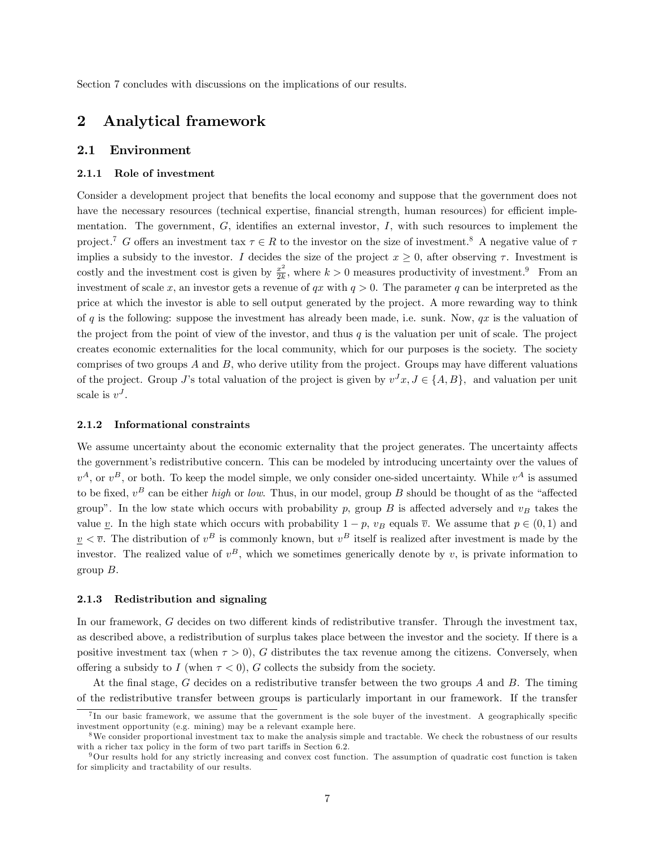Section 7 concludes with discussions on the implications of our results.

# 2 Analytical framework

#### 2.1 Environment

#### 2.1.1 Role of investment

Consider a development project that benefits the local economy and suppose that the government does not have the necessary resources (technical expertise, financial strength, human resources) for efficient implementation. The government,  $G$ , identifies an external investor,  $I$ , with such resources to implement the project.<sup>7</sup> G offers an investment tax  $\tau \in R$  to the investor on the size of investment.<sup>8</sup> A negative value of  $\tau$ implies a subsidy to the investor. I decides the size of the project  $x \geq 0$ , after observing  $\tau$ . Investment is costly and the investment cost is given by  $\frac{x^2}{2k}$  $\frac{x^2}{2k}$ , where  $k > 0$  measures productivity of investment.<sup>9</sup> From an investment of scale x, an investor gets a revenue of  $qx$  with  $q > 0$ . The parameter q can be interpreted as the price at which the investor is able to sell output generated by the project. A more rewarding way to think of q is the following: suppose the investment has already been made, i.e. sunk. Now,  $qx$  is the valuation of the project from the point of view of the investor, and thus  $q$  is the valuation per unit of scale. The project creates economic externalities for the local community, which for our purposes is the society. The society comprises of two groups  $A$  and  $B$ , who derive utility from the project. Groups may have different valuations of the project. Group J's total valuation of the project is given by  $v^J x, J \in \{A, B\}$ , and valuation per unit scale is  $v^J$ .

#### 2.1.2 Informational constraints

We assume uncertainty about the economic externality that the project generates. The uncertainty affects the government's redistributive concern. This can be modeled by introducing uncertainty over the values of  $v^A$ , or  $v^B$ , or both. To keep the model simple, we only consider one-sided uncertainty. While  $v^A$  is assumed to be fixed,  $v^B$  can be either *high* or low. Thus, in our model, group B should be thought of as the "affected group". In the low state which occurs with probability p, group B is affected adversely and  $v_B$  takes the value y. In the high state which occurs with probability  $1 - p$ ,  $v_B$  equals  $\overline{v}$ . We assume that  $p \in (0, 1)$  and  $v \leq v$ . The distribution of  $v^B$  is commonly known, but  $v^B$  itself is realized after investment is made by the investor. The realized value of  $v^B$ , which we sometimes generically denote by v, is private information to group  $B$ .

#### 2.1.3 Redistribution and signaling

In our framework,  $G$  decides on two different kinds of redistributive transfer. Through the investment tax, as described above, a redistribution of surplus takes place between the investor and the society. If there is a positive investment tax (when  $\tau > 0$ ), G distributes the tax revenue among the citizens. Conversely, when offering a subsidy to I (when  $\tau < 0$ ), G collects the subsidy from the society.

At the final stage, G decides on a redistributive transfer between the two groups  $A$  and  $B$ . The timing of the redistributive transfer between groups is particularly important in our framework. If the transfer

 $^{7}$ In our basic framework, we assume that the government is the sole buyer of the investment. A geographically specific investment opportunity (e.g. mining) may be a relevant example here.

 $8$ We consider proportional investment tax to make the analysis simple and tractable. We check the robustness of our results with a richer tax policy in the form of two part tariffs in Section 6.2.

 $9$ Our results hold for any strictly increasing and convex cost function. The assumption of quadratic cost function is taken for simplicity and tractability of our results.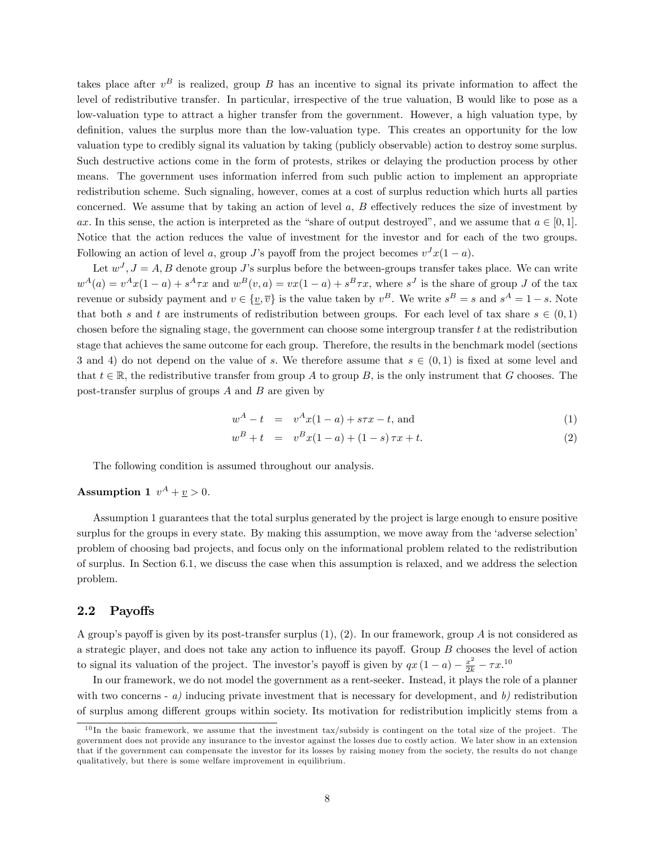takes place after  $v^B$  is realized, group B has an incentive to signal its private information to affect the level of redistributive transfer. In particular, irrespective of the true valuation, B would like to pose as a low-valuation type to attract a higher transfer from the government. However, a high valuation type, by definition, values the surplus more than the low-valuation type. This creates an opportunity for the low valuation type to credibly signal its valuation by taking (publicly observable) action to destroy some surplus. Such destructive actions come in the form of protests, strikes or delaying the production process by other means. The government uses information inferred from such public action to implement an appropriate redistribution scheme. Such signaling, however, comes at a cost of surplus reduction which hurts all parties concerned. We assume that by taking an action of level  $a, B$  effectively reduces the size of investment by ax. In this sense, the action is interpreted as the "share of output destroyed", and we assume that  $a \in [0, 1]$ . Notice that the action reduces the value of investment for the investor and for each of the two groups. Following an action of level a, group J's payoff from the project becomes  $v^J x(1-a)$ .

Let  $w^J$ ,  $J = A$ , B denote group J's surplus before the between-groups transfer takes place. We can write  $w^{A}(a) = v^{A}x(1-a) + s^{A}\tau x$  and  $w^{B}(v,a) = vx(1-a) + s^{B}\tau x$ , where  $s^{J}$  is the share of group J of the tax revenue or subsidy payment and  $v \in \{\underline{v}, \overline{v}\}\$ is the value taken by  $v^B$ . We write  $s^B = s$  and  $s^A = 1 - s$ . Note that both s and t are instruments of redistribution between groups. For each level of tax share  $s \in (0,1)$ chosen before the signaling stage, the government can choose some intergroup transfer  $t$  at the redistribution stage that achieves the same outcome for each group. Therefore, the results in the benchmark model (sections 3 and 4) do not depend on the value of s. We therefore assume that  $s \in (0,1)$  is fixed at some level and that  $t \in \mathbb{R}$ , the redistributive transfer from group A to group B, is the only instrument that G chooses. The post-transfer surplus of groups  $A$  and  $B$  are given by

$$
w^{A} - t = v^{A}x(1 - a) + s\tau x - t, \text{ and}
$$
 (1)

$$
w^{B} + t = v^{B}x(1 - a) + (1 - s)\tau x + t.
$$
 (2)

The following condition is assumed throughout our analysis.

## Assumption 1  $v^A + \underline{v} > 0$ .

Assumption 1 guarantees that the total surplus generated by the project is large enough to ensure positive surplus for the groups in every state. By making this assumption, we move away from the 'adverse selection problem of choosing bad projects, and focus only on the informational problem related to the redistribution of surplus. In Section 6.1, we discuss the case when this assumption is relaxed, and we address the selection problem.

### 2.2 Payoffs

A group's payoff is given by its post-transfer surplus  $(1)$ ,  $(2)$ . In our framework, group A is not considered as a strategic player, and does not take any action to influence its payoff. Group  $B$  chooses the level of action to signal its valuation of the project. The investor's payoff is given by  $qx(1-a) - \frac{x^2}{2k} - \tau x$ .<sup>10</sup>

In our framework, we do not model the government as a rent-seeker. Instead, it plays the role of a planner with two concerns - a) inducing private investment that is necessary for development, and b) redistribution of surplus among different groups within society. Its motivation for redistribution implicitly stems from a

 $10$ In the basic framework, we assume that the investment tax/subsidy is contingent on the total size of the project. The government does not provide any insurance to the investor against the losses due to costly action. We later show in an extension that if the government can compensate the investor for its losses by raising money from the society, the results do not change qualitatively, but there is some welfare improvement in equilibrium.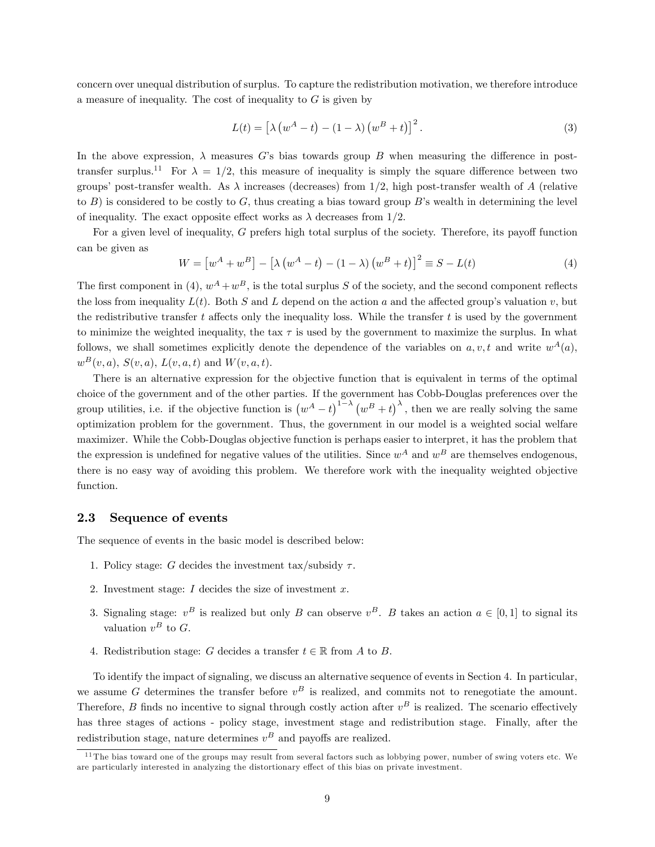concern over unequal distribution of surplus. To capture the redistribution motivation, we therefore introduce a measure of inequality. The cost of inequality to  $G$  is given by

$$
L(t) = \left[\lambda \left(w^A - t\right) - (1 - \lambda) \left(w^B + t\right)\right]^2.
$$
\n(3)

In the above expression,  $\lambda$  measures G's bias towards group B when measuring the difference in posttransfer surplus.<sup>11</sup> For  $\lambda = 1/2$ , this measure of inequality is simply the square difference between two groups' post-transfer wealth. As  $\lambda$  increases (decreases) from 1/2, high post-transfer wealth of A (relative to B) is considered to be costly to G, thus creating a bias toward group B's wealth in determining the level of inequality. The exact opposite effect works as  $\lambda$  decreases from 1/2.

For a given level of inequality,  $G$  prefers high total surplus of the society. Therefore, its payoff function can be given as

$$
W = [w^{A} + w^{B}] - [\lambda (w^{A} - t) - (1 - \lambda) (w^{B} + t)]^{2} \equiv S - L(t)
$$
\n(4)

The first component in (4),  $w^A + w^B$ , is the total surplus S of the society, and the second component reflects the loss from inequality  $L(t)$ . Both S and L depend on the action a and the affected group's valuation v, but the redistributive transfer  $t$  affects only the inequality loss. While the transfer  $t$  is used by the government to minimize the weighted inequality, the tax  $\tau$  is used by the government to maximize the surplus. In what follows, we shall sometimes explicitly denote the dependence of the variables on  $a, v, t$  and write  $w^A(a)$ ,  $w^{B}(v, a), S(v, a), L(v, a, t)$  and  $W(v, a, t)$ .

There is an alternative expression for the objective function that is equivalent in terms of the optimal choice of the government and of the other parties. If the government has Cobb-Douglas preferences over the group utilities, i.e. if the objective function is  $(w^A - t)^{1-\lambda}(w^B + t)^{\lambda}$ , then we are really solving the same optimization problem for the government. Thus, the government in our model is a weighted social welfare maximizer. While the Cobb-Douglas objective function is perhaps easier to interpret, it has the problem that the expression is undefined for negative values of the utilities. Since  $w^A$  and  $w^B$  are themselves endogenous, there is no easy way of avoiding this problem. We therefore work with the inequality weighted objective function.

### 2.3 Sequence of events

The sequence of events in the basic model is described below:

- 1. Policy stage: G decides the investment tax/subsidy  $\tau$ .
- 2. Investment stage: I decides the size of investment x.
- 3. Signaling stage:  $v^B$  is realized but only B can observe  $v^B$ . B takes an action  $a \in [0,1]$  to signal its valuation  $v^B$  to G.
- 4. Redistribution stage: G decides a transfer  $t \in \mathbb{R}$  from A to B.

To identify the impact of signaling, we discuss an alternative sequence of events in Section 4. In particular, we assume G determines the transfer before  $v^B$  is realized, and commits not to renegotiate the amount. Therefore, B finds no incentive to signal through costly action after  $v^B$  is realized. The scenario effectively has three stages of actions - policy stage, investment stage and redistribution stage. Finally, after the redistribution stage, nature determines  $v^B$  and payoffs are realized.

<sup>&</sup>lt;sup>11</sup> The bias toward one of the groups may result from several factors such as lobbying power, number of swing voters etc. We are particularly interested in analyzing the distortionary effect of this bias on private investment.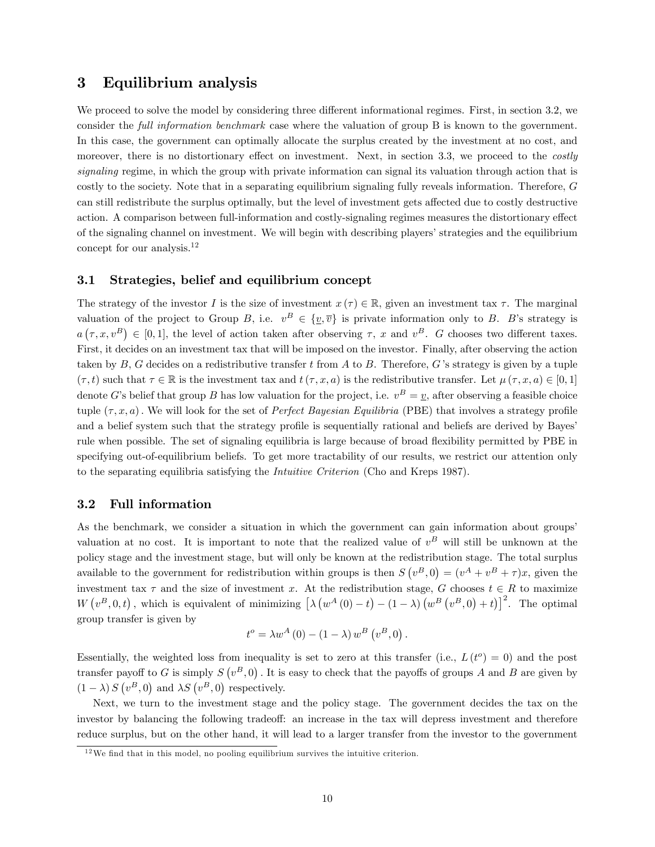# 3 Equilibrium analysis

We proceed to solve the model by considering three different informational regimes. First, in section 3.2, we consider the full information benchmark case where the valuation of group B is known to the government. In this case, the government can optimally allocate the surplus created by the investment at no cost, and moreover, there is no distortionary effect on investment. Next, in section 3.3, we proceed to the *costly* signaling regime, in which the group with private information can signal its valuation through action that is costly to the society. Note that in a separating equilibrium signaling fully reveals information. Therefore, G can still redistribute the surplus optimally, but the level of investment gets affected due to costly destructive action. A comparison between full-information and costly-signaling regimes measures the distortionary effect of the signaling channel on investment. We will begin with describing players' strategies and the equilibrium concept for our analysis.<sup>12</sup>

### 3.1 Strategies, belief and equilibrium concept

The strategy of the investor I is the size of investment  $x(\tau) \in \mathbb{R}$ , given an investment tax  $\tau$ . The marginal valuation of the project to Group B, i.e.  $v^B \in \{\underline{v}, \overline{v}\}\$ is private information only to B. B's strategy is  $a(\tau, x, v^B) \in [0, 1]$ , the level of action taken after observing  $\tau$ , x and  $v^B$ . G chooses two different taxes. First, it decides on an investment tax that will be imposed on the investor. Finally, after observing the action taken by  $B$ , G decides on a redistributive transfer t from A to B. Therefore, G's strategy is given by a tuple  $(\tau, t)$  such that  $\tau \in \mathbb{R}$  is the investment tax and  $t(\tau, x, a)$  is the redistributive transfer. Let  $\mu(\tau, x, a) \in [0, 1]$ denote G's belief that group B has low valuation for the project, i.e.  $v^B = v$ , after observing a feasible choice tuple  $(\tau, x, a)$ . We will look for the set of *Perfect Bayesian Equilibria* (PBE) that involves a strategy profile and a belief system such that the strategy profile is sequentially rational and beliefs are derived by Bayes' rule when possible. The set of signaling equilibria is large because of broad flexibility permitted by PBE in specifying out-of-equilibrium beliefs. To get more tractability of our results, we restrict our attention only to the separating equilibria satisfying the Intuitive Criterion (Cho and Kreps 1987).

### 3.2 Full information

As the benchmark, we consider a situation in which the government can gain information about groups' valuation at no cost. It is important to note that the realized value of  $v^B$  will still be unknown at the policy stage and the investment stage, but will only be known at the redistribution stage. The total surplus available to the government for redistribution within groups is then  $S(v^B, 0) = (v^A + v^B + \tau)x$ , given the investment tax  $\tau$  and the size of investment x. At the redistribution stage, G chooses  $t \in R$  to maximize  $W(v^B, 0, t)$ , which is equivalent of minimizing  $\left[\lambda (w^A(0) - t) - (1 - \lambda) (w^B(v^B, 0) + t)\right]^2$ . The optimal group transfer is given by

$$
t^{o} = \lambda w^{A}(0) - (1 - \lambda) w^{B}(v^{B}, 0).
$$

Essentially, the weighted loss from inequality is set to zero at this transfer (i.e.,  $L(t^o) = 0$ ) and the post transfer payoff to G is simply  $S(v^B, 0)$ . It is easy to check that the payoffs of groups A and B are given by  $(1 - \lambda) S(v^B, 0)$  and  $\lambda S(v^B, 0)$  respectively.

Next, we turn to the investment stage and the policy stage. The government decides the tax on the investor by balancing the following tradeoff: an increase in the tax will depress investment and therefore reduce surplus, but on the other hand, it will lead to a larger transfer from the investor to the government

 $1<sup>12</sup>$  We find that in this model, no pooling equilibrium survives the intuitive criterion.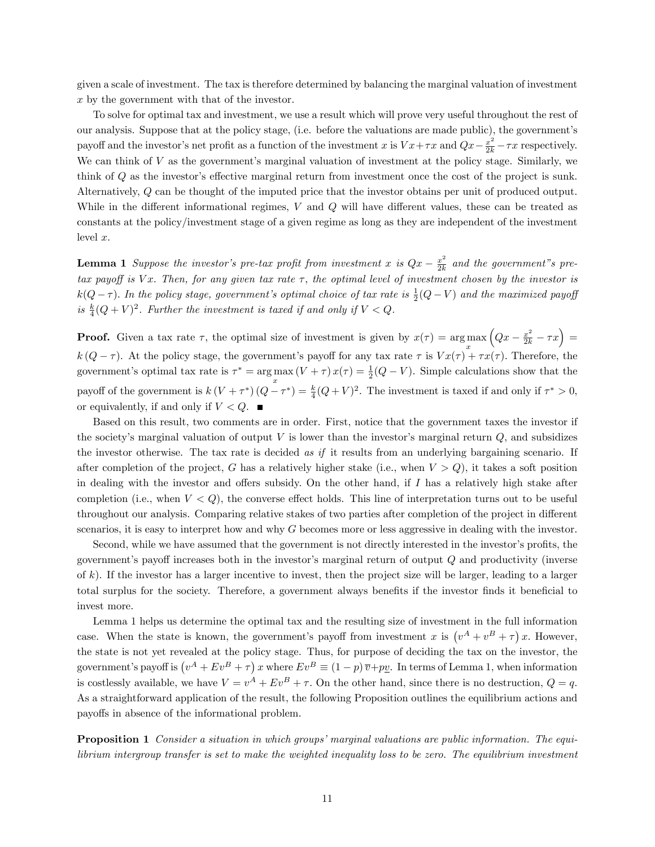given a scale of investment. The tax is therefore determined by balancing the marginal valuation of investment x by the government with that of the investor.

To solve for optimal tax and investment, we use a result which will prove very useful throughout the rest of our analysis. Suppose that at the policy stage, (i.e. before the valuations are made public), the governmentís payoff and the investor's net profit as a function of the investment x is  $Vx+\tau x$  and  $Qx-\frac{x^2}{2k}-\tau x$  respectively. We can think of  $V$  as the government's marginal valuation of investment at the policy stage. Similarly, we think of  $Q$  as the investor's effective marginal return from investment once the cost of the project is sunk. Alternatively, Q can be thought of the imputed price that the investor obtains per unit of produced output. While in the different informational regimes,  $V$  and  $Q$  will have different values, these can be treated as constants at the policy/investment stage of a given regime as long as they are independent of the investment level x.

**Lemma 1** Suppose the investor's pre-tax profit from investment x is  $Qx - \frac{x^2}{2k}$  $\frac{x^2}{2k}$  and the government"s pretax payoff is Vx. Then, for any given tax rate  $\tau$ , the optimal level of investment chosen by the investor is  $k(Q-\tau)$ . In the policy stage, government's optimal choice of tax rate is  $\frac{1}{2}(Q-V)$  and the maximized payof is  $\frac{k}{4}(Q+V)^2$ . Further the investment is taxed if and only if  $V < Q$ .

**Proof.** Given a tax rate  $\tau$ , the optimal size of investment is given by  $x(\tau) = \arg \max_{x} (Qx - \frac{x^2}{2k} - \tau x) =$  $k(Q - \tau)$ . At the policy stage, the government's payoff for any tax rate  $\tau$  is  $Vx(\tau) + \tau x(\tau)$ . Therefore, the government's optimal tax rate is  $\tau^* = \arg \max_{\tau} (V + \tau) x(\tau) = \frac{1}{2}(Q - V)$ . Simple calculations show that the x payoff of the government is  $k(V + \tau^*)(Q - \tau^*) = \frac{k}{4}(Q + V)^2$ . The investment is taxed if and only if  $\tau^* > 0$ , or equivalently, if and only if  $V < Q$ .

Based on this result, two comments are in order. First, notice that the government taxes the investor if the society's marginal valuation of output V is lower than the investor's marginal return  $Q$ , and subsidizes the investor otherwise. The tax rate is decided as if it results from an underlying bargaining scenario. If after completion of the project, G has a relatively higher stake (i.e., when  $V > Q$ ), it takes a soft position in dealing with the investor and offers subsidy. On the other hand, if  $I$  has a relatively high stake after completion (i.e., when  $V < Q$ ), the converse effect holds. This line of interpretation turns out to be useful throughout our analysis. Comparing relative stakes of two parties after completion of the project in different scenarios, it is easy to interpret how and why G becomes more or less aggressive in dealing with the investor.

Second, while we have assumed that the government is not directly interested in the investor's profits, the government's payoff increases both in the investor's marginal return of output  $Q$  and productivity (inverse of k). If the investor has a larger incentive to invest, then the project size will be larger, leading to a larger total surplus for the society. Therefore, a government always benefits if the investor finds it beneficial to invest more.

Lemma 1 helps us determine the optimal tax and the resulting size of investment in the full information case. When the state is known, the government's payoff from investment x is  $(v^A + v^B + \tau)x$ . However, the state is not yet revealed at the policy stage. Thus, for purpose of deciding the tax on the investor, the government's payoff is  $(v^A + Ev^B + \tau)x$  where  $Ev^B \equiv (1-p)\overline{v} + p\underline{v}$ . In terms of Lemma 1, when information is costlessly available, we have  $V = v^A + Ev^B + \tau$ . On the other hand, since there is no destruction,  $Q = q$ . As a straightforward application of the result, the following Proposition outlines the equilibrium actions and payoffs in absence of the informational problem.

**Proposition 1** Consider a situation in which groups' marginal valuations are public information. The equilibrium intergroup transfer is set to make the weighted inequality loss to be zero. The equilibrium investment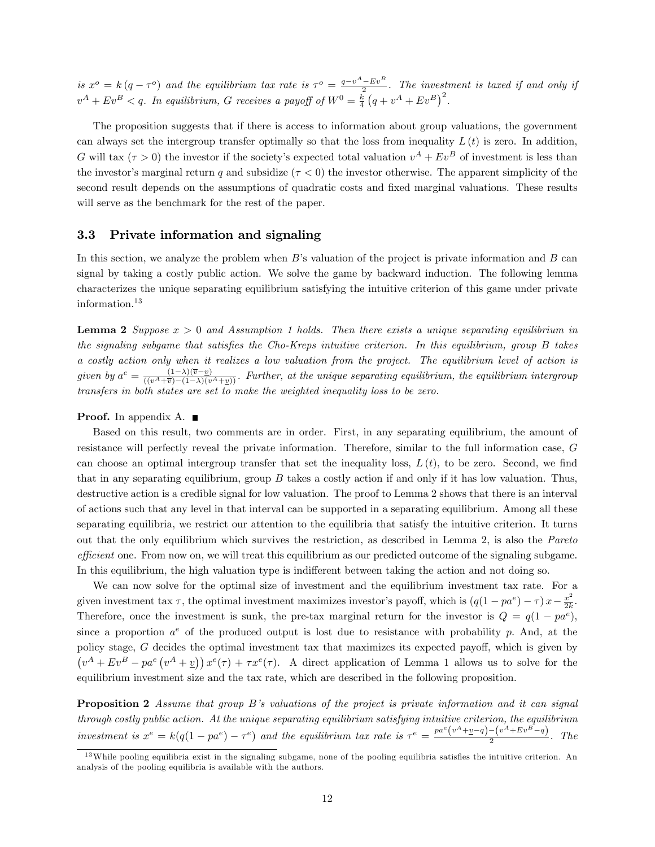is  $x^{\circ} = k (q - \tau^{\circ})$  and the equilibrium tax rate is  $\tau^{\circ} = \frac{q - v^A - E v^B}{2}$ . The investment is taxed if and only if  $v^A + Ev^B < q$ . In equilibrium, G receives a payoff of  $W^0 = \frac{k}{4}(q + v^A + Ev^B)^2$ .

The proposition suggests that if there is access to information about group valuations, the government can always set the intergroup transfer optimally so that the loss from inequality  $L(t)$  is zero. In addition, G will tax  $(\tau > 0)$  the investor if the society's expected total valuation  $v^A + E v^B$  of investment is less than the investor's marginal return q and subsidize  $(\tau < 0)$  the investor otherwise. The apparent simplicity of the second result depends on the assumptions of quadratic costs and fixed marginal valuations. These results will serve as the benchmark for the rest of the paper.

# 3.3 Private information and signaling

In this section, we analyze the problem when  $B$ 's valuation of the project is private information and  $B$  can signal by taking a costly public action. We solve the game by backward induction. The following lemma characterizes the unique separating equilibrium satisfying the intuitive criterion of this game under private information.<sup>13</sup>

**Lemma 2** Suppose  $x > 0$  and Assumption 1 holds. Then there exists a unique separating equilibrium in the signaling subgame that satisfies the  $Cho-Kreps$  intuitive criterion. In this equilibrium, group  $B$  takes a costly action only when it realizes a low valuation from the project. The equilibrium level of action is given by  $a^e = \frac{(1-\lambda)(\overline{v}-\underline{v})}{((v^A+\overline{v})-(1-\lambda)(v^A+\underline{v}))}$ . Further, at the unique separating equilibrium, the equilibrium intergroup transfers in both states are set to make the weighted inequality loss to be zero.

#### **Proof.** In appendix A.  $\blacksquare$

Based on this result, two comments are in order. First, in any separating equilibrium, the amount of resistance will perfectly reveal the private information. Therefore, similar to the full information case, G can choose an optimal intergroup transfer that set the inequality loss,  $L(t)$ , to be zero. Second, we find that in any separating equilibrium, group  $B$  takes a costly action if and only if it has low valuation. Thus, destructive action is a credible signal for low valuation. The proof to Lemma 2 shows that there is an interval of actions such that any level in that interval can be supported in a separating equilibrium. Among all these separating equilibria, we restrict our attention to the equilibria that satisfy the intuitive criterion. It turns out that the only equilibrium which survives the restriction, as described in Lemma 2, is also the Pareto efficient one. From now on, we will treat this equilibrium as our predicted outcome of the signaling subgame. In this equilibrium, the high valuation type is indifferent between taking the action and not doing so.

We can now solve for the optimal size of investment and the equilibrium investment tax rate. For a given investment tax  $\tau$ , the optimal investment maximizes investor's payoff, which is  $(q(1 - pa^e) - \tau)x - \frac{x^2}{2k}$  $\frac{x^2}{2k}$ . Therefore, once the investment is sunk, the pre-tax marginal return for the investor is  $Q = q(1 - pa^e)$ , since a proportion  $a^e$  of the produced output is lost due to resistance with probability p. And, at the policy stage,  $G$  decides the optimal investment tax that maximizes its expected payoff, which is given by  $(v^A + Ev^B - pa^e(v^A + v)) x^e(\tau) + \tau x^e(\tau)$ . A direct application of Lemma 1 allows us to solve for the equilibrium investment size and the tax rate, which are described in the following proposition.

**Proposition 2** Assume that group B's valuations of the project is private information and it can signal through costly public action. At the unique separating equilibrium satisfying intuitive criterion, the equilibrium investment is  $x^e = k(q(1 - pa^e) - \tau^e)$  and the equilibrium tax rate is  $\tau^e = \frac{pa^e(v^A + v - q) - (v^A + Ev^B - q)}{2}$ . The

 $13$ While pooling equilibria exist in the signaling subgame, none of the pooling equilibria satisfies the intuitive criterion. An analysis of the pooling equilibria is available with the authors.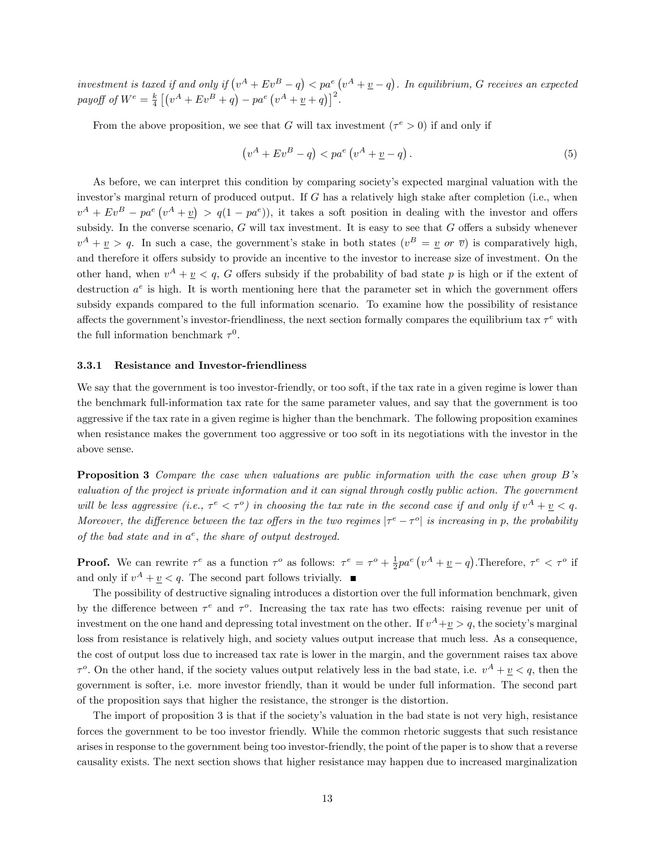investment is taxed if and only if  $(v^A + Ev^B - q) < pa^e(v^A + \underline{v} - q)$ . In equilibrium, G receives an expected payoff of  $W^e = \frac{k}{4} \left[ \left( v^A + E v^B + q \right) - p a^e \left( v^A + \underline{v} + q \right) \right]^2$ .

From the above proposition, we see that G will tax investment  $(\tau^e > 0)$  if and only if

$$
\left(v^A + Ev^B - q\right) < pa^e\left(v^A + \underline{v} - q\right). \tag{5}
$$

As before, we can interpret this condition by comparing society's expected marginal valuation with the investor's marginal return of produced output. If G has a relatively high stake after completion (i.e., when  $v^A + Ev^B - pa^e(v^A + v) > q(1 - pa^e)$ , it takes a soft position in dealing with the investor and offers subsidy. In the converse scenario,  $G$  will tax investment. It is easy to see that  $G$  offers a subsidy whenever  $v^A + v > q$ . In such a case, the government's stake in both states  $(v^B = v \text{ or } \overline{v})$  is comparatively high, and therefore it offers subsidy to provide an incentive to the investor to increase size of investment. On the other hand, when  $v^A + v < q$ , G offers subsidy if the probability of bad state p is high or if the extent of destruction  $a^e$  is high. It is worth mentioning here that the parameter set in which the government offers subsidy expands compared to the full information scenario. To examine how the possibility of resistance affects the government's investor-friendliness, the next section formally compares the equilibrium tax  $\tau^e$  with the full information benchmark  $\tau^0$ .

#### 3.3.1 Resistance and Investor-friendliness

We say that the government is too investor-friendly, or too soft, if the tax rate in a given regime is lower than the benchmark full-information tax rate for the same parameter values, and say that the government is too aggressive if the tax rate in a given regime is higher than the benchmark. The following proposition examines when resistance makes the government too aggressive or too soft in its negotiations with the investor in the above sense.

**Proposition 3** Compare the case when valuations are public information with the case when group B's valuation of the project is private information and it can signal through costly public action. The government will be less aggressive (i.e.,  $\tau^e < \tau^o$ ) in choosing the tax rate in the second case if and only if  $v^A + \underline{v} < q$ . Moreover, the difference between the tax offers in the two regimes  $|\tau^e - \tau^o|$  is increasing in p, the probability of the bad state and in  $a^e$ , the share of output destroyed.

**Proof.** We can rewrite  $\tau^e$  as a function  $\tau^o$  as follows:  $\tau^e = \tau^o + \frac{1}{2}pa^e(v^A + \underline{v} - q)$ . Therefore,  $\tau^e < \tau^o$  if and only if  $v^A + v < q$ . The second part follows trivially.

The possibility of destructive signaling introduces a distortion over the full information benchmark, given by the difference between  $\tau^e$  and  $\tau^o$ . Increasing the tax rate has two effects: raising revenue per unit of investment on the one hand and depressing total investment on the other. If  $v^A + \underline{v} > q$ , the society's marginal loss from resistance is relatively high, and society values output increase that much less. As a consequence, the cost of output loss due to increased tax rate is lower in the margin, and the government raises tax above  $\tau^o$ . On the other hand, if the society values output relatively less in the bad state, i.e.  $v^A + v < q$ , then the government is softer, i.e. more investor friendly, than it would be under full information. The second part of the proposition says that higher the resistance, the stronger is the distortion.

The import of proposition 3 is that if the society's valuation in the bad state is not very high, resistance forces the government to be too investor friendly. While the common rhetoric suggests that such resistance arises in response to the government being too investor-friendly, the point of the paper is to show that a reverse causality exists. The next section shows that higher resistance may happen due to increased marginalization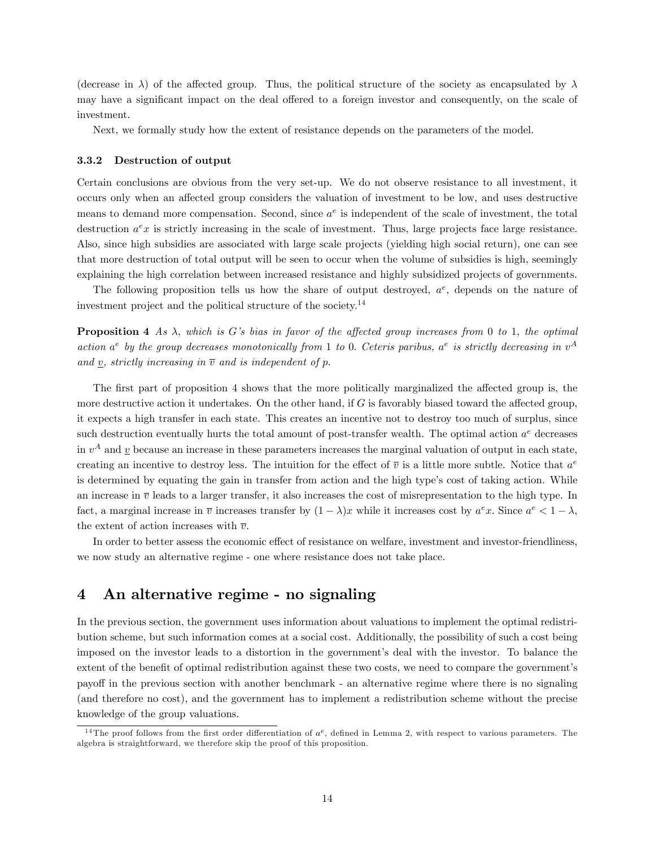(decrease in  $\lambda$ ) of the affected group. Thus, the political structure of the society as encapsulated by  $\lambda$ may have a significant impact on the deal offered to a foreign investor and consequently, on the scale of investment.

Next, we formally study how the extent of resistance depends on the parameters of the model.

#### 3.3.2 Destruction of output

Certain conclusions are obvious from the very set-up. We do not observe resistance to all investment, it occurs only when an a§ected group considers the valuation of investment to be low, and uses destructive means to demand more compensation. Second, since  $a^e$  is independent of the scale of investment, the total destruction  $a^e x$  is strictly increasing in the scale of investment. Thus, large projects face large resistance. Also, since high subsidies are associated with large scale projects (yielding high social return), one can see that more destruction of total output will be seen to occur when the volume of subsidies is high, seemingly explaining the high correlation between increased resistance and highly subsidized projects of governments.

The following proposition tells us how the share of output destroyed,  $a^e$ , depends on the nature of investment project and the political structure of the society.<sup>14</sup>

**Proposition 4** As  $\lambda$ , which is G's bias in favor of the affected group increases from 0 to 1, the optimal action  $a^e$  by the group decreases monotonically from 1 to 0. Ceteris paribus,  $a^e$  is strictly decreasing in  $v^A$ and  $\underline{v}$ , strictly increasing in  $\overline{v}$  and is independent of p.

The first part of proposition 4 shows that the more politically marginalized the affected group is, the more destructive action it undertakes. On the other hand, if  $G$  is favorably biased toward the affected group, it expects a high transfer in each state. This creates an incentive not to destroy too much of surplus, since such destruction eventually hurts the total amount of post-transfer wealth. The optimal action  $a^e$  decreases in  $v^A$  and  $\underline{v}$  because an increase in these parameters increases the marginal valuation of output in each state, creating an incentive to destroy less. The intuition for the effect of  $\bar{v}$  is a little more subtle. Notice that  $a^e$ is determined by equating the gain in transfer from action and the high type's cost of taking action. While an increase in  $\bar{v}$  leads to a larger transfer, it also increases the cost of misrepresentation to the high type. In fact, a marginal increase in  $\overline{v}$  increases transfer by  $(1 - \lambda)x$  while it increases cost by  $a^e x$ . Since  $a^e < 1 - \lambda$ , the extent of action increases with  $\overline{v}$ .

In order to better assess the economic effect of resistance on welfare, investment and investor-friendliness, we now study an alternative regime - one where resistance does not take place.

# 4 An alternative regime - no signaling

In the previous section, the government uses information about valuations to implement the optimal redistribution scheme, but such information comes at a social cost. Additionally, the possibility of such a cost being imposed on the investor leads to a distortion in the government's deal with the investor. To balance the extent of the benefit of optimal redistribution against these two costs, we need to compare the government's payoff in the previous section with another benchmark - an alternative regime where there is no signaling (and therefore no cost), and the government has to implement a redistribution scheme without the precise knowledge of the group valuations.

<sup>&</sup>lt;sup>14</sup>The proof follows from the first order differentiation of  $a^e$ , defined in Lemma 2, with respect to various parameters. The algebra is straightforward, we therefore skip the proof of this proposition.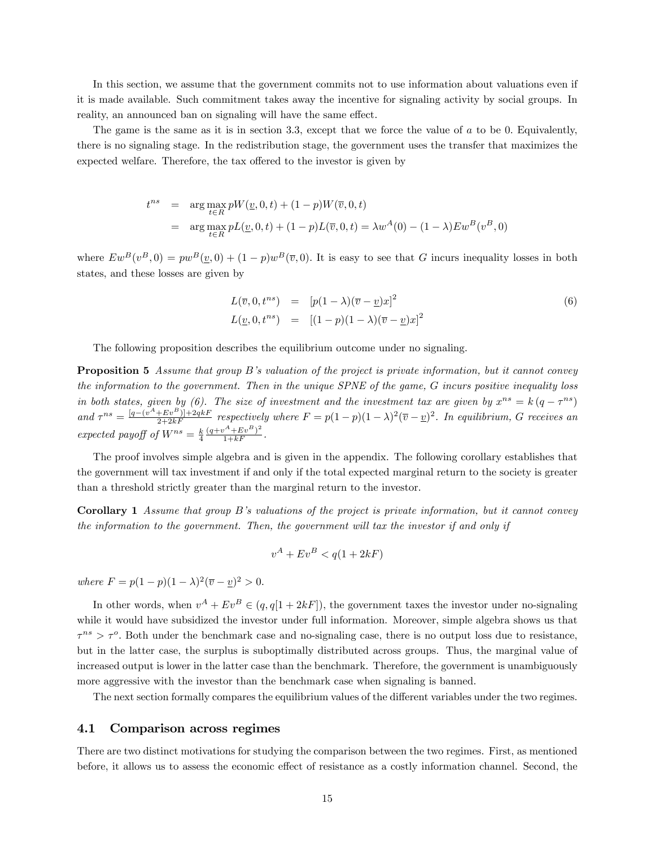In this section, we assume that the government commits not to use information about valuations even if it is made available. Such commitment takes away the incentive for signaling activity by social groups. In reality, an announced ban on signaling will have the same effect.

The game is the same as it is in section 3.3, except that we force the value of  $a$  to be 0. Equivalently, there is no signaling stage. In the redistribution stage, the government uses the transfer that maximizes the expected welfare. Therefore, the tax offered to the investor is given by

$$
t^{ns} = \arg \max_{t \in R} pW(\underline{v}, 0, t) + (1 - p)W(\overline{v}, 0, t)
$$
  
= 
$$
\arg \max_{t \in R} pL(\underline{v}, 0, t) + (1 - p)L(\overline{v}, 0, t) = \lambda w^{A}(0) - (1 - \lambda)Ew^{B}(v^{B}, 0)
$$

where  $Ew^B(v^B, 0) = pw^B(\underline{v}, 0) + (1 - p)w^B(\overline{v}, 0)$ . It is easy to see that G incurs inequality losses in both states, and these losses are given by

$$
L(\overline{v}, 0, t^{ns}) = [p(1 - \lambda)(\overline{v} - \underline{v})x]^2
$$
  
\n
$$
L(\underline{v}, 0, t^{ns}) = [(1 - p)(1 - \lambda)(\overline{v} - \underline{v})x]^2
$$
\n(6)

The following proposition describes the equilibrium outcome under no signaling.

**Proposition 5** Assume that group B's valuation of the project is private information, but it cannot convey the information to the government. Then in the unique SPNE of the game, G incurs positive inequality loss in both states, given by (6). The size of investment and the investment tax are given by  $x^{ns} = k(q - \tau^{ns})$ and  $\tau^{ns} = \frac{[q-(v^A+Ev^B)]+2qkF}{2+2kF}$  respectively where  $F = p(1-p)(1-\lambda)^2(\overline{v}-\underline{v})^2$ . In equilibrium, G receives an expected payoff of  $W^{ns} = \frac{k}{4}$  $\frac{(q+v^A + Ev^B)^2}{1+kF}$ .

The proof involves simple algebra and is given in the appendix. The following corollary establishes that the government will tax investment if and only if the total expected marginal return to the society is greater than a threshold strictly greater than the marginal return to the investor.

Corollary 1 Assume that group B's valuations of the project is private information, but it cannot convey the information to the government. Then, the government will tax the investor if and only if

$$
v^A + Ev^B < q(1 + 2kF)
$$

where  $F = p(1-p)(1-\lambda)^2(\overline{v} - \underline{v})^2 > 0.$ 

In other words, when  $v^A + Ev^B \in (q, q[1 + 2kF])$ , the government taxes the investor under no-signaling while it would have subsidized the investor under full information. Moreover, simple algebra shows us that  $\tau^{ns} > \tau^o$ . Both under the benchmark case and no-signaling case, there is no output loss due to resistance, but in the latter case, the surplus is suboptimally distributed across groups. Thus, the marginal value of increased output is lower in the latter case than the benchmark. Therefore, the government is unambiguously more aggressive with the investor than the benchmark case when signaling is banned.

The next section formally compares the equilibrium values of the different variables under the two regimes.

### 4.1 Comparison across regimes

There are two distinct motivations for studying the comparison between the two regimes. First, as mentioned before, it allows us to assess the economic effect of resistance as a costly information channel. Second, the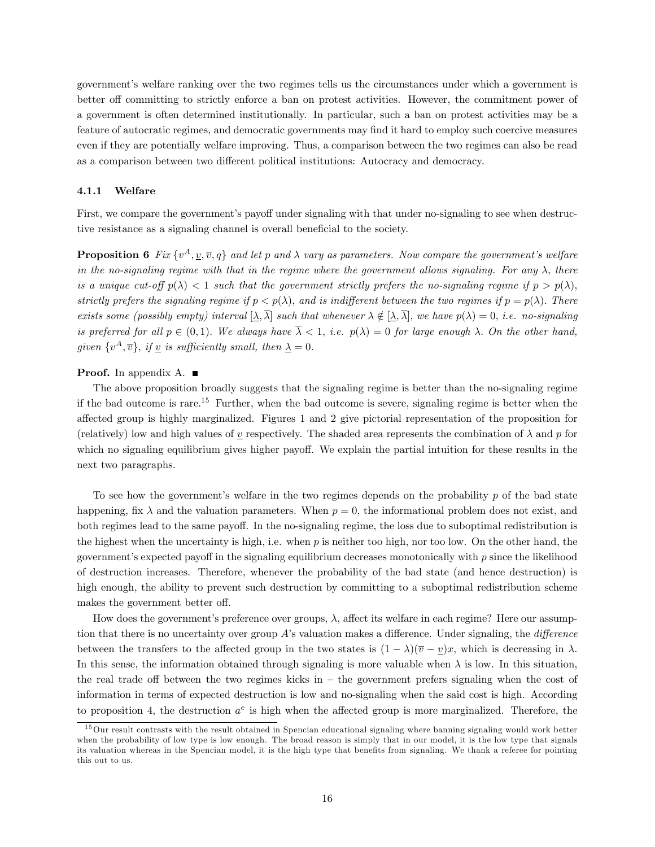governmentís welfare ranking over the two regimes tells us the circumstances under which a government is better off committing to strictly enforce a ban on protest activities. However, the commitment power of a government is often determined institutionally. In particular, such a ban on protest activities may be a feature of autocratic regimes, and democratic governments may find it hard to employ such coercive measures even if they are potentially welfare improving. Thus, a comparison between the two regimes can also be read as a comparison between two different political institutions: Autocracy and democracy.

#### 4.1.1 Welfare

First, we compare the government's payoff under signaling with that under no-signaling to see when destructive resistance as a signaling channel is overall beneficial to the society.

**Proposition 6** Fix  $\{v^A, \underline{v}, \overline{v}, q\}$  and let p and  $\lambda$  vary as parameters. Now compare the government's welfare in the no-signaling regime with that in the regime where the government allows signaling. For any  $\lambda$ , there is a unique cut-off  $p(\lambda) < 1$  such that the government strictly prefers the no-signaling regime if  $p > p(\lambda)$ . strictly prefers the signaling regime if  $p < p(\lambda)$ , and is indifferent between the two regimes if  $p = p(\lambda)$ . There exists some (possibly empty) interval  $[\lambda, \overline{\lambda}]$  such that whenever  $\lambda \notin [\lambda, \overline{\lambda}]$ , we have  $p(\lambda) = 0$ , i.e. no-signaling is preferred for all  $p \in (0, 1)$ . We always have  $\overline{\lambda} < 1$ , i.e.  $p(\lambda) = 0$  for large enough  $\lambda$ . On the other hand, given  $\{v^A, \overline{v}\},$  if <u>v</u> is sufficiently small, then  $\underline{\lambda} = 0$ .

#### **Proof.** In appendix A.  $\blacksquare$

The above proposition broadly suggests that the signaling regime is better than the no-signaling regime if the bad outcome is rare.<sup>15</sup> Further, when the bad outcome is severe, signaling regime is better when the affected group is highly marginalized. Figures 1 and 2 give pictorial representation of the proposition for (relatively) low and high values of  $\underline{v}$  respectively. The shaded area represents the combination of  $\lambda$  and  $p$  for which no signaling equilibrium gives higher payoff. We explain the partial intuition for these results in the next two paragraphs.

To see how the government's welfare in the two regimes depends on the probability  $p$  of the bad state happening, fix  $\lambda$  and the valuation parameters. When  $p = 0$ , the informational problem does not exist, and both regimes lead to the same payoff. In the no-signaling regime, the loss due to suboptimal redistribution is the highest when the uncertainty is high, i.e. when  $p$  is neither too high, nor too low. On the other hand, the government's expected payoff in the signaling equilibrium decreases monotonically with  $p$  since the likelihood of destruction increases. Therefore, whenever the probability of the bad state (and hence destruction) is high enough, the ability to prevent such destruction by committing to a suboptimal redistribution scheme makes the government better off.

How does the government's preference over groups,  $\lambda$ , affect its welfare in each regime? Here our assumption that there is no uncertainty over group  $A$ 's valuation makes a difference. Under signaling, the *difference* between the transfers to the affected group in the two states is  $(1 - \lambda)(\overline{v} - v)x$ , which is decreasing in  $\lambda$ . In this sense, the information obtained through signaling is more valuable when  $\lambda$  is low. In this situation, the real trade of between the two regimes kicks in  $-$  the government prefers signaling when the cost of information in terms of expected destruction is low and no-signaling when the said cost is high. According to proposition 4, the destruction  $a^e$  is high when the affected group is more marginalized. Therefore, the

<sup>&</sup>lt;sup>15</sup>Our result contrasts with the result obtained in Spencian educational signaling where banning signaling would work better when the probability of low type is low enough. The broad reason is simply that in our model, it is the low type that signals its valuation whereas in the Spencian model, it is the high type that benefits from signaling. We thank a referee for pointing this out to us.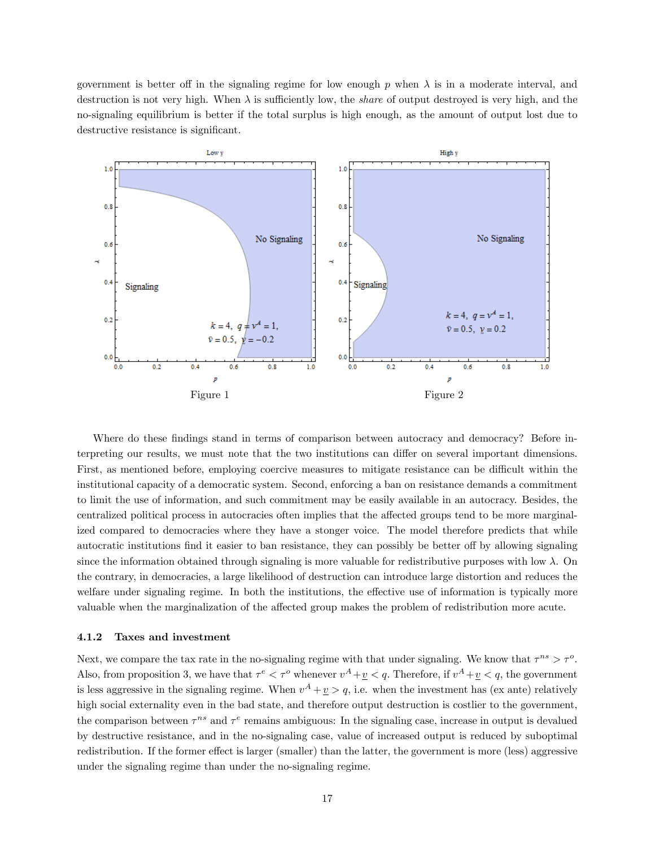government is better off in the signaling regime for low enough p when  $\lambda$  is in a moderate interval, and destruction is not very high. When  $\lambda$  is sufficiently low, the *share* of output destroyed is very high, and the no-signaling equilibrium is better if the total surplus is high enough, as the amount of output lost due to destructive resistance is significant.



Where do these findings stand in terms of comparison between autocracy and democracy? Before interpreting our results, we must note that the two institutions can differ on several important dimensions. First, as mentioned before, employing coercive measures to mitigate resistance can be difficult within the institutional capacity of a democratic system. Second, enforcing a ban on resistance demands a commitment to limit the use of information, and such commitment may be easily available in an autocracy. Besides, the centralized political process in autocracies often implies that the affected groups tend to be more marginalized compared to democracies where they have a stonger voice. The model therefore predicts that while autocratic institutions find it easier to ban resistance, they can possibly be better off by allowing signaling since the information obtained through signaling is more valuable for redistributive purposes with low  $\lambda$ . On the contrary, in democracies, a large likelihood of destruction can introduce large distortion and reduces the welfare under signaling regime. In both the institutions, the effective use of information is typically more valuable when the marginalization of the affected group makes the problem of redistribution more acute.

#### 4.1.2 Taxes and investment

Next, we compare the tax rate in the no-signaling regime with that under signaling. We know that  $\tau^{ns} > \tau^o$ . Also, from proposition 3, we have that  $\tau^e < \tau^o$  whenever  $v^A + \underline{v} < q$ . Therefore, if  $v^A + \underline{v} < q$ , the government is less aggressive in the signaling regime. When  $v^A + v > q$ , i.e. when the investment has (ex ante) relatively high social externality even in the bad state, and therefore output destruction is costlier to the government, the comparison between  $\tau^{ns}$  and  $\tau^e$  remains ambiguous: In the signaling case, increase in output is devalued by destructive resistance, and in the no-signaling case, value of increased output is reduced by suboptimal redistribution. If the former effect is larger (smaller) than the latter, the government is more (less) aggressive under the signaling regime than under the no-signaling regime.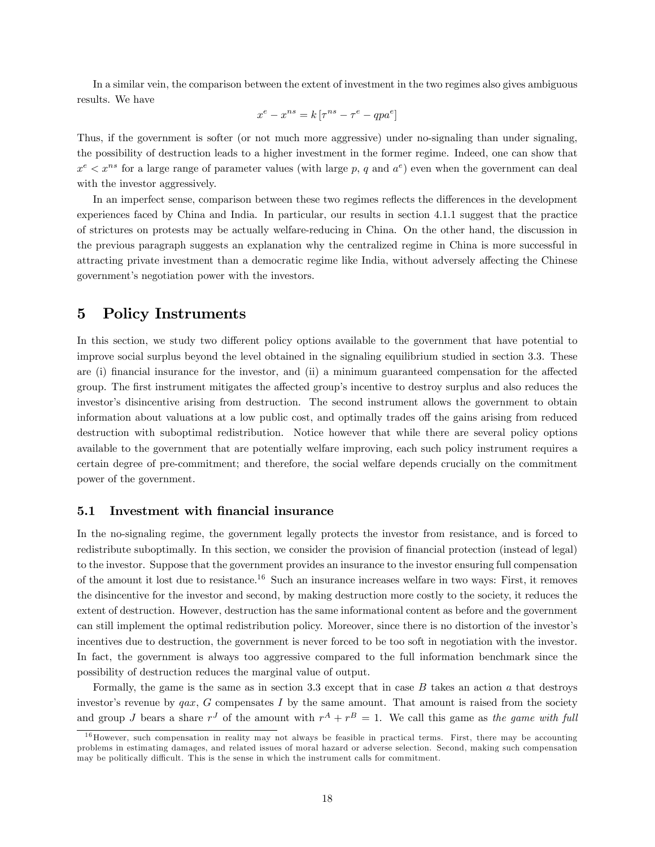In a similar vein, the comparison between the extent of investment in the two regimes also gives ambiguous results. We have

$$
x^{e} - x^{ns} = k \left[ \tau^{ns} - \tau^{e} - qp a^{e} \right]
$$

Thus, if the government is softer (or not much more aggressive) under no-signaling than under signaling, the possibility of destruction leads to a higher investment in the former regime. Indeed, one can show that  $x^e < x^{ns}$  for a large range of parameter values (with large p, q and  $a^e$ ) even when the government can deal with the investor aggressively.

In an imperfect sense, comparison between these two regimes reflects the differences in the development experiences faced by China and India. In particular, our results in section 4.1.1 suggest that the practice of strictures on protests may be actually welfare-reducing in China. On the other hand, the discussion in the previous paragraph suggests an explanation why the centralized regime in China is more successful in attracting private investment than a democratic regime like India, without adversely affecting the Chinese government's negotiation power with the investors.

# 5 Policy Instruments

In this section, we study two different policy options available to the government that have potential to improve social surplus beyond the level obtained in the signaling equilibrium studied in section 3.3. These are (i) financial insurance for the investor, and (ii) a minimum guaranteed compensation for the affected group. The first instrument mitigates the affected group's incentive to destroy surplus and also reduces the investor's disincentive arising from destruction. The second instrument allows the government to obtain information about valuations at a low public cost, and optimally trades off the gains arising from reduced destruction with suboptimal redistribution. Notice however that while there are several policy options available to the government that are potentially welfare improving, each such policy instrument requires a certain degree of pre-commitment; and therefore, the social welfare depends crucially on the commitment power of the government.

### 5.1 Investment with financial insurance

In the no-signaling regime, the government legally protects the investor from resistance, and is forced to redistribute suboptimally. In this section, we consider the provision of financial protection (instead of legal) to the investor. Suppose that the government provides an insurance to the investor ensuring full compensation of the amount it lost due to resistance.<sup>16</sup> Such an insurance increases welfare in two ways: First, it removes the disincentive for the investor and second, by making destruction more costly to the society, it reduces the extent of destruction. However, destruction has the same informational content as before and the government can still implement the optimal redistribution policy. Moreover, since there is no distortion of the investor's incentives due to destruction, the government is never forced to be too soft in negotiation with the investor. In fact, the government is always too aggressive compared to the full information benchmark since the possibility of destruction reduces the marginal value of output.

Formally, the game is the same as in section 3.3 except that in case  $B$  takes an action  $a$  that destroys investor's revenue by  $qax$ , G compensates I by the same amount. That amount is raised from the society and group J bears a share  $r<sup>J</sup>$  of the amount with  $r<sup>A</sup> + r<sup>B</sup> = 1$ . We call this game as the game with full

 $16$ However, such compensation in reality may not always be feasible in practical terms. First, there may be accounting problems in estimating damages, and related issues of moral hazard or adverse selection. Second, making such compensation may be politically difficult. This is the sense in which the instrument calls for commitment.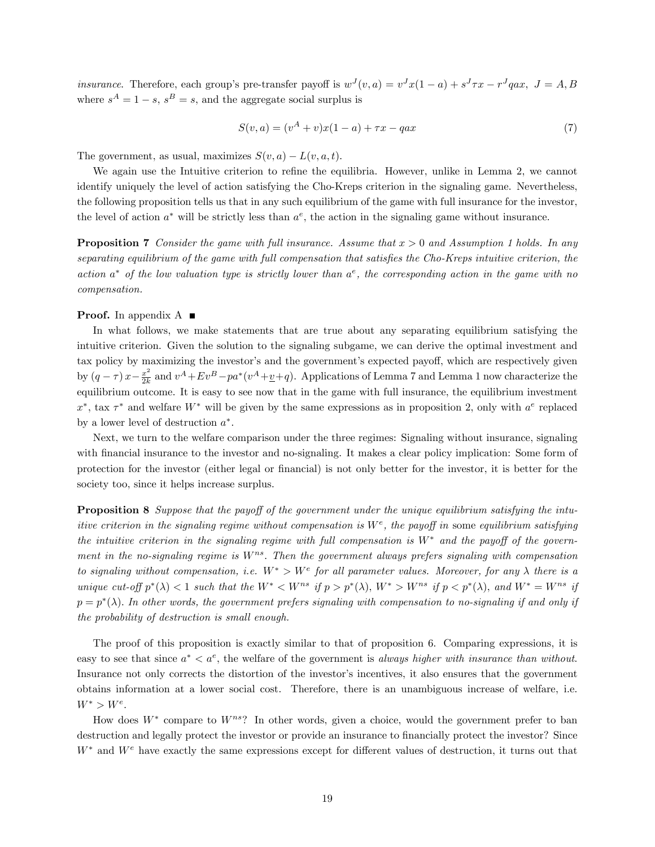insurance. Therefore, each group's pre-transfer payoff is  $w^{J}(v, a) = v^{J}x(1 - a) + s^{J}\tau x - r^{J}qax$ ,  $J = A, B$ where  $s^A = 1 - s$ ,  $s^B = s$ , and the aggregate social surplus is

$$
S(v, a) = (vA + v)x(1 - a) + \tau x - qax
$$
 (7)

The government, as usual, maximizes  $S(v, a) - L(v, a, t)$ .

We again use the Intuitive criterion to refine the equilibria. However, unlike in Lemma 2, we cannot identify uniquely the level of action satisfying the Cho-Kreps criterion in the signaling game. Nevertheless, the following proposition tells us that in any such equilibrium of the game with full insurance for the investor, the level of action  $a^*$  will be strictly less than  $a^e$ , the action in the signaling game without insurance.

**Proposition 7** Consider the game with full insurance. Assume that  $x > 0$  and Assumption 1 holds. In any separating equilibrium of the game with full compensation that satisfies the Cho-Kreps intuitive criterion, the action  $a^*$  of the low valuation type is strictly lower than  $a^e$ , the corresponding action in the game with no compensation.

#### **Proof.** In appendix  $A$

In what follows, we make statements that are true about any separating equilibrium satisfying the intuitive criterion. Given the solution to the signaling subgame, we can derive the optimal investment and tax policy by maximizing the investor's and the government's expected payoff, which are respectively given by  $(q - \tau) x - \frac{x^2}{2k}$  $\frac{x^2}{2k}$  and  $v^A + Ev^B - pa^*(v^A + \underline{v} + \underline{q})$ . Applications of Lemma 7 and Lemma 1 now characterize the equilibrium outcome. It is easy to see now that in the game with full insurance, the equilibrium investment  $x^*$ , tax  $\tau^*$  and welfare  $W^*$  will be given by the same expressions as in proposition 2, only with  $a^e$  replaced by a lower level of destruction  $a^*$ .

Next, we turn to the welfare comparison under the three regimes: Signaling without insurance, signaling with financial insurance to the investor and no-signaling. It makes a clear policy implication: Some form of protection for the investor (either legal or Önancial) is not only better for the investor, it is better for the society too, since it helps increase surplus.

**Proposition 8** Suppose that the payoff of the government under the unique equilibrium satisfying the intuitive criterion in the signaling regime without compensation is  $W<sup>e</sup>$ , the payoff in some equilibrium satisfying the intuitive criterion in the signaling regime with full compensation is  $W^*$  and the payoff of the government in the no-signaling regime is  $W^{ns}$ . Then the government always prefers signaling with compensation to signaling without compensation, i.e.  $W^* > W^e$  for all parameter values. Moreover, for any  $\lambda$  there is a unique cut-off  $p^*(\lambda) < 1$  such that the  $W^* < W^{ns}$  if  $p > p^*(\lambda)$ ,  $W^* > W^{ns}$  if  $p < p^*(\lambda)$ , and  $W^* = W^{ns}$  if  $p = p^*(\lambda)$ . In other words, the government prefers signaling with compensation to no-signaling if and only if the probability of destruction is small enough.

The proof of this proposition is exactly similar to that of proposition 6. Comparing expressions, it is easy to see that since  $a^* < a^e$ , the welfare of the government is always higher with insurance than without. Insurance not only corrects the distortion of the investor's incentives, it also ensures that the government obtains information at a lower social cost. Therefore, there is an unambiguous increase of welfare, i.e.  $W^* > W^e$ .

How does  $W^*$  compare to  $W^{ns}$ ? In other words, given a choice, would the government prefer to ban destruction and legally protect the investor or provide an insurance to financially protect the investor? Since  $W^*$  and  $W^e$  have exactly the same expressions except for different values of destruction, it turns out that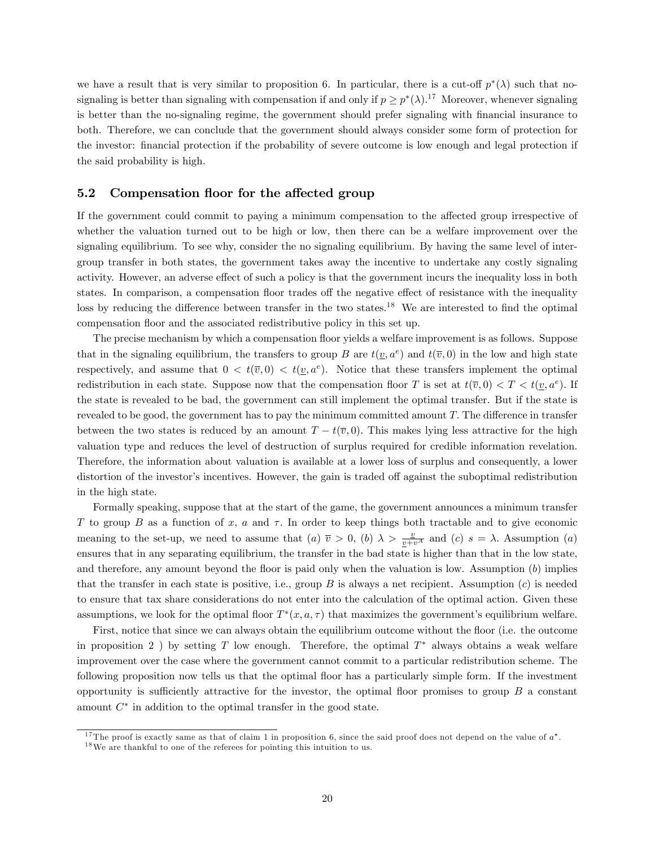we have a result that is very similar to proposition 6. In particular, there is a cut-off  $p^*(\lambda)$  such that nosignaling is better than signaling with compensation if and only if  $p \geq p^*(\lambda)$ .<sup>17</sup> Moreover, whenever signaling is better than the no-signaling regime, the government should prefer signaling with financial insurance to both. Therefore, we can conclude that the government should always consider some form of protection for the investor: Önancial protection if the probability of severe outcome is low enough and legal protection if the said probability is high.

### 5.2 Compensation floor for the affected group

If the government could commit to paying a minimum compensation to the affected group irrespective of whether the valuation turned out to be high or low, then there can be a welfare improvement over the signaling equilibrium. To see why, consider the no signaling equilibrium. By having the same level of intergroup transfer in both states, the government takes away the incentive to undertake any costly signaling activity. However, an adverse effect of such a policy is that the government incurs the inequality loss in both states. In comparison, a compensation floor trades off the negative effect of resistance with the inequality loss by reducing the difference between transfer in the two states.<sup>18</sup> We are interested to find the optimal compensation áoor and the associated redistributive policy in this set up.

The precise mechanism by which a compensation floor yields a welfare improvement is as follows. Suppose that in the signaling equilibrium, the transfers to group B are  $t(\underline{v}, a^e)$  and  $t(\overline{v}, 0)$  in the low and high state respectively, and assume that  $0 < t(\overline{v}, 0) < t(\underline{v}, a^e)$ . Notice that these transfers implement the optimal redistribution in each state. Suppose now that the compensation floor T is set at  $t(\overline{v},0) < T < t(\underline{v},a^e)$ . If the state is revealed to be bad, the government can still implement the optimal transfer. But if the state is revealed to be good, the government has to pay the minimum committed amount  $T$ . The difference in transfer between the two states is reduced by an amount  $T - t(\bar{v}, 0)$ . This makes lying less attractive for the high valuation type and reduces the level of destruction of surplus required for credible information revelation. Therefore, the information about valuation is available at a lower loss of surplus and consequently, a lower distortion of the investor's incentives. However, the gain is traded off against the suboptimal redistribution in the high state.

Formally speaking, suppose that at the start of the game, the government announces a minimum transfer T to group B as a function of x, a and  $\tau$ . In order to keep things both tractable and to give economic meaning to the set-up, we need to assume that (a)  $\bar{v} > 0$ , (b)  $\lambda > \frac{v}{v+v^A}$  and (c)  $s = \lambda$ . Assumption (a) ensures that in any separating equilibrium, the transfer in the bad state is higher than that in the low state, and therefore, any amount beyond the floor is paid only when the valuation is low. Assumption  $(b)$  implies that the transfer in each state is positive, i.e., group  $B$  is always a net recipient. Assumption  $(c)$  is needed to ensure that tax share considerations do not enter into the calculation of the optimal action. Given these assumptions, we look for the optimal floor  $T^*(x, a, \tau)$  that maximizes the government's equilibrium welfare.

First, notice that since we can always obtain the equilibrium outcome without the áoor (i.e. the outcome in proposition 2) by setting T low enough. Therefore, the optimal  $T^*$  always obtains a weak welfare improvement over the case where the government cannot commit to a particular redistribution scheme. The following proposition now tells us that the optimal floor has a particularly simple form. If the investment opportunity is sufficiently attractive for the investor, the optimal floor promises to group  $B$  a constant amount  $C^*$  in addition to the optimal transfer in the good state.

<sup>&</sup>lt;sup>17</sup>The proof is exactly same as that of claim 1 in proposition 6, since the said proof does not depend on the value of  $a^*$ .

 $^{18}\mathrm{We}$  are thankful to one of the referees for pointing this intuition to us.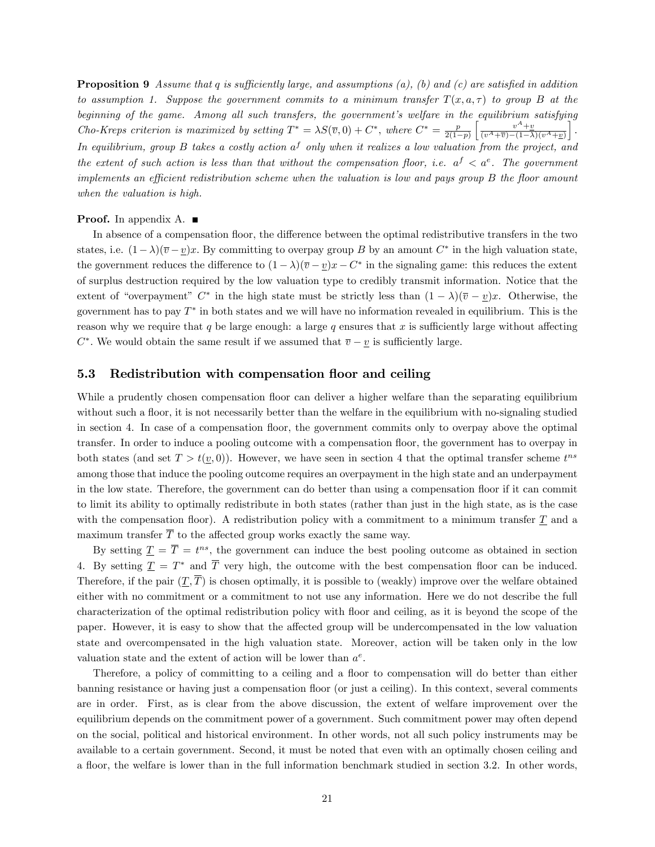**Proposition 9** Assume that q is sufficiently large, and assumptions  $(a)$ ,  $(b)$  and  $(c)$  are satisfied in addition to assumption 1. Suppose the government commits to a minimum transfer  $T(x, a, \tau)$  to group B at the beginning of the game. Among all such transfers, the government's welfare in the equilibrium satisfying Cho-Kreps criterion is maximized by setting  $T^* = \lambda S(\overline{v}, 0) + C^*$ , where  $C^* = \frac{p}{2(1-p)}$  $v^A + v$  $(v^A+\overline{v})-(1-\lambda)(v^A+\underline{v})$ i : In equilibrium, group B takes a costly action  $a^f$  only when it realizes a low valuation from the project, and the extent of such action is less than that without the compensation floor, i.e.  $a^f < a^e$ . The government implements an efficient redistribution scheme when the valuation is low and pays group  $B$  the floor amount when the valuation is high.

#### **Proof.** In appendix A.  $\blacksquare$

In absence of a compensation floor, the difference between the optimal redistributive transfers in the two states, i.e.  $(1 - \lambda)(\overline{v} - \underline{v})x$ . By committing to overpay group B by an amount  $C^*$  in the high valuation state, the government reduces the difference to  $(1 - \lambda)(\overline{v} - \underline{v})x - C^*$  in the signaling game: this reduces the extent of surplus destruction required by the low valuation type to credibly transmit information. Notice that the extent of "overpayment"  $C^*$  in the high state must be strictly less than  $(1 - \lambda)(\overline{v} - \underline{v})x$ . Otherwise, the government has to pay  $T^*$  in both states and we will have no information revealed in equilibrium. This is the reason why we require that q be large enough: a large q ensures that x is sufficiently large without affecting  $C^*$ . We would obtain the same result if we assumed that  $\overline{v} - \underline{v}$  is sufficiently large.

#### 5.3 Redistribution with compensation floor and ceiling

While a prudently chosen compensation floor can deliver a higher welfare than the separating equilibrium without such a floor, it is not necessarily better than the welfare in the equilibrium with no-signaling studied in section 4. In case of a compensation floor, the government commits only to overpay above the optimal transfer. In order to induce a pooling outcome with a compensation áoor, the government has to overpay in both states (and set  $T > t(\underline{v}, 0)$ ). However, we have seen in section 4 that the optimal transfer scheme  $t^{ns}$ among those that induce the pooling outcome requires an overpayment in the high state and an underpayment in the low state. Therefore, the government can do better than using a compensation floor if it can commit to limit its ability to optimally redistribute in both states (rather than just in the high state, as is the case with the compensation floor). A redistribution policy with a commitment to a minimum transfer  $T$  and a maximum transfer  $\overline{T}$  to the affected group works exactly the same way.

By setting  $\underline{T} = \overline{T} = t^{ns}$ , the government can induce the best pooling outcome as obtained in section 4. By setting  $\underline{T} = T^*$  and T very high, the outcome with the best compensation floor can be induced. Therefore, if the pair  $(\underline{T}, \overline{T})$  is chosen optimally, it is possible to (weakly) improve over the welfare obtained either with no commitment or a commitment to not use any information. Here we do not describe the full characterization of the optimal redistribution policy with áoor and ceiling, as it is beyond the scope of the paper. However, it is easy to show that the affected group will be undercompensated in the low valuation state and overcompensated in the high valuation state. Moreover, action will be taken only in the low valuation state and the extent of action will be lower than  $a^e$ .

Therefore, a policy of committing to a ceiling and a floor to compensation will do better than either banning resistance or having just a compensation áoor (or just a ceiling). In this context, several comments are in order. First, as is clear from the above discussion, the extent of welfare improvement over the equilibrium depends on the commitment power of a government. Such commitment power may often depend on the social, political and historical environment. In other words, not all such policy instruments may be available to a certain government. Second, it must be noted that even with an optimally chosen ceiling and a floor, the welfare is lower than in the full information benchmark studied in section 3.2. In other words,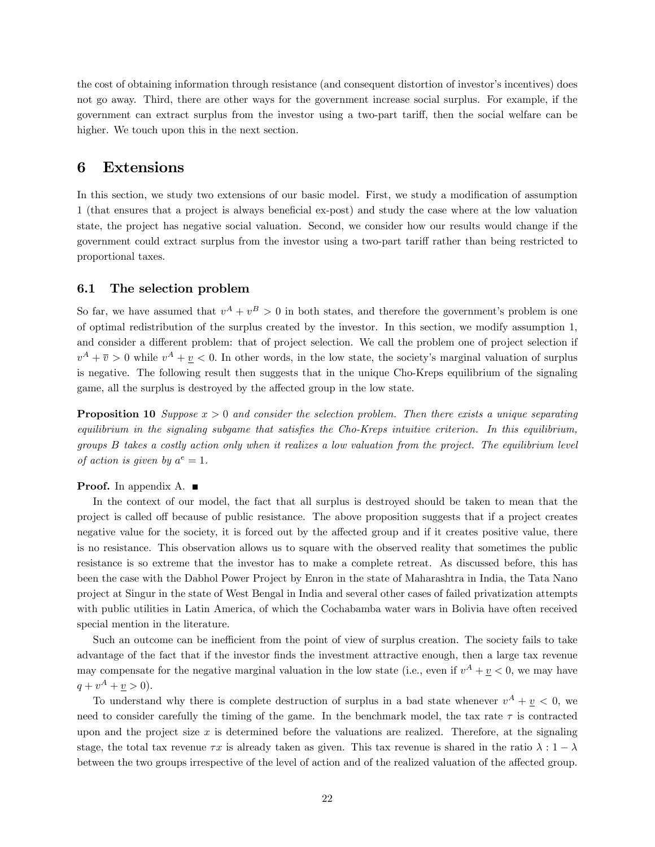the cost of obtaining information through resistance (and consequent distortion of investor's incentives) does not go away. Third, there are other ways for the government increase social surplus. For example, if the government can extract surplus from the investor using a two-part tariff, then the social welfare can be higher. We touch upon this in the next section.

# 6 Extensions

In this section, we study two extensions of our basic model. First, we study a modification of assumption 1 (that ensures that a project is always beneficial ex-post) and study the case where at the low valuation state, the project has negative social valuation. Second, we consider how our results would change if the government could extract surplus from the investor using a two-part tariff rather than being restricted to proportional taxes.

# 6.1 The selection problem

So far, we have assumed that  $v^A + v^B > 0$  in both states, and therefore the government's problem is one of optimal redistribution of the surplus created by the investor. In this section, we modify assumption 1, and consider a different problem: that of project selection. We call the problem one of project selection if  $v^A + \overline{v} > 0$  while  $v^A + \underline{v} < 0$ . In other words, in the low state, the society's marginal valuation of surplus is negative. The following result then suggests that in the unique Cho-Kreps equilibrium of the signaling game, all the surplus is destroyed by the affected group in the low state.

**Proposition 10** Suppose  $x > 0$  and consider the selection problem. Then there exists a unique separating equilibrium in the signaling subgame that satisfies the Cho-Kreps intuitive criterion. In this equilibrium, groups B takes a costly action only when it realizes a low valuation from the project. The equilibrium level of action is given by  $a^e = 1$ .

#### **Proof.** In appendix A.  $\blacksquare$

In the context of our model, the fact that all surplus is destroyed should be taken to mean that the project is called off because of public resistance. The above proposition suggests that if a project creates negative value for the society, it is forced out by the affected group and if it creates positive value, there is no resistance. This observation allows us to square with the observed reality that sometimes the public resistance is so extreme that the investor has to make a complete retreat. As discussed before, this has been the case with the Dabhol Power Project by Enron in the state of Maharashtra in India, the Tata Nano project at Singur in the state of West Bengal in India and several other cases of failed privatization attempts with public utilities in Latin America, of which the Cochabamba water wars in Bolivia have often received special mention in the literature.

Such an outcome can be inefficient from the point of view of surplus creation. The society fails to take advantage of the fact that if the investor finds the investment attractive enough, then a large tax revenue may compensate for the negative marginal valuation in the low state (i.e., even if  $v^A + \underline{v} < 0$ , we may have  $q + v^A + \underline{v} > 0$ .

To understand why there is complete destruction of surplus in a bad state whenever  $v^A + v < 0$ , we need to consider carefully the timing of the game. In the benchmark model, the tax rate  $\tau$  is contracted upon and the project size  $x$  is determined before the valuations are realized. Therefore, at the signaling stage, the total tax revenue  $\tau x$  is already taken as given. This tax revenue is shared in the ratio  $\lambda : 1 - \lambda$ between the two groups irrespective of the level of action and of the realized valuation of the affected group.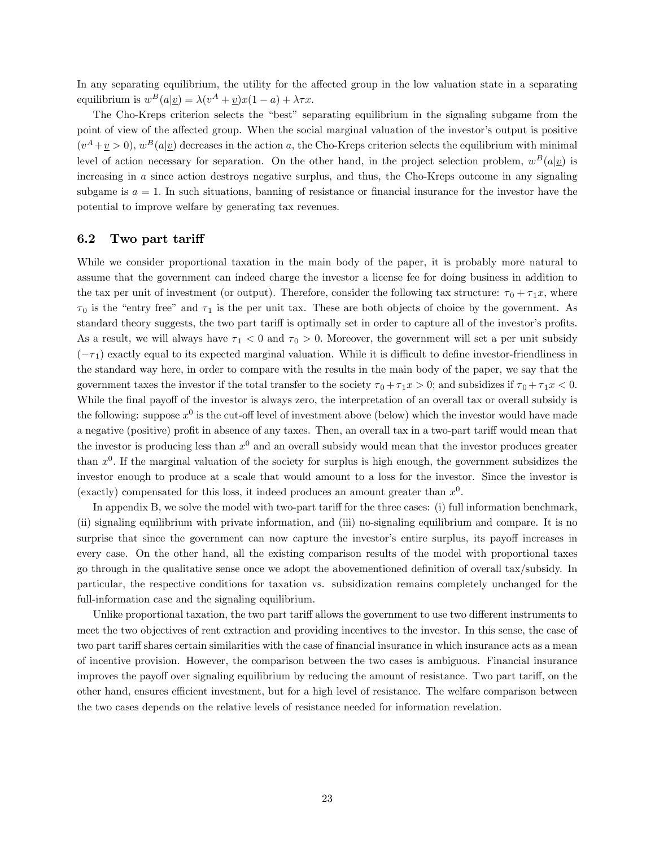In any separating equilibrium, the utility for the affected group in the low valuation state in a separating equilibrium is  $w^B(a|\underline{v}) = \lambda (v^A + \underline{v})x(1-a) + \lambda \tau x.$ 

The Cho-Kreps criterion selects the "best" separating equilibrium in the signaling subgame from the point of view of the affected group. When the social marginal valuation of the investor's output is positive  $(v^A + \underline{v} > 0), w^B(a|\underline{v})$  decreases in the action a, the Cho-Kreps criterion selects the equilibrium with minimal level of action necessary for separation. On the other hand, in the project selection problem,  $w^B(a|\underline{v})$  is increasing in  $a$  since action destroys negative surplus, and thus, the Cho-Kreps outcome in any signaling subgame is  $a = 1$ . In such situations, banning of resistance or financial insurance for the investor have the potential to improve welfare by generating tax revenues.

#### 6.2 Two part tariff

While we consider proportional taxation in the main body of the paper, it is probably more natural to assume that the government can indeed charge the investor a license fee for doing business in addition to the tax per unit of investment (or output). Therefore, consider the following tax structure:  $\tau_0 + \tau_1 x$ , where  $\tau_0$  is the "entry free" and  $\tau_1$  is the per unit tax. These are both objects of choice by the government. As standard theory suggests, the two part tariff is optimally set in order to capture all of the investor's profits. As a result, we will always have  $\tau_1 < 0$  and  $\tau_0 > 0$ . Moreover, the government will set a per unit subsidy  $(-\tau_1)$  exactly equal to its expected marginal valuation. While it is difficult to define investor-friendliness in the standard way here, in order to compare with the results in the main body of the paper, we say that the government taxes the investor if the total transfer to the society  $\tau_0 + \tau_1 x > 0$ ; and subsidizes if  $\tau_0 + \tau_1 x < 0$ . While the final payoff of the investor is always zero, the interpretation of an overall tax or overall subsidy is the following: suppose  $x^0$  is the cut-off level of investment above (below) which the investor would have made a negative (positive) profit in absence of any taxes. Then, an overall tax in a two-part tariff would mean that the investor is producing less than  $x^0$  and an overall subsidy would mean that the investor produces greater than  $x^0$ . If the marginal valuation of the society for surplus is high enough, the government subsidizes the investor enough to produce at a scale that would amount to a loss for the investor. Since the investor is (exactly) compensated for this loss, it indeed produces an amount greater than  $x^0$ .

In appendix B, we solve the model with two-part tariff for the three cases: (i) full information benchmark. (ii) signaling equilibrium with private information, and (iii) no-signaling equilibrium and compare. It is no surprise that since the government can now capture the investor's entire surplus, its payoff increases in every case. On the other hand, all the existing comparison results of the model with proportional taxes go through in the qualitative sense once we adopt the abovementioned deÖnition of overall tax/subsidy. In particular, the respective conditions for taxation vs. subsidization remains completely unchanged for the full-information case and the signaling equilibrium.

Unlike proportional taxation, the two part tariff allows the government to use two different instruments to meet the two objectives of rent extraction and providing incentives to the investor. In this sense, the case of two part tariff shares certain similarities with the case of financial insurance in which insurance acts as a mean of incentive provision. However, the comparison between the two cases is ambiguous. Financial insurance improves the payoff over signaling equilibrium by reducing the amount of resistance. Two part tariff, on the other hand, ensures efficient investment, but for a high level of resistance. The welfare comparison between the two cases depends on the relative levels of resistance needed for information revelation.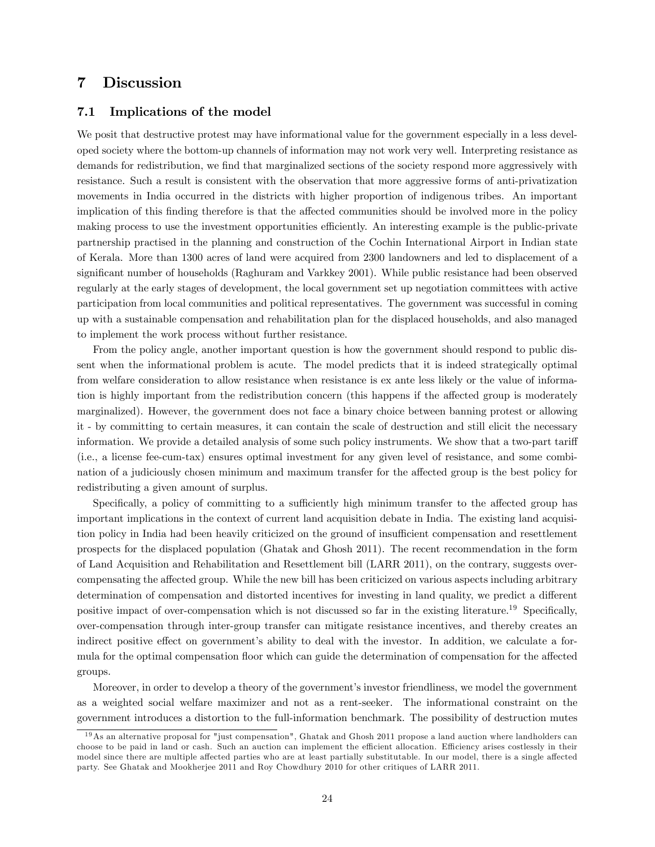# 7 Discussion

### 7.1 Implications of the model

We posit that destructive protest may have informational value for the government especially in a less developed society where the bottom-up channels of information may not work very well. Interpreting resistance as demands for redistribution, we find that marginalized sections of the society respond more aggressively with resistance. Such a result is consistent with the observation that more aggressive forms of anti-privatization movements in India occurred in the districts with higher proportion of indigenous tribes. An important implication of this finding therefore is that the affected communities should be involved more in the policy making process to use the investment opportunities efficiently. An interesting example is the public-private partnership practised in the planning and construction of the Cochin International Airport in Indian state of Kerala. More than 1300 acres of land were acquired from 2300 landowners and led to displacement of a significant number of households (Raghuram and Varkkey 2001). While public resistance had been observed regularly at the early stages of development, the local government set up negotiation committees with active participation from local communities and political representatives. The government was successful in coming up with a sustainable compensation and rehabilitation plan for the displaced households, and also managed to implement the work process without further resistance.

From the policy angle, another important question is how the government should respond to public dissent when the informational problem is acute. The model predicts that it is indeed strategically optimal from welfare consideration to allow resistance when resistance is ex ante less likely or the value of information is highly important from the redistribution concern (this happens if the affected group is moderately marginalized). However, the government does not face a binary choice between banning protest or allowing it - by committing to certain measures, it can contain the scale of destruction and still elicit the necessary information. We provide a detailed analysis of some such policy instruments. We show that a two-part tariff (i.e., a license fee-cum-tax) ensures optimal investment for any given level of resistance, and some combination of a judiciously chosen minimum and maximum transfer for the affected group is the best policy for redistributing a given amount of surplus.

Specifically, a policy of committing to a sufficiently high minimum transfer to the affected group has important implications in the context of current land acquisition debate in India. The existing land acquisition policy in India had been heavily criticized on the ground of insufficient compensation and resettlement prospects for the displaced population (Ghatak and Ghosh 2011). The recent recommendation in the form of Land Acquisition and Rehabilitation and Resettlement bill (LARR 2011), on the contrary, suggests overcompensating the affected group. While the new bill has been criticized on various aspects including arbitrary determination of compensation and distorted incentives for investing in land quality, we predict a different positive impact of over-compensation which is not discussed so far in the existing literature.<sup>19</sup> Specifically, over-compensation through inter-group transfer can mitigate resistance incentives, and thereby creates an indirect positive effect on government's ability to deal with the investor. In addition, we calculate a formula for the optimal compensation floor which can guide the determination of compensation for the affected groups.

Moreover, in order to develop a theory of the government's investor friendliness, we model the government as a weighted social welfare maximizer and not as a rent-seeker. The informational constraint on the government introduces a distortion to the full-information benchmark. The possibility of destruction mutes

<sup>&</sup>lt;sup>19</sup>As an alternative proposal for "just compensation", Ghatak and Ghosh 2011 propose a land auction where landholders can choose to be paid in land or cash. Such an auction can implement the efficient allocation. Efficiency arises costlessly in their model since there are multiple affected parties who are at least partially substitutable. In our model, there is a single affected party. See Ghatak and Mookherjee 2011 and Roy Chowdhury 2010 for other critiques of LARR 2011.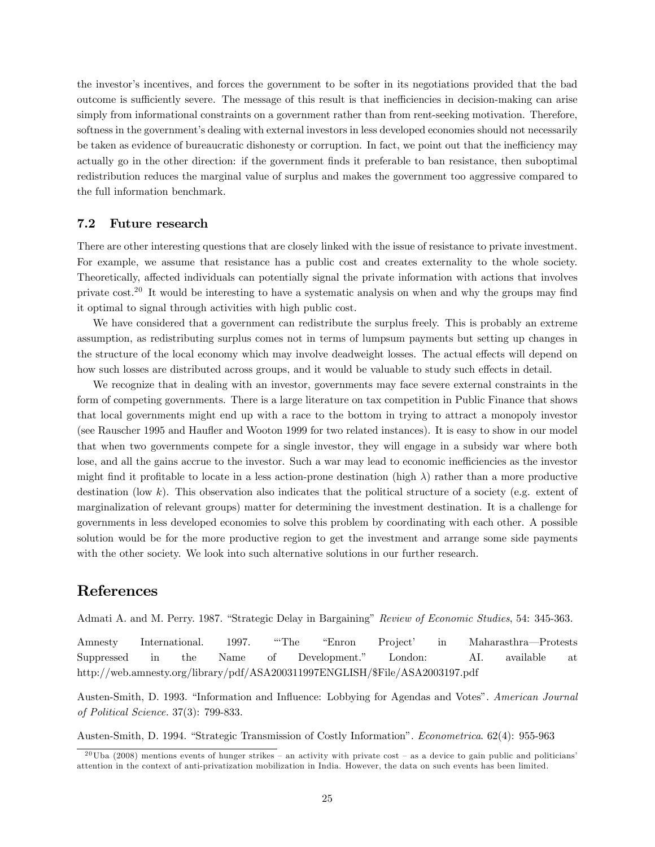the investorís incentives, and forces the government to be softer in its negotiations provided that the bad outcome is sufficiently severe. The message of this result is that inefficiencies in decision-making can arise simply from informational constraints on a government rather than from rent-seeking motivation. Therefore, softness in the government's dealing with external investors in less developed economies should not necessarily be taken as evidence of bureaucratic dishonesty or corruption. In fact, we point out that the inefficiency may actually go in the other direction: if the government finds it preferable to ban resistance, then suboptimal redistribution reduces the marginal value of surplus and makes the government too aggressive compared to the full information benchmark.

### 7.2 Future research

There are other interesting questions that are closely linked with the issue of resistance to private investment. For example, we assume that resistance has a public cost and creates externality to the whole society. Theoretically, affected individuals can potentially signal the private information with actions that involves private cost.<sup>20</sup> It would be interesting to have a systematic analysis on when and why the groups may find it optimal to signal through activities with high public cost.

We have considered that a government can redistribute the surplus freely. This is probably an extreme assumption, as redistributing surplus comes not in terms of lumpsum payments but setting up changes in the structure of the local economy which may involve deadweight losses. The actual effects will depend on how such losses are distributed across groups, and it would be valuable to study such effects in detail.

We recognize that in dealing with an investor, governments may face severe external constraints in the form of competing governments. There is a large literature on tax competition in Public Finance that shows that local governments might end up with a race to the bottom in trying to attract a monopoly investor (see Rauscher 1995 and Haufler and Wooton 1999 for two related instances). It is easy to show in our model that when two governments compete for a single investor, they will engage in a subsidy war where both lose, and all the gains accrue to the investor. Such a war may lead to economic inefficiencies as the investor might find it profitable to locate in a less action-prone destination (high  $\lambda$ ) rather than a more productive destination (low  $k$ ). This observation also indicates that the political structure of a society (e.g. extent of marginalization of relevant groups) matter for determining the investment destination. It is a challenge for governments in less developed economies to solve this problem by coordinating with each other. A possible solution would be for the more productive region to get the investment and arrange some side payments with the other society. We look into such alternative solutions in our further research.

# References

Admati A. and M. Perry. 1987. "Strategic Delay in Bargaining" Review of Economic Studies, 54: 345-363.

Amnesty International. 1997. "The "Enron Project' in Maharasthra—Protests Suppressed in the Name of Development." London: AI. available at http://web.amnesty.org/library/pdf/ASA200311997ENGLISH/\$File/ASA2003197.pdf

Austen-Smith, D. 1993. "Information and Influence: Lobbying for Agendas and Votes". American Journal of Political Science. 37(3): 799-833.

Austen-Smith, D. 1994. "Strategic Transmission of Costly Information". Econometrica. 62(4): 955-963

<sup>&</sup>lt;sup>20</sup>Uba (2008) mentions events of hunger strikes – an activity with private cost – as a device to gain public and politicians attention in the context of anti-privatization mobilization in India. However, the data on such events has been limited.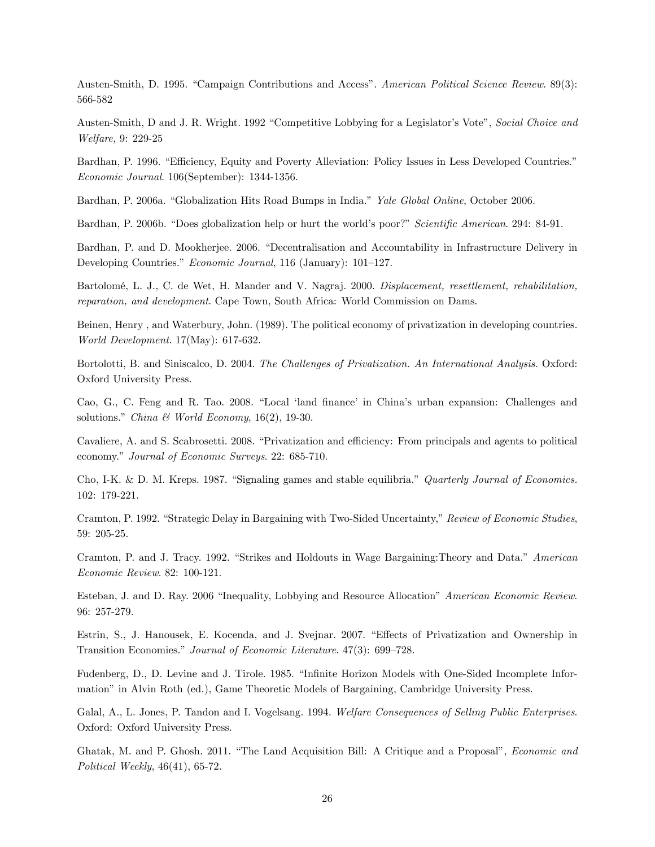Austen-Smith, D. 1995. "Campaign Contributions and Access". American Political Science Review. 89(3): 566-582

Austen-Smith, D and J. R. Wright. 1992 "Competitive Lobbying for a Legislator's Vote", Social Choice and Welfare, 9: 229-25

Bardhan, P. 1996. "Efficiency, Equity and Poverty Alleviation: Policy Issues in Less Developed Countries." Economic Journal. 106(September): 1344-1356.

Bardhan, P. 2006a. "Globalization Hits Road Bumps in India." Yale Global Online, October 2006.

Bardhan, P. 2006b. "Does globalization help or hurt the world's poor?" Scientific American. 294: 84-91.

Bardhan, P. and D. Mookherjee. 2006. "Decentralisation and Accountability in Infrastructure Delivery in Developing Countries." Economic Journal, 116 (January): 101-127.

Bartolomé, L. J., C. de Wet, H. Mander and V. Nagraj. 2000. *Displacement, resettlement, rehabilitation*, reparation, and development. Cape Town, South Africa: World Commission on Dams.

Beinen, Henry , and Waterbury, John. (1989). The political economy of privatization in developing countries. World Development. 17(May): 617-632.

Bortolotti, B. and Siniscalco, D. 2004. The Challenges of Privatization. An International Analysis. Oxford: Oxford University Press.

Cao, G., C. Feng and R. Tao. 2008. "Local 'land finance' in China's urban expansion: Challenges and solutions." China & World Economy,  $16(2)$ , 19-30.

Cavaliere, A. and S. Scabrosetti. 2008. "Privatization and efficiency: From principals and agents to political economy." Journal of Economic Surveys. 22: 685-710.

Cho, I-K. & D. M. Kreps. 1987. "Signaling games and stable equilibria." Quarterly Journal of Economics. 102: 179-221.

Cramton, P. 1992. "Strategic Delay in Bargaining with Two-Sided Uncertainty," Review of Economic Studies, 59: 205-25.

Cramton, P. and J. Tracy. 1992. "Strikes and Holdouts in Wage Bargaining: Theory and Data." American Economic Review. 82: 100-121.

Esteban, J. and D. Ray. 2006 "Inequality, Lobbying and Resource Allocation" American Economic Review. 96: 257-279.

Estrin, S., J. Hanousek, E. Kocenda, and J. Svejnar. 2007. "Effects of Privatization and Ownership in Transition Economies." Journal of Economic Literature. 47(3): 699–728.

Fudenberg, D., D. Levine and J. Tirole. 1985. "Infinite Horizon Models with One-Sided Incomplete Information" in Alvin Roth (ed.), Game Theoretic Models of Bargaining, Cambridge University Press.

Galal, A., L. Jones, P. Tandon and I. Vogelsang. 1994. Welfare Consequences of Selling Public Enterprises. Oxford: Oxford University Press.

Ghatak, M. and P. Ghosh. 2011. "The Land Acquisition Bill: A Critique and a Proposal", Economic and Political Weekly, 46(41), 65-72.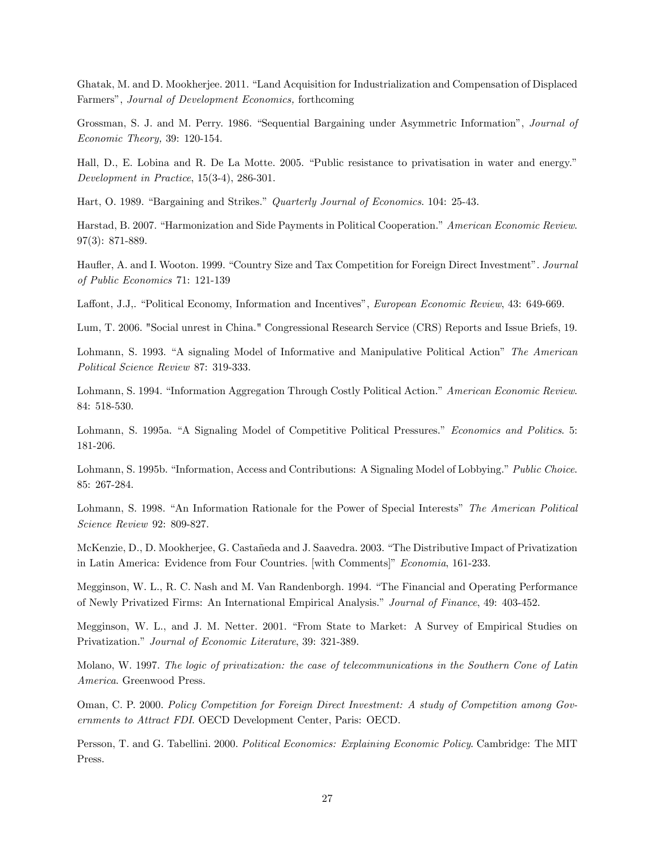Ghatak, M. and D. Mookherjee. 2011. "Land Acquisition for Industrialization and Compensation of Displaced Farmers", Journal of Development Economics, forthcoming

Grossman, S. J. and M. Perry. 1986. "Sequential Bargaining under Asymmetric Information", Journal of Economic Theory, 39: 120-154.

Hall, D., E. Lobina and R. De La Motte. 2005. "Public resistance to privatisation in water and energy." Development in Practice, 15(3-4), 286-301.

Hart, O. 1989. "Bargaining and Strikes." Quarterly Journal of Economics. 104: 25-43.

Harstad, B. 2007. "Harmonization and Side Payments in Political Cooperation." American Economic Review. 97(3): 871-889.

Haufler, A. and I. Wooton. 1999. "Country Size and Tax Competition for Foreign Direct Investment". Journal of Public Economics 71: 121-139

Laffont, J.J.. "Political Economy, Information and Incentives", European Economic Review, 43: 649-669.

Lum, T. 2006. "Social unrest in China." Congressional Research Service (CRS) Reports and Issue Briefs, 19.

Lohmann, S. 1993. "A signaling Model of Informative and Manipulative Political Action" The American Political Science Review 87: 319-333.

Lohmann, S. 1994. "Information Aggregation Through Costly Political Action." American Economic Review. 84: 518-530.

Lohmann, S. 1995a. "A Signaling Model of Competitive Political Pressures." Economics and Politics. 5: 181-206.

Lohmann, S. 1995b. "Information, Access and Contributions: A Signaling Model of Lobbying." Public Choice. 85: 267-284.

Lohmann, S. 1998. "An Information Rationale for the Power of Special Interests" The American Political Science Review 92: 809-827.

McKenzie, D., D. Mookherjee, G. Castañeda and J. Saavedra. 2003. "The Distributive Impact of Privatization in Latin America: Evidence from Four Countries. [with Comments]" Economia, 161-233.

Megginson, W. L., R. C. Nash and M. Van Randenborgh. 1994. "The Financial and Operating Performance of Newly Privatized Firms: An International Empirical Analysis." Journal of Finance, 49: 403-452.

Megginson, W. L., and J. M. Netter. 2001. "From State to Market: A Survey of Empirical Studies on Privatization." Journal of Economic Literature, 39: 321-389.

Molano, W. 1997. The logic of privatization: the case of telecommunications in the Southern Cone of Latin America. Greenwood Press.

Oman, C. P. 2000. Policy Competition for Foreign Direct Investment: A study of Competition among Governments to Attract FDI. OECD Development Center, Paris: OECD.

Persson, T. and G. Tabellini. 2000. Political Economics: Explaining Economic Policy. Cambridge: The MIT Press.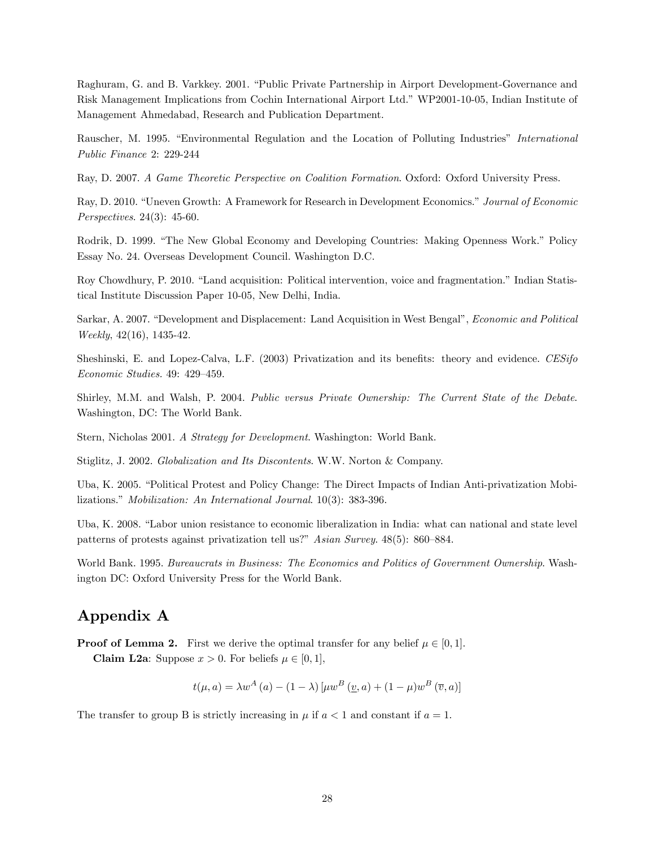Raghuram, G. and B. Varkkey. 2001. "Public Private Partnership in Airport Development-Governance and Risk Management Implications from Cochin International Airport Ltd." WP2001-10-05, Indian Institute of Management Ahmedabad, Research and Publication Department.

Rauscher, M. 1995. "Environmental Regulation and the Location of Polluting Industries" *International* Public Finance 2: 229-244

Ray, D. 2007. A Game Theoretic Perspective on Coalition Formation. Oxford: Oxford University Press.

Ray, D. 2010. "Uneven Growth: A Framework for Research in Development Economics." Journal of Economic Perspectives. 24(3): 45-60.

Rodrik, D. 1999. "The New Global Economy and Developing Countries: Making Openness Work." Policy Essay No. 24. Overseas Development Council. Washington D.C.

Roy Chowdhury, P. 2010. "Land acquisition: Political intervention, voice and fragmentation." Indian Statistical Institute Discussion Paper 10-05, New Delhi, India.

Sarkar, A. 2007. "Development and Displacement: Land Acquisition in West Bengal", *Economic and Political* Weekly, 42(16), 1435-42.

Sheshinski, E. and Lopez-Calva, L.F. (2003) Privatization and its benefits: theory and evidence. CESifo Economic Studies. 49: 429-459.

Shirley, M.M. and Walsh, P. 2004. Public versus Private Ownership: The Current State of the Debate. Washington, DC: The World Bank.

Stern, Nicholas 2001. A Strategy for Development. Washington: World Bank.

Stiglitz, J. 2002. Globalization and Its Discontents. W.W. Norton & Company.

Uba, K. 2005. "Political Protest and Policy Change: The Direct Impacts of Indian Anti-privatization Mobilizations." Mobilization: An International Journal. 10(3): 383-396.

Uba, K. 2008. "Labor union resistance to economic liberalization in India: what can national and state level patterns of protests against privatization tell us?"  $Asian$  Survey. 48(5): 860–884.

World Bank. 1995. Bureaucrats in Business: The Economics and Politics of Government Ownership. Washington DC: Oxford University Press for the World Bank.

# Appendix A

**Proof of Lemma 2.** First we derive the optimal transfer for any belief  $\mu \in [0, 1]$ .

**Claim L2a:** Suppose  $x > 0$ . For beliefs  $\mu \in [0, 1]$ ,

$$
t(\mu, a) = \lambda w^A(a) - (1 - \lambda) \left[ \mu w^B(\underline{v}, a) + (1 - \mu) w^B(\overline{v}, a) \right]
$$

The transfer to group B is strictly increasing in  $\mu$  if  $a < 1$  and constant if  $a = 1$ .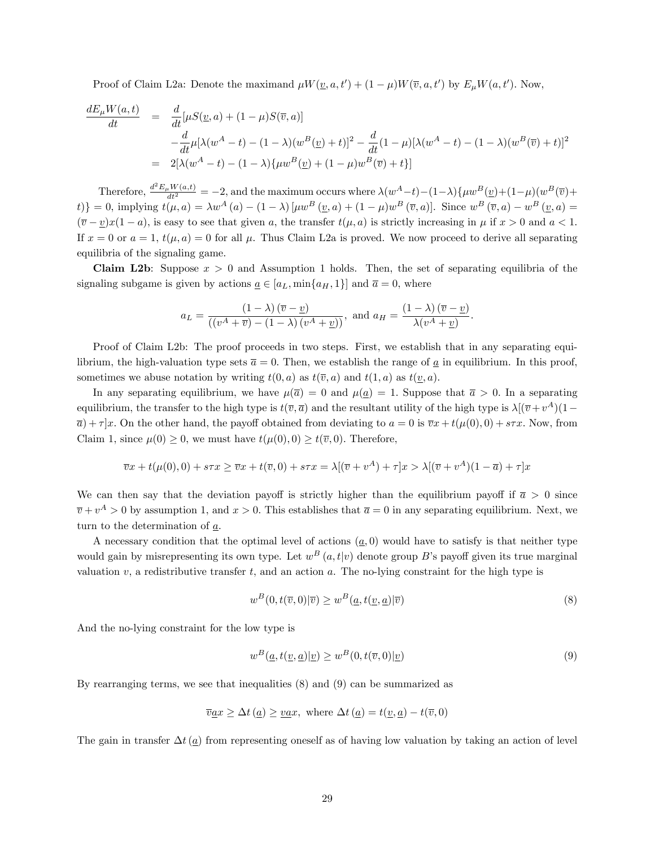Proof of Claim L2a: Denote the maximand  $\mu W(\underline{v}, a, t') + (1 - \mu)W(\overline{v}, a, t')$  by  $E_{\mu}W(a, t')$ . Now,

$$
\frac{dE_{\mu}W(a,t)}{dt} = \frac{d}{dt}[\mu S(\underline{v}, a) + (1 - \mu)S(\overline{v}, a)]
$$
  
\n
$$
-\frac{d}{dt}\mu[\lambda(w^{A} - t) - (1 - \lambda)(w^{B}(\underline{v}) + t)]^{2} - \frac{d}{dt}(1 - \mu)[\lambda(w^{A} - t) - (1 - \lambda)(w^{B}(\overline{v}) + t)]^{2}
$$
  
\n
$$
= 2[\lambda(w^{A} - t) - (1 - \lambda)\{\mu w^{B}(\underline{v}) + (1 - \mu)w^{B}(\overline{v}) + t\}]
$$

Therefore,  $\frac{d^2 E_{\mu} W(a,t)}{dt^2} = -2$ , and the maximum occurs where  $\lambda(w^A - t) - (1 - \lambda) \{\mu w^B(\underline{v}) + (1 - \mu)(w^B(\overline{v}) + \lambda) \}$  $\{t\}\}=0$ , implying  $t(\mu, a) = \lambda w^A(a) - (1-\lambda) \left[\mu w^B(\underline{v}, a) + (1-\mu) w^B(\overline{v}, a)\right]$ . Since  $w^B(\overline{v}, a) - w^B(\underline{v}, a) = 0$  $(\overline{v} - \underline{v})x(1 - a)$ , is easy to see that given a, the transfer  $t(\mu, a)$  is strictly increasing in  $\mu$  if  $x > 0$  and  $a < 1$ . If  $x = 0$  or  $a = 1$ ,  $t(\mu, a) = 0$  for all  $\mu$ . Thus Claim L2a is proved. We now proceed to derive all separating equilibria of the signaling game.

Claim L2b: Suppose  $x > 0$  and Assumption 1 holds. Then, the set of separating equilibria of the signaling subgame is given by actions  $\underline{a} \in [a_L, \min\{a_H, 1\}]$  and  $\overline{a} = 0$ , where

$$
a_L = \frac{(1 - \lambda) (\overline{v} - \underline{v})}{((v^A + \overline{v}) - (1 - \lambda) (v^A + \underline{v}))}, \text{ and } a_H = \frac{(1 - \lambda) (\overline{v} - \underline{v})}{\lambda (v^A + \underline{v})}.
$$

Proof of Claim L2b: The proof proceeds in two steps. First, we establish that in any separating equilibrium, the high-valuation type sets  $\bar{a} = 0$ . Then, we establish the range of  $\underline{a}$  in equilibrium. In this proof, sometimes we abuse notation by writing  $t(0, a)$  as  $t(\overline{v}, a)$  and  $t(1, a)$  as  $t(v, a)$ .

In any separating equilibrium, we have  $\mu(\bar{a}) = 0$  and  $\mu(\underline{a}) = 1$ . Suppose that  $\bar{a} > 0$ . In a separating equilibrium, the transfer to the high type is  $t(\overline{v}, \overline{a})$  and the resultant utility of the high type is  $\lambda[(\overline{v} + v^A)(1 \overline{a}$ ) +  $\tau |x$ . On the other hand, the payoff obtained from deviating to  $a = 0$  is  $\overline{v}x + t(\mu(0), 0) + s\tau x$ . Now, from Claim 1, since  $\mu(0) \geq 0$ , we must have  $t(\mu(0), 0) \geq t(\overline{v}, 0)$ . Therefore,

$$
\overline{v}x + t(\mu(0),0) + s\tau x \ge \overline{v}x + t(\overline{v},0) + s\tau x = \lambda[(\overline{v} + v^A) + \tau]x > \lambda[(\overline{v} + v^A)(1 - \overline{a}) + \tau]x
$$

We can then say that the deviation payoff is strictly higher than the equilibrium payoff if  $\bar{a} > 0$  since  $\overline{v} + v^A > 0$  by assumption 1, and  $x > 0$ . This establishes that  $\overline{a} = 0$  in any separating equilibrium. Next, we turn to the determination of a.

A necessary condition that the optimal level of actions  $(a, 0)$  would have to satisfy is that neither type would gain by misrepresenting its own type. Let  $w^B(a,t|v)$  denote group B's payoff given its true marginal valuation  $v$ , a redistributive transfer  $t$ , and an action  $a$ . The no-lying constraint for the high type is

$$
w^{B}(0, t(\overline{v}, 0)|\overline{v}) \ge w^{B}(\underline{a}, t(\underline{v}, \underline{a})|\overline{v})
$$
\n
$$
(8)
$$

And the no-lying constraint for the low type is

$$
w^{B}(\underline{a}, t(\underline{v}, \underline{a}) | \underline{v}) \ge w^{B}(0, t(\overline{v}, 0) | \underline{v})
$$
\n<sup>(9)</sup>

By rearranging terms, we see that inequalities (8) and (9) can be summarized as

$$
\overline{v} \underline{a} x \geq \Delta t \left( \underline{a} \right) \geq \underline{v} \underline{a} x, \text{ where } \Delta t \left( \underline{a} \right) = t(\underline{v}, \underline{a}) - t(\overline{v}, 0)
$$

The gain in transfer  $\Delta t(\underline{a})$  from representing oneself as of having low valuation by taking an action of level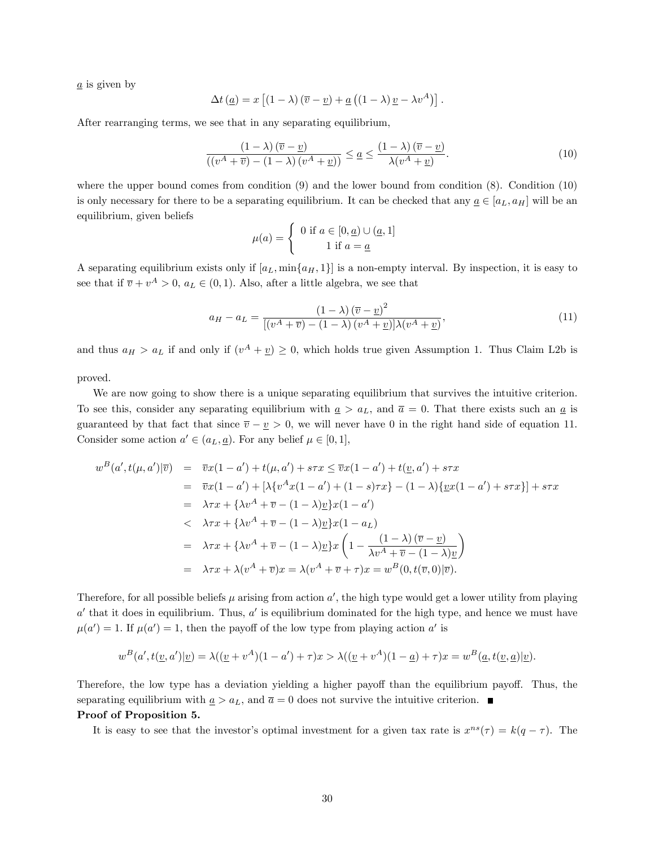$\alpha$  is given by

$$
\Delta t \left( \underline{a} \right) = x \left[ \left( 1 - \lambda \right) \left( \overline{v} - \underline{v} \right) + \underline{a} \left( \left( 1 - \lambda \right) \underline{v} - \lambda v^A \right) \right].
$$

After rearranging terms, we see that in any separating equilibrium,

$$
\frac{\left(1-\lambda\right)\left(\overline{v}-\underline{v}\right)}{\left(\left(v^A+\overline{v}\right)-\left(1-\lambda\right)\left(v^A+\underline{v}\right)\right)} \leq \underline{a} \leq \frac{\left(1-\lambda\right)\left(\overline{v}-\underline{v}\right)}{\lambda\left(v^A+\underline{v}\right)}.\tag{10}
$$

where the upper bound comes from condition (9) and the lower bound from condition (8). Condition (10) is only necessary for there to be a separating equilibrium. It can be checked that any  $\underline{a} \in [a_L, a_H]$  will be an equilibrium, given beliefs

$$
\mu(a) = \begin{cases} 0 \text{ if } a \in [0, \underline{a}) \cup (\underline{a}, 1] \\ 1 \text{ if } a = \underline{a} \end{cases}
$$

A separating equilibrium exists only if  $[a_L, \min\{a_H, 1\}]$  is a non-empty interval. By inspection, it is easy to see that if  $\overline{v} + v^A > 0$ ,  $a_L \in (0, 1)$ . Also, after a little algebra, we see that

$$
a_H - a_L = \frac{(1 - \lambda)\left(\overline{v} - \underline{v}\right)^2}{\left[(v^A + \overline{v}) - (1 - \lambda)\left(v^A + \underline{v}\right)\right]\lambda(v^A + \underline{v})},\tag{11}
$$

and thus  $a_H > a_L$  if and only if  $(v^A + v) \geq 0$ , which holds true given Assumption 1. Thus Claim L2b is

proved.

We are now going to show there is a unique separating equilibrium that survives the intuitive criterion. To see this, consider any separating equilibrium with  $\underline{a} > a_L$ , and  $\overline{a} = 0$ . That there exists such an  $\underline{a}$  is guaranteed by that fact that since  $\overline{v} - \underline{v} > 0$ , we will never have 0 in the right hand side of equation 11. Consider some action  $a' \in (a_L, \underline{a})$ . For any belief  $\mu \in [0, 1]$ ,

$$
w^{B}(a', t(\mu, a')|\overline{v}) = \overline{v}x(1 - a') + t(\mu, a') + s\tau x \le \overline{v}x(1 - a') + t(\underline{v}, a') + s\tau x
$$
  
\n
$$
= \overline{v}x(1 - a') + [\lambda\{v^{A}x(1 - a') + (1 - s)\tau x\} - (1 - \lambda)\{\underline{v}x(1 - a') + s\tau x\}] + s\tau x
$$
  
\n
$$
= \lambda\tau x + \{\lambda v^{A} + \overline{v} - (1 - \lambda)\underline{v}\}x(1 - a')
$$
  
\n
$$
= \lambda\tau x + \{\lambda v^{A} + \overline{v} - (1 - \lambda)\underline{v}\}x(1 - a_{L})
$$
  
\n
$$
= \lambda\tau x + \{\lambda v^{A} + \overline{v} - (1 - \lambda)\underline{v}\}x\left(1 - \frac{(1 - \lambda)(\overline{v} - \underline{v})}{\lambda v^{A} + \overline{v} - (1 - \lambda)\underline{v}}\right)
$$
  
\n
$$
= \lambda\tau x + \lambda(v^{A} + \overline{v})x = \lambda(v^{A} + \overline{v} + \tau)x = w^{B}(0, t(\overline{v}, 0)|\overline{v}).
$$

Therefore, for all possible beliefs  $\mu$  arising from action  $a'$ , the high type would get a lower utility from playing  $a'$  that it does in equilibrium. Thus,  $a'$  is equilibrium dominated for the high type, and hence we must have  $\mu(a') = 1$ . If  $\mu(a') = 1$ , then the payoff of the low type from playing action a' is

$$
w^B(a', t(\underline{v}, a')|\underline{v}) = \lambda((\underline{v} + v^A)(1 - a') + \tau)x > \lambda((\underline{v} + v^A)(1 - \underline{a}) + \tau)x = w^B(\underline{a}, t(\underline{v}, \underline{a})|\underline{v}).
$$

Therefore, the low type has a deviation yielding a higher payoff than the equilibrium payoff. Thus, the separating equilibrium with  $\underline{a} > a_L$ , and  $\overline{a} = 0$  does not survive the intuitive criterion.

# Proof of Proposition 5.

It is easy to see that the investor's optimal investment for a given tax rate is  $x^{ns}(\tau) = k(q - \tau)$ . The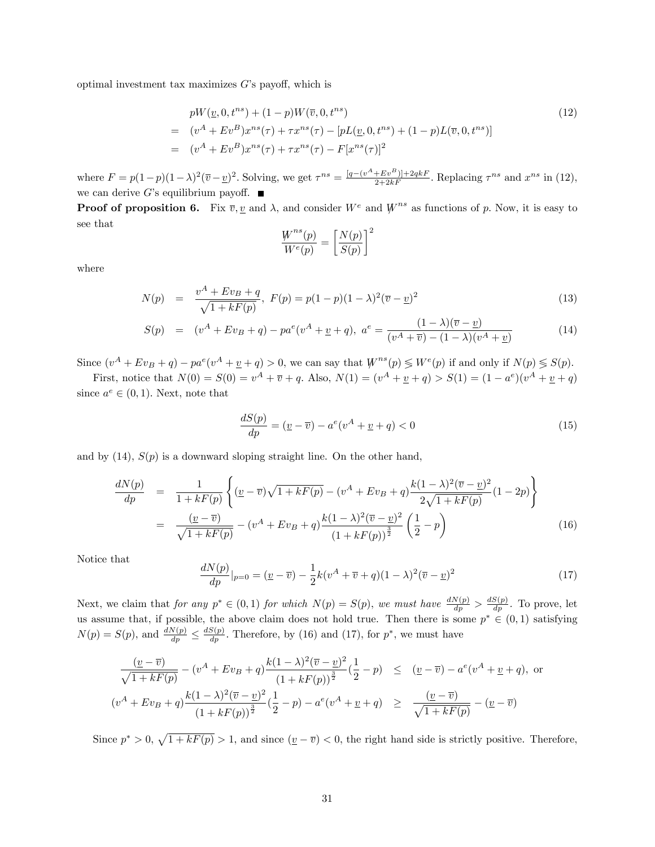optimal investment tax maximizes  $G$ 's payoff, which is

$$
pW(\underline{v}, 0, t^{ns}) + (1 - p)W(\overline{v}, 0, t^{ns})
$$
  
= 
$$
(v^{A} + Ev^{B})x^{ns}(\tau) + \tau x^{ns}(\tau) - [pL(\underline{v}, 0, t^{ns}) + (1 - p)L(\overline{v}, 0, t^{ns})]
$$
  
= 
$$
(v^{A} + Ev^{B})x^{ns}(\tau) + \tau x^{ns}(\tau) - F[x^{ns}(\tau)]^{2}
$$
 (12)

where  $F = p(1-p)(1-\lambda)^2(\overline{v}-\underline{v})^2$ . Solving, we get  $\tau^{ns} = \frac{[q-(v^A+Ev^B)]+2qkF}{2+2kF}$ . Replacing  $\tau^{ns}$  and  $x^{ns}$  in (12), we can derive G's equilibrium payoff.  $\blacksquare$ 

**Proof of proposition 6.** Fix  $\overline{v}, \underline{v}$  and  $\lambda$ , and consider  $W^e$  and  $W^{ns}$  as functions of p. Now, it is easy to see that 2

$$
\frac{W^{ns}(p)}{W^{e}(p)} = \left[\frac{N(p)}{S(p)}\right]^2
$$

where

$$
N(p) = \frac{v^A + E v_B + q}{\sqrt{1 + kF(p)}}, \ F(p) = p(1 - p)(1 - \lambda)^2 (\overline{v} - \underline{v})^2
$$
\n(13)

$$
S(p) = (v^{A} + Ev_{B} + q) - pa^{e}(v^{A} + \underline{v} + q), \ a^{e} = \frac{(1 - \lambda)(\overline{v} - \underline{v})}{(v^{A} + \overline{v}) - (1 - \lambda)(v^{A} + \underline{v})}
$$
(14)

Since  $(v^A + Ev_B + q) - pa^e(v^A + \underline{v} + q) > 0$ , we can say that  $W^{ns}(p) \leq W^e(p)$  if and only if  $N(p) \leq S(p)$ .

First, notice that  $N(0) = S(0) = v^A + \overline{v} + q$ . Also,  $N(1) = (v^A + \underline{v} + q) > S(1) = (1 - a^e)(v^A + \underline{v} + q)$ since  $a^e \in (0, 1)$ . Next, note that

$$
\frac{dS(p)}{dp} = (\underline{v} - \overline{v}) - a^e(v^A + \underline{v} + q) < 0 \tag{15}
$$

and by  $(14)$ ,  $S(p)$  is a downward sloping straight line. On the other hand,

$$
\frac{dN(p)}{dp} = \frac{1}{1 + kF(p)} \left\{ (\underline{v} - \overline{v})\sqrt{1 + kF(p)} - (v^A + Ev_B + q) \frac{k(1 - \lambda)^2 (\overline{v} - \underline{v})^2}{2\sqrt{1 + kF(p)}} (1 - 2p) \right\}
$$
\n
$$
= \frac{(\underline{v} - \overline{v})}{\sqrt{1 + kF(p)}} - (v^A + Ev_B + q) \frac{k(1 - \lambda)^2 (\overline{v} - \underline{v})^2}{(1 + kF(p))^{\frac{3}{2}}} \left(\frac{1}{2} - p\right) \tag{16}
$$

Notice that

$$
\frac{dN(p)}{dp}|_{p=0} = (\underline{v} - \overline{v}) - \frac{1}{2}k(v^A + \overline{v} + q)(1 - \lambda)^2(\overline{v} - \underline{v})^2
$$
\n(17)

Next, we claim that for any  $p^* \in (0,1)$  for which  $N(p) = S(p)$ , we must have  $\frac{dN(p)}{dp} > \frac{dS(p)}{dp}$ . To prove, let us assume that, if possible, the above claim does not hold true. Then there is some  $p^* \in (0,1)$  satisfying  $N(p) = S(p)$ , and  $\frac{dN(p)}{dp} \leq \frac{dS(p)}{dp}$ . Therefore, by (16) and (17), for  $p^*$ , we must have

$$
\frac{(\underline{v} - \overline{v})}{\sqrt{1 + kF(p)}} - (v^A + Ev_B + q) \frac{k(1 - \lambda)^2 (\overline{v} - \underline{v})^2}{(1 + kF(p))^{\frac{3}{2}}} \left(\frac{1}{2} - p\right) \le (\underline{v} - \overline{v}) - a^e (v^A + \underline{v} + q), \text{ or}
$$
  

$$
(v^A + Ev_B + q) \frac{k(1 - \lambda)^2 (\overline{v} - \underline{v})^2}{(1 + kF(p))^{\frac{3}{2}}} \left(\frac{1}{2} - p\right) - a^e (v^A + \underline{v} + q) \ge \frac{(\underline{v} - \overline{v})}{\sqrt{1 + kF(p)}} - (\underline{v} - \overline{v})
$$

Since  $p^* > 0$ ,  $\sqrt{1 + kF(p)} > 1$ , and since  $(\underline{v} - \overline{v}) < 0$ , the right hand side is strictly positive. Therefore,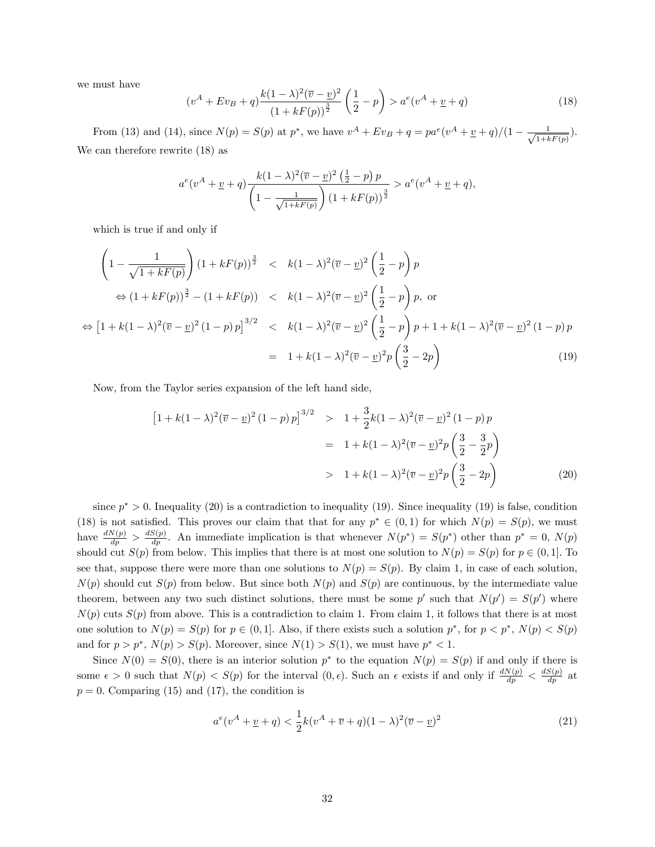we must have

$$
(v^{A} + Ev_{B} + q)\frac{k(1 - \lambda)^{2}(\overline{v} - \underline{v})^{2}}{(1 + kF(p))^{\frac{3}{2}}} \left(\frac{1}{2} - p\right) > a^{e}(v^{A} + \underline{v} + q)
$$
\n(18)

From (13) and (14), since  $N(p) = S(p)$  at  $p^*$ , we have  $v^A + E v_B + q = p a^e (v^A + \underline{v} + q)/(1 - \frac{1}{\sqrt{1+k}})$  $\frac{1}{1+kF(p)}$ ). We can therefore rewrite (18) as

$$
a^{e}(v^{A} + \underline{v} + q) \frac{k(1 - \lambda)^{2}(\overline{v} - \underline{v})^{2}(\frac{1}{2} - p) p}{\left(1 - \frac{1}{\sqrt{1 + kF(p)}}\right) (1 + kF(p))^{\frac{3}{2}}} > a^{e}(v^{A} + \underline{v} + q),
$$

which is true if and only if

$$
\left(1 - \frac{1}{\sqrt{1 + kF(p)}}\right) (1 + kF(p))^{\frac{3}{2}} < k(1 - \lambda)^{2} (\overline{v} - \underline{v})^{2} \left(\frac{1}{2} - p\right) p
$$
  
\n
$$
\Leftrightarrow (1 + kF(p))^{\frac{3}{2}} - (1 + kF(p)) < k(1 - \lambda)^{2} (\overline{v} - \underline{v})^{2} \left(\frac{1}{2} - p\right) p, \text{ or}
$$
  
\n
$$
\Leftrightarrow [1 + k(1 - \lambda)^{2} (\overline{v} - \underline{v})^{2} (1 - p) p]^{3/2} < k(1 - \lambda)^{2} (\overline{v} - \underline{v})^{2} \left(\frac{1}{2} - p\right) p + 1 + k(1 - \lambda)^{2} (\overline{v} - \underline{v})^{2} (1 - p) p
$$
  
\n
$$
= 1 + k(1 - \lambda)^{2} (\overline{v} - \underline{v})^{2} p \left(\frac{3}{2} - 2p\right)
$$
(19)

Now, from the Taylor series expansion of the left hand side,

$$
\begin{aligned}\n\left[1 + k(1 - \lambda)^2 (\overline{v} - \underline{v})^2 (1 - p) p\right]^{3/2} &\geq 1 + \frac{3}{2} k(1 - \lambda)^2 (\overline{v} - \underline{v})^2 (1 - p) p \\
&= 1 + k(1 - \lambda)^2 (\overline{v} - \underline{v})^2 p \left(\frac{3}{2} - \frac{3}{2}p\right) \\
&\geq 1 + k(1 - \lambda)^2 (\overline{v} - \underline{v})^2 p \left(\frac{3}{2} - 2p\right)\n\end{aligned} \tag{20}
$$

since  $p^* > 0$ . Inequality (20) is a contradiction to inequality (19). Since inequality (19) is false, condition (18) is not satisfied. This proves our claim that that for any  $p^* \in (0,1)$  for which  $N(p) = S(p)$ , we must have  $\frac{dN(p)}{dp} > \frac{dS(p)}{dp}$ . An immediate implication is that whenever  $N(p^*) = S(p^*)$  other than  $p^* = 0$ ,  $N(p)$ should cut  $S(p)$  from below. This implies that there is at most one solution to  $N(p) = S(p)$  for  $p \in (0, 1]$ . To see that, suppose there were more than one solutions to  $N(p) = S(p)$ . By claim 1, in case of each solution,  $N(p)$  should cut  $S(p)$  from below. But since both  $N(p)$  and  $S(p)$  are continuous, by the intermediate value theorem, between any two such distinct solutions, there must be some  $p'$  such that  $N(p') = S(p')$  where  $N(p)$  cuts  $S(p)$  from above. This is a contradiction to claim 1. From claim 1, it follows that there is at most one solution to  $N(p) = S(p)$  for  $p \in (0, 1]$ . Also, if there exists such a solution  $p^*$ , for  $p < p^*$ ,  $N(p) < S(p)$ and for  $p > p^*$ ,  $N(p) > S(p)$ . Moreover, since  $N(1) > S(1)$ , we must have  $p^* < 1$ .

Since  $N(0) = S(0)$ , there is an interior solution  $p^*$  to the equation  $N(p) = S(p)$  if and only if there is some  $\epsilon > 0$  such that  $N(p) < S(p)$  for the interval  $(0, \epsilon)$ . Such an  $\epsilon$  exists if and only if  $\frac{dN(p)}{dp} < \frac{dS(p)}{dp}$  at  $p = 0$ . Comparing (15) and (17), the condition is

$$
a^{e}(v^{A} + \underline{v} + q) < \frac{1}{2}k(v^{A} + \overline{v} + q)(1 - \lambda)^{2}(\overline{v} - \underline{v})^{2} \tag{21}
$$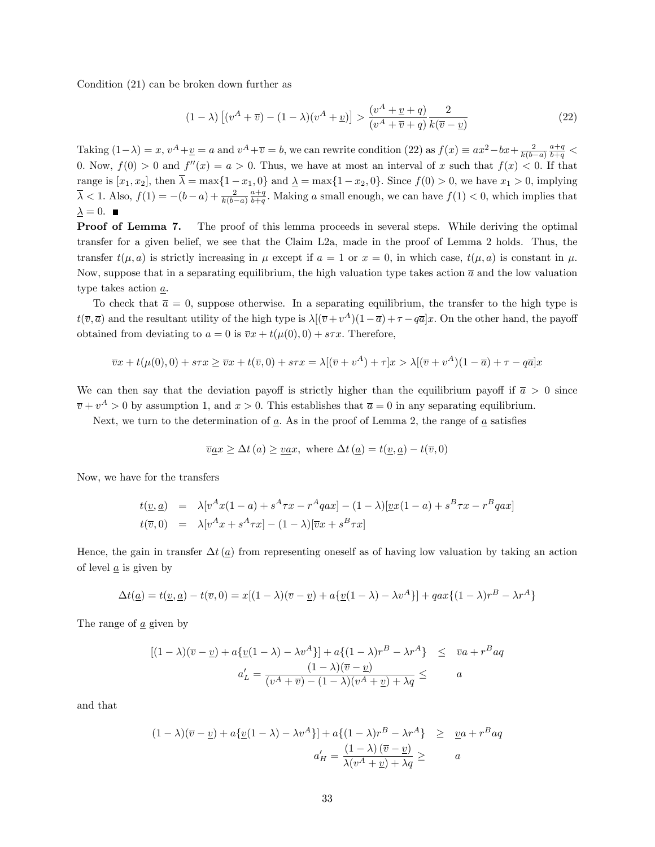Condition (21) can be broken down further as

$$
(1 - \lambda) \left[ (v^A + \overline{v}) - (1 - \lambda)(v^A + \underline{v}) \right] > \frac{(v^A + \underline{v} + q)}{(v^A + \overline{v} + q)} \frac{2}{k(\overline{v} - \underline{v})}
$$
(22)

Taking  $(1-\lambda) = x$ ,  $v^A + v = a$  and  $v^A + \overline{v} = b$ , we can rewrite condition  $(22)$  as  $f(x) \equiv ax^2 - bx + \frac{2}{k(b-a)} \frac{a+q}{b+q}$ 0. Now,  $f(0) > 0$  and  $f''(x) = a > 0$ . Thus, we have at most an interval of x such that  $f(x) < 0$ . If that range is  $[x_1, x_2]$ , then  $\overline{\lambda} = \max\{1 - x_1, 0\}$  and  $\underline{\lambda} = \max\{1 - x_2, 0\}$ . Since  $f(0) > 0$ , we have  $x_1 > 0$ , implying  $\overline{\lambda}$  < 1. Also,  $f(1) = -(b-a) + \frac{2}{k(b-a)} \frac{a+q}{b+q}$ . Making a small enough, we can have  $f(1) < 0$ , which implies that  $\underline{\lambda} = 0.$ 

**Proof of Lemma 7.** The proof of this lemma proceeds in several steps. While deriving the optimal transfer for a given belief, we see that the Claim L2a, made in the proof of Lemma 2 holds. Thus, the transfer  $t(\mu, a)$  is strictly increasing in  $\mu$  except if  $a = 1$  or  $x = 0$ , in which case,  $t(\mu, a)$  is constant in  $\mu$ . Now, suppose that in a separating equilibrium, the high valuation type takes action  $\bar{a}$  and the low valuation type takes action  $\underline{a}$ .

To check that  $\bar{a} = 0$ , suppose otherwise. In a separating equilibrium, the transfer to the high type is  $t(\overline{v}, \overline{a})$  and the resultant utility of the high type is  $\lambda[(\overline{v} + v^A)(1 - \overline{a}) + \tau - q\overline{a}]x$ . On the other hand, the payoff obtained from deviating to  $a = 0$  is  $\overline{v}x + t(\mu(0), 0) + s\tau x$ . Therefore,

$$
\overline{v}x + t(\mu(0),0) + s\tau x \ge \overline{v}x + t(\overline{v},0) + s\tau x = \lambda[(\overline{v} + v^A) + \tau]x > \lambda[(\overline{v} + v^A)(1 - \overline{a}) + \tau - q\overline{a}]x
$$

We can then say that the deviation payoff is strictly higher than the equilibrium payoff if  $\bar{a} > 0$  since  $\overline{v} + v^A > 0$  by assumption 1, and  $x > 0$ . This establishes that  $\overline{a} = 0$  in any separating equilibrium.

Next, we turn to the determination of  $\underline{a}$ . As in the proof of Lemma 2, the range of  $\underline{a}$  satisfies

$$
\overline{v}ax \ge \Delta t (a) \ge \underline{v}ax
$$
, where  $\Delta t (\underline{a}) = t(\underline{v}, \underline{a}) - t(\overline{v}, 0)$ 

Now, we have for the transfers

$$
t(\underline{v}, \underline{a}) = \lambda [v^A x (1 - a) + s^A \tau x - r^A q a x] - (1 - \lambda) [\underline{v} x (1 - a) + s^B \tau x - r^B q a x]
$$
  

$$
t(\overline{v}, 0) = \lambda [v^A x + s^A \tau x] - (1 - \lambda) [\overline{v} x + s^B \tau x]
$$

Hence, the gain in transfer  $\Delta t(\underline{a})$  from representing oneself as of having low valuation by taking an action of level  $\underline{a}$  is given by

$$
\Delta t(\underline{a}) = t(\underline{v}, \underline{a}) - t(\overline{v}, 0) = x[(1 - \lambda)(\overline{v} - \underline{v}) + a\{\underline{v}(1 - \lambda) - \lambda v^A\}] + qax\{(1 - \lambda)r^B - \lambda r^A\}
$$

The range of  $\underline{a}$  given by

$$
[(1 - \lambda)(\overline{v} - \underline{v}) + a\{\underline{v}(1 - \lambda) - \lambda v^A\}] + a\{(1 - \lambda)r^B - \lambda r^A\} \le \overline{v}a + r^B aq
$$
  

$$
a'_L = \frac{(1 - \lambda)(\overline{v} - \underline{v})}{(v^A + \overline{v}) - (1 - \lambda)(v^A + \underline{v}) + \lambda q} \le a
$$

and that

$$
(1 - \lambda)(\overline{v} - \underline{v}) + a\{\underline{v}(1 - \lambda) - \lambda v^A\}] + a\{(1 - \lambda)r^B - \lambda r^A\} \ge \underline{v}a + r^B aq
$$

$$
a'_H = \frac{(1 - \lambda)(\overline{v} - \underline{v})}{\lambda(v^A + \underline{v}) + \lambda q} \ge a
$$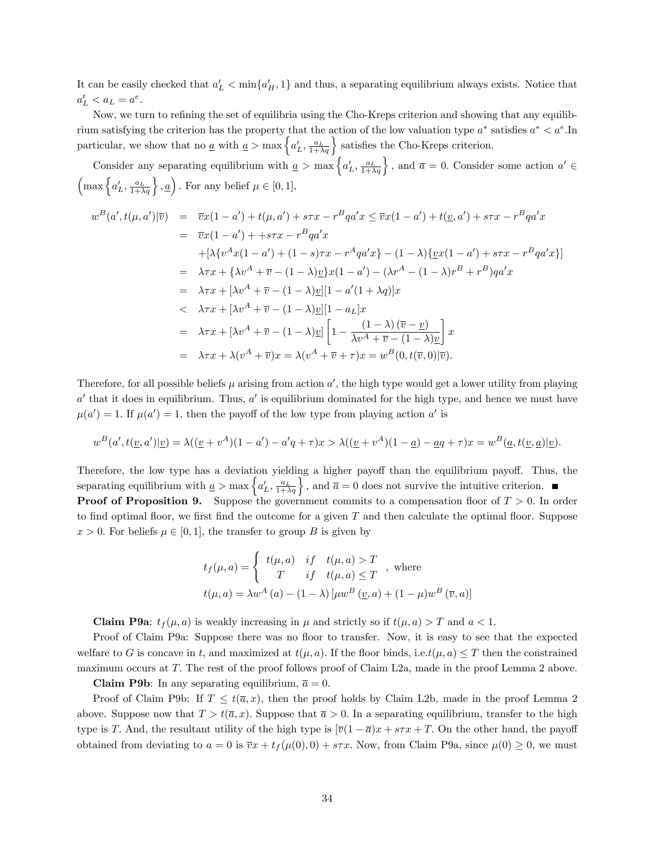It can be easily checked that  $a'_L < \min\{a'_H, 1\}$  and thus, a separating equilibrium always exists. Notice that  $a'_L < a_L = a^e.$ 

Now, we turn to refining the set of equilibria using the Cho-Kreps criterion and showing that any equilibrium satisfying the criterion has the property that the action of the low valuation type  $a^*$  satisfies  $a^* < a^e$ . In particular, we show that no <u>a</u> with  $\underline{a} > \max\left\{a'_L, \frac{a_L}{1+\lambda q}\right\}$  satisfies the Cho-Kreps criterion.

Consider any separating equilibrium with  $\underline{a} > \max\left\{a'_L, \frac{a_L}{1+\lambda q}\right\}$ , and  $\overline{a} = 0$ . Consider some action  $a' \in$  $\left(\max\left\{a'_L, \frac{a_L}{1+\lambda q}\right\}, \underline{a}\right)$ . For any belief  $\mu \in [0,1],$ 

$$
w^{B}(a', t(\mu, a')|\overline{v}) = \overline{v}x(1 - a') + t(\mu, a') + s\tau x - r^{B}qa'x \le \overline{v}x(1 - a') + t(\underline{v}, a') + s\tau x - r^{B}qa'x
$$
  
\n
$$
= \overline{v}x(1 - a') + s\tau x - r^{B}qa'x
$$
  
\n
$$
+[\lambda\{v^{A}x(1 - a') + (1 - s)\tau x - r^{A}qa'x\} - (1 - \lambda)\{\underline{v}x(1 - a') + s\tau x - r^{B}qa'x\}]
$$
  
\n
$$
= \lambda\tau x + {\lambda}v^{A} + \overline{v} - (1 - \lambda)\underline{v}\}x(1 - a') - (\lambda r^{A} - (1 - \lambda)r^{B} + r^{B})qa'x
$$
  
\n
$$
= \lambda\tau x + [\lambda v^{A} + \overline{v} - (1 - \lambda)\underline{v}][1 - a'(1 + \lambda q)]x
$$
  
\n
$$
< \lambda\tau x + [\lambda v^{A} + \overline{v} - (1 - \lambda)\underline{v}][1 - a_{L}]x
$$
  
\n
$$
= \lambda\tau x + [\lambda v^{A} + \overline{v} - (1 - \lambda)\underline{v}]\left[1 - \frac{(1 - \lambda)(\overline{v} - \underline{v})}{\lambda v^{A} + \overline{v} - (1 - \lambda)\underline{v}}\right]x
$$
  
\n
$$
= \lambda\tau x + \lambda(v^{A} + \overline{v})x = \lambda(v^{A} + \overline{v} + \tau)x = w^{B}(0, t(\overline{v}, 0)|\overline{v}).
$$

Therefore, for all possible beliefs  $\mu$  arising from action  $a'$ , the high type would get a lower utility from playing  $a'$  that it does in equilibrium. Thus,  $a'$  is equilibrium dominated for the high type, and hence we must have  $\mu(a') = 1$ . If  $\mu(a') = 1$ , then the payoff of the low type from playing action a' is

$$
w^{B}(a', t(\underline{v}, a')|\underline{v}) = \lambda((\underline{v} + v^{A})(1 - a') - a'q + \tau)x > \lambda((\underline{v} + v^{A})(1 - \underline{a}) - \underline{a}q + \tau)x = w^{B}(\underline{a}, t(\underline{v}, \underline{a})|\underline{v}).
$$

Therefore, the low type has a deviation yielding a higher payoff than the equilibrium payoff. Thus, the separating equilibrium with  $\underline{a} > \max\left\{a'_L, \frac{a_L}{1+\lambda q}\right\}$ , and  $\overline{a} = 0$  does not survive the intuitive criterion. **Proof of Proposition 9.** Suppose the government commits to a compensation floor of  $T > 0$ . In order to find optimal floor, we first find the outcome for a given  $T$  and then calculate the optimal floor. Suppose

$$
t_f(\mu, a) = \begin{cases} t(\mu, a) & if \quad t(\mu, a) > T \\ T & if \quad t(\mu, a) \le T \end{cases}
$$
, where  

$$
t(\mu, a) = \lambda w^A(a) - (1 - \lambda) [\mu w^B(\underline{v}, a) + (1 - \mu) w^B(\overline{v}, a)]
$$

**Claim P9a:**  $t_f(\mu, a)$  is weakly increasing in  $\mu$  and strictly so if  $t(\mu, a) > T$  and  $a < 1$ .

Proof of Claim P9a: Suppose there was no floor to transfer. Now, it is easy to see that the expected welfare to G is concave in t, and maximized at  $t(\mu, a)$ . If the floor binds, i.e.  $t(\mu, a) \leq T$  then the constrained maximum occurs at T: The rest of the proof follows proof of Claim L2a, made in the proof Lemma 2 above.

**Claim P9b:** In any separating equilibrium,  $\bar{a} = 0$ .

 $x > 0$ . For beliefs  $\mu \in [0, 1]$ , the transfer to group B is given by

Proof of Claim P9b: If  $T \leq t(\overline{a}, x)$ , then the proof holds by Claim L2b, made in the proof Lemma 2 above. Suppose now that  $T > t(\bar{a}, x)$ . Suppose that  $\bar{a} > 0$ . In a separating equilibrium, transfer to the high type is T. And, the resultant utility of the high type is  $\overline{v}(1-\overline{a})x + s\tau x + T$ . On the other hand, the payoff obtained from deviating to  $a = 0$  is  $\overline{v}x + t_f(\mu(0), 0) + s\tau x$ . Now, from Claim P9a, since  $\mu(0) \geq 0$ , we must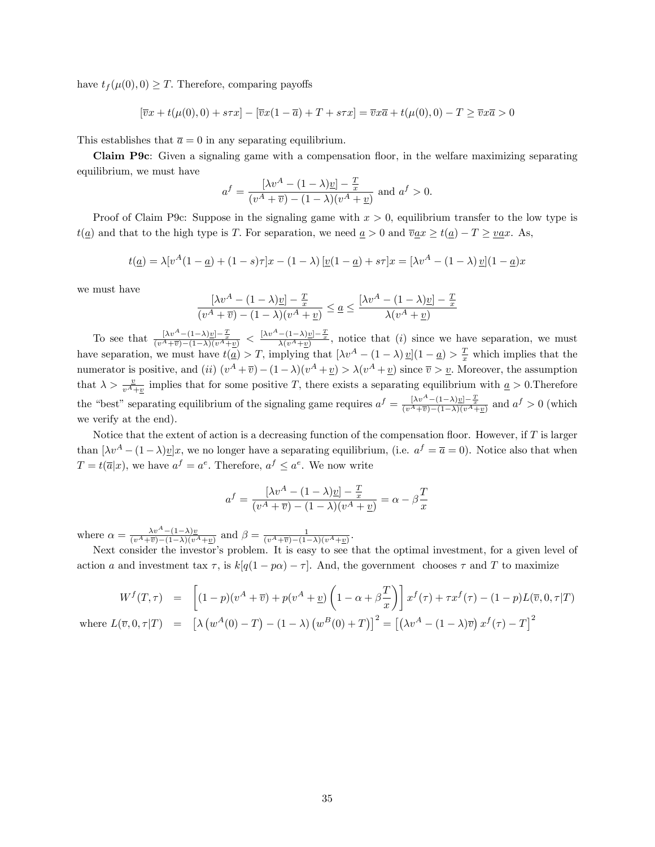have  $t_f(\mu(0), 0) \geq T$ . Therefore, comparing payoffs

$$
[\overline{v}x+t(\mu(0),0)+s\tau x]-[\overline{v}x(1-\overline{a})+T+s\tau x]=\overline{v}x\overline{a}+t(\mu(0),0)-T\geq \overline{v}x\overline{a}>0
$$

This establishes that  $\bar{a} = 0$  in any separating equilibrium.

Claim P9c: Given a signaling game with a compensation floor, in the welfare maximizing separating equilibrium, we must have

$$
a^{f} = \frac{[\lambda v^{A} - (1 - \lambda)\underline{v}] - \frac{T}{x}}{(v^{A} + \overline{v}) - (1 - \lambda)(v^{A} + \underline{v})}
$$
 and  $a^{f} > 0$ .

Proof of Claim P9c: Suppose in the signaling game with  $x > 0$ , equilibrium transfer to the low type is  $t(a)$  and that to the high type is T. For separation, we need  $a > 0$  and  $\overline{v}ax \ge t(a) - T \ge vax$ . As,

$$
t(\underline{a}) = \lambda[v^A(1-\underline{a}) + (1-s)\tau]x - (1-\lambda)[\underline{v}(1-\underline{a}) + s\tau]x = [\lambda v^A - (1-\lambda)\underline{v}](1-\underline{a})x
$$

we must have

$$
\frac{[\lambda v^A - (1 - \lambda)v] - \frac{T}{x}}{(v^A + \overline{v}) - (1 - \lambda)(v^A + v)} \le \underline{a} \le \frac{[\lambda v^A - (1 - \lambda)v] - \frac{T}{x}}{\lambda(v^A + v)}
$$

To see that  $\frac{\left[\lambda v^A - (1-\lambda) \underline{v}\right] - \frac{T}{x}}{\left(v^A + \overline{v}\right) - (1-\lambda)\left(v^A + \underline{v}\right)} < \frac{\left[\lambda v^A - (1-\lambda) \underline{v}\right] - \frac{T}{x}}{\lambda \left(v^A + \underline{v}\right)}$ , notice that (*i*) since we have separation, we must have separation, we must have  $t(a) > T$ , implying that  $[\lambda v^A - (1 - \lambda) \underline{v}](1 - a) > \frac{T}{x}$  which implies that the numerator is positive, and  $(ii)$   $(v^A + \overline{v}) - (1 - \lambda)(v^A + \underline{v}) > \lambda(v^A + \underline{v})$  since  $\overline{v} > \underline{v}$ . Moreover, the assumption that  $\lambda > \frac{v}{v^A+v}$  implies that for some positive T, there exists a separating equilibrium with  $\underline{a} > 0$ . Therefore the "best" separating equilibrium of the signaling game requires  $a^f = \frac{[\lambda v^A - (1-\lambda)y] - \frac{T}{x}}{(v^A + \overline{v}) - (1-\lambda)(v^A + \underline{v})}$  and  $a^f > 0$  (which we verify at the end).

Notice that the extent of action is a decreasing function of the compensation floor. However, if  $T$  is larger than  $[\lambda v^A - (1 - \lambda) v]x$ , we no longer have a separating equilibrium, (i.e.  $a^f = \overline{a} = 0$ ). Notice also that when  $T = t(\overline{a}|x)$ , we have  $a^f = a^e$ . Therefore,  $a^f \le a^e$ . We now write

$$
a^{f} = \frac{[\lambda v^{A} - (1 - \lambda)\underline{v}] - \frac{T}{x}}{(v^{A} + \overline{v}) - (1 - \lambda)(v^{A} + \underline{v})} = \alpha - \beta \frac{T}{x}
$$

where  $\alpha = \frac{\lambda v^A - (1-\lambda)v}{(v^A + \overline{v}) - (1-\lambda)v^B}$  $\frac{\lambda v^{\alpha}-(1-\lambda)\underline{v}}{(v^A+\overline{v})-(1-\lambda)(v^A+\underline{v})}$  and  $\beta = \frac{1}{(v^A+\overline{v})-(1-\lambda)(v^A+\underline{v})}$ .

Next consider the investor's problem. It is easy to see that the optimal investment, for a given level of action a and investment tax  $\tau$ , is  $k[q(1 - p\alpha) - \tau]$ . And, the government chooses  $\tau$  and T to maximize

$$
W^f(T,\tau) = \left[ (1-p)(v^A + \overline{v}) + p(v^A + \underline{v}) \left( 1 - \alpha + \beta \frac{T}{x} \right) \right] x^f(\tau) + \tau x^f(\tau) - (1-p)L(\overline{v}, 0, \tau | T)
$$
  
where  $L(\overline{v}, 0, \tau | T) = \left[ \lambda \left( w^A(0) - T \right) - (1-\lambda) \left( w^B(0) + T \right) \right]^2 = \left[ \left( \lambda v^A - (1-\lambda)\overline{v} \right) x^f(\tau) - T \right]^2$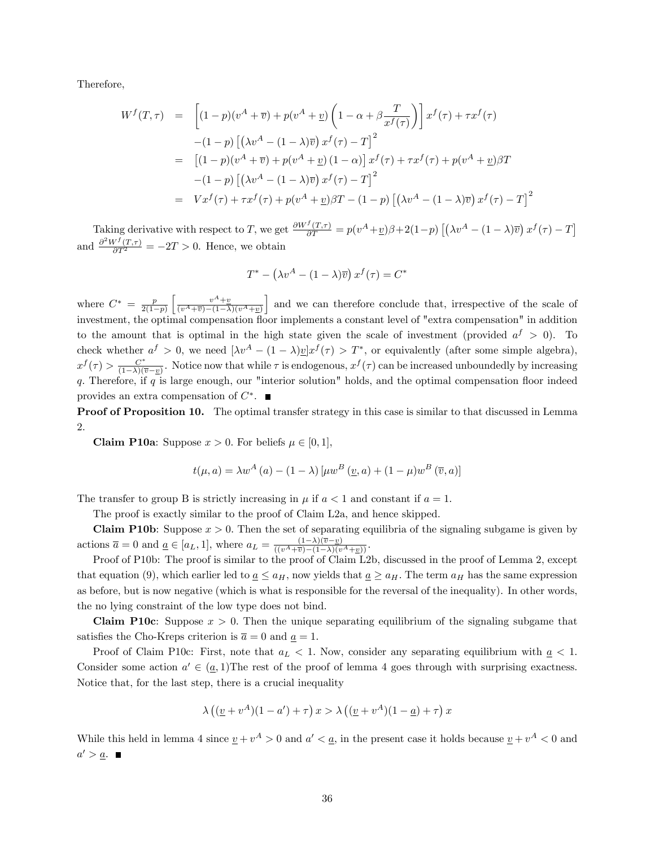Therefore,

$$
W^f(T,\tau) = \left[ (1-p)(v^A + \overline{v}) + p(v^A + \underline{v}) \left( 1 - \alpha + \beta \frac{T}{x^f(\tau)} \right) \right] x^f(\tau) + \tau x^f(\tau)
$$
  

$$
- (1-p) \left[ \left( \lambda v^A - (1-\lambda)\overline{v} \right) x^f(\tau) - T \right]^2
$$
  

$$
= \left[ (1-p)(v^A + \overline{v}) + p(v^A + \underline{v}) (1-\alpha) \right] x^f(\tau) + \tau x^f(\tau) + p(v^A + \underline{v}) \beta T
$$
  

$$
- (1-p) \left[ \left( \lambda v^A - (1-\lambda)\overline{v} \right) x^f(\tau) - T \right]^2
$$
  

$$
= V x^f(\tau) + \tau x^f(\tau) + p(v^A + \underline{v}) \beta T - (1-p) \left[ \left( \lambda v^A - (1-\lambda)\overline{v} \right) x^f(\tau) - T \right]^2
$$

Taking derivative with respect to T, we get  $\frac{\partial W^f(T,\tau)}{\partial T} = p(v^A + v)\beta + 2(1-p)\left[\left(\lambda v^A - (1-\lambda)\overline{v}\right)x^f(\tau) - T\right]$ and  $\frac{\partial^2 W^f(T,\tau)}{\partial T^2} = -2T > 0$ . Hence, we obtain

$$
T^* - (\lambda v^A - (1 - \lambda)\overline{v}) x^f(\tau) = C^*
$$

where  $C^* = \frac{p}{2(1-p)}$  $v^A + v$  $(v^A+\overline{v})-(1-\lambda)(v^A+\underline{v})$ and we can therefore conclude that, irrespective of the scale of investment, the optimal compensation floor implements a constant level of "extra compensation" in addition to the amount that is optimal in the high state given the scale of investment (provided  $a^f > 0$ ). To check whether  $a^f > 0$ , we need  $\left[\lambda v^A - (1 - \lambda) \underline{v}\right] x^f(\tau) > T^*$ , or equivalently (after some simple algebra),  $x^f(\tau) > \frac{C^*}{(1-\lambda)(\overline{v}-\underline{v})}$ . Notice now that while  $\tau$  is endogenous,  $x^f(\tau)$  can be increased unboundedly by increasing q. Therefore, if  $q$  is large enough, our "interior solution" holds, and the optimal compensation floor indeed provides an extra compensation of  $C^*$ .

Proof of Proposition 10. The optimal transfer strategy in this case is similar to that discussed in Lemma 2.

**Claim P10a:** Suppose  $x > 0$ . For beliefs  $\mu \in [0, 1]$ ,

$$
t(\mu, a) = \lambda w^A(a) - (1 - \lambda) \left[ \mu w^B(\underline{v}, a) + (1 - \mu) w^B(\overline{v}, a) \right]
$$

The transfer to group B is strictly increasing in  $\mu$  if  $a < 1$  and constant if  $a = 1$ .

The proof is exactly similar to the proof of Claim L2a, and hence skipped.

**Claim P10b:** Suppose  $x > 0$ . Then the set of separating equilibria of the signaling subgame is given by actions  $\overline{a} = 0$  and  $\underline{a} \in [a_L, 1]$ , where  $a_L = \frac{(1-\lambda)(\overline{v} - \underline{v})}{((v^A + \overline{v}) - (1-\lambda)(v^A + \underline{v}))}$ .

Proof of P10b: The proof is similar to the proof of Claim L2b, discussed in the proof of Lemma 2, except that equation (9), which earlier led to  $\underline{a} \le a_H$ , now yields that  $\underline{a} \ge a_H$ . The term  $a_H$  has the same expression as before, but is now negative (which is what is responsible for the reversal of the inequality). In other words, the no lying constraint of the low type does not bind.

**Claim P10c**: Suppose  $x > 0$ . Then the unique separating equilibrium of the signaling subgame that satisfies the Cho-Kreps criterion is  $\bar{a} = 0$  and  $a = 1$ .

Proof of Claim P10c: First, note that  $a_L < 1$ . Now, consider any separating equilibrium with  $a \leq 1$ . Consider some action  $a' \in (a, 1)$ The rest of the proof of lemma 4 goes through with surprising exactness. Notice that, for the last step, there is a crucial inequality

$$
\lambda \left( (\underline{v} + v^A)(1 - a') + \tau \right) x > \lambda \left( (\underline{v} + v^A)(1 - \underline{a}) + \tau \right) x
$$

While this held in lemma 4 since  $\underline{v} + v^A > 0$  and  $a' < \underline{a}$ , in the present case it holds because  $\underline{v} + v^A < 0$  and  $a' > \underline{a}.$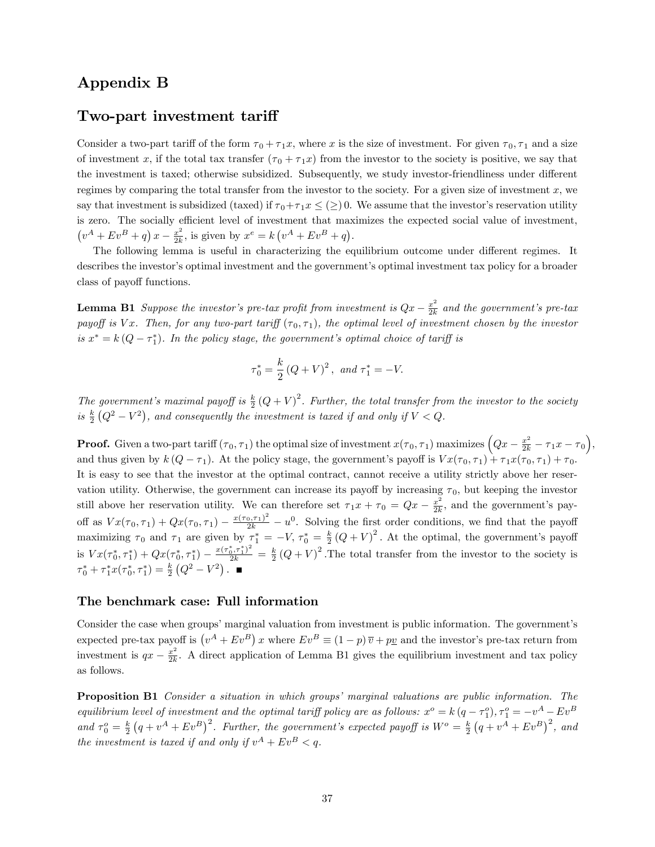# Appendix B

# Two-part investment tariff

Consider a two-part tariff of the form  $\tau_0 + \tau_1 x$ , where x is the size of investment. For given  $\tau_0, \tau_1$  and a size of investment x, if the total tax transfer  $(\tau_0 + \tau_1 x)$  from the investor to the society is positive, we say that the investment is taxed; otherwise subsidized. Subsequently, we study investor-friendliness under different regimes by comparing the total transfer from the investor to the society. For a given size of investment  $x$ , we say that investment is subsidized (taxed) if  $\tau_0 + \tau_1 x \leq (\geq) 0$ . We assume that the investor's reservation utility is zero. The socially efficient level of investment that maximizes the expected social value of investment,  $(v^{A} + Ev^{B} + q) x - \frac{x^{2}}{2k}$  $\frac{x^2}{2k}$ , is given by  $x^e = k(v^A + Ev^B + q)$ .

The following lemma is useful in characterizing the equilibrium outcome under different regimes. It describes the investor's optimal investment and the government's optimal investment tax policy for a broader class of payoff functions.

**Lemma B1** Suppose the investor's pre-tax profit from investment is  $Qx - \frac{x^2}{2k}$  $\frac{x^2}{2k}$  and the government's pre-tax payoff is Vx. Then, for any two-part tariff  $(\tau_0, \tau_1)$ , the optimal level of investment chosen by the investor is  $x^* = k(Q - \tau_1^*)$ . In the policy stage, the government's optimal choice of tariff is

$$
\tau_0^* = \frac{k}{2} (Q + V)^2
$$
, and  $\tau_1^* = -V$ .

The government's maximal payoff is  $\frac{k}{2}(Q+V)^2$ . Further, the total transfer from the investor to the society is  $\frac{k}{2}(Q^2 - V^2)$ , and consequently the investment is taxed if and only if  $V < Q$ .

**Proof.** Given a two-part tariff  $(\tau_0, \tau_1)$  the optimal size of investment  $x(\tau_0, \tau_1)$  maximizes  $\left(Qx - \frac{x^2}{2k} - \tau_1 x - \tau_0\right)$ , and thus given by  $k(Q - \tau_1)$ . At the policy stage, the government's payoff is  $Vx(\tau_0, \tau_1) + \tau_1 x(\tau_0, \tau_1) + \tau_0$ . It is easy to see that the investor at the optimal contract, cannot receive a utility strictly above her reservation utility. Otherwise, the government can increase its payoff by increasing  $\tau_0$ , but keeping the investor still above her reservation utility. We can therefore set  $\tau_1 x + \tau_0 = Qx - \frac{x^2}{2k}$  $\frac{x^2}{2k}$ , and the government's payoff as  $Vx(\tau_0, \tau_1) + Qx(\tau_0, \tau_1) - \frac{x(\tau_0, \tau_1)^2}{2k} - u^0$ . Solving the first order conditions, we find that the payoff maximizing  $\tau_0$  and  $\tau_1$  are given by  $\tau_1^* = -V$ ,  $\tau_0^* = \frac{k}{2}(Q+V)^2$ . At the optimal, the government's payoff is  $Vx(\tau_0^*, \tau_1^*) + Qx(\tau_0^*, \tau_1^*) - \frac{x(\tau_0^*, \tau_1^*)^2}{2k} = \frac{k}{2}(Q+V)^2$ . The total transfer from the investor to the society is  $\tau_0^* + \tau_1^* x(\tau_0^*, \tau_1^*) = \frac{k}{2} (Q^2 - V^2).$ 

### The benchmark case: Full information

Consider the case when groups' marginal valuation from investment is public information. The government's expected pre-tax payoff is  $(v^A + Ev^B)x$  where  $Ev^B \equiv (1-p)\overline{v} + p\underline{v}$  and the investor's pre-tax return from investment is  $qx - \frac{x^2}{2k}$  $\frac{x^2}{2k}$ . A direct application of Lemma B1 gives the equilibrium investment and tax policy as follows.

**Proposition B1** Consider a situation in which groups' marginal valuations are public information. The equilibrium level of investment and the optimal tariff policy are as follows:  $x^{\circ} = k (q - \tau_1^{\circ})$ ,  $\tau_1^{\circ} = -v^A - Ev^B$ and  $\tau_0^o = \frac{k}{2} (q + v^A + Ev^B)^2$ . Further, the government's expected payoff is  $W^o = \frac{k}{2} (q + v^A + Ev^B)^2$ , and the investment is taxed if and only if  $v^A + Ev^B < q$ .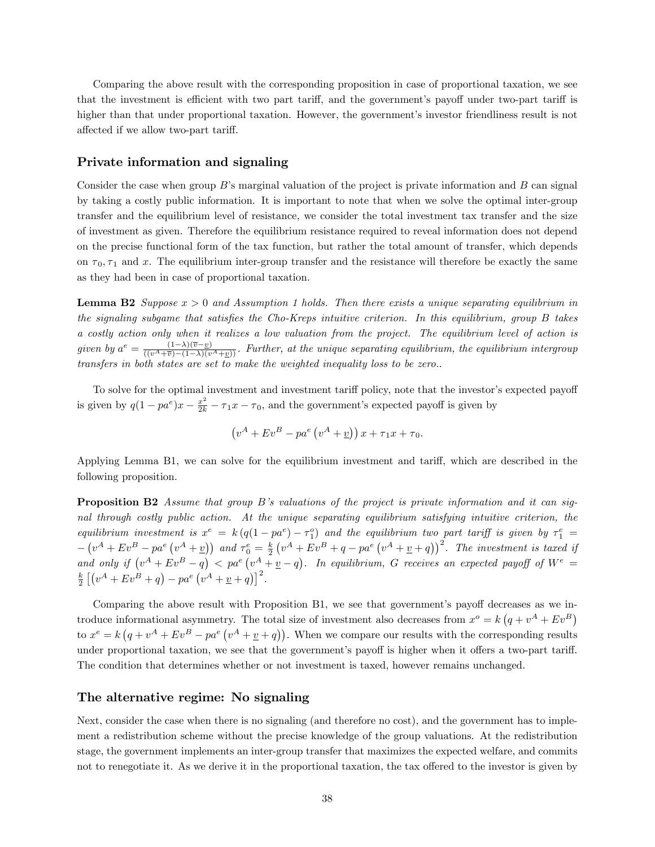Comparing the above result with the corresponding proposition in case of proportional taxation, we see that the investment is efficient with two part tariff, and the government's payoff under two-part tariff is higher than that under proportional taxation. However, the government's investor friendliness result is not affected if we allow two-part tariff.

#### Private information and signaling

Consider the case when group  $B$ 's marginal valuation of the project is private information and  $B$  can signal by taking a costly public information. It is important to note that when we solve the optimal inter-group transfer and the equilibrium level of resistance, we consider the total investment tax transfer and the size of investment as given. Therefore the equilibrium resistance required to reveal information does not depend on the precise functional form of the tax function, but rather the total amount of transfer, which depends on  $\tau_0$ ,  $\tau_1$  and x. The equilibrium inter-group transfer and the resistance will therefore be exactly the same as they had been in case of proportional taxation.

**Lemma B2** Suppose  $x > 0$  and Assumption 1 holds. Then there exists a unique separating equilibrium in the signaling subgame that satisfies the Cho-Kreps intuitive criterion. In this equilibrium, group  $B$  takes a costly action only when it realizes a low valuation from the project. The equilibrium level of action is given by  $a^e = \frac{(1-\lambda)(\overline{v}-v)}{((v^A+\overline{v})-(1-\lambda)(v^A+v))}$ . Further, at the unique separating equilibrium, the equilibrium intergroup transfers in both states are set to make the weighted inequality loss to be zero.:

To solve for the optimal investment and investment tariff policy, note that the investor's expected payoff is given by  $q(1 - pa^e)x - \frac{x^2}{2k} - \tau_1 x - \tau_0$ , and the government's expected payoff is given by

$$
\left(v^A + Ev^B - pa^e\left(v^A + \underline{v}\right)\right)x + \tau_1 x + \tau_0.
$$

Applying Lemma B1, we can solve for the equilibrium investment and tariff, which are described in the following proposition.

**Proposition B2** Assume that group  $B$ 's valuations of the project is private information and it can signal through costly public action. At the unique separating equilibrium satisfying intuitive criterion, the equilibrium investment is  $x^e = k(q(1 - pa^e) - \tau_1^o)$  and the equilibrium two part tariff is given by  $\tau_1^e$  $-\left(v^A + Ev^B - pa^e\left(v^A + \underline{v}\right)\right)$  and  $\tau_0^e = \frac{k}{2}\left(v^A + Ev^B + q - pa^e\left(v^A + \underline{v} + q\right)\right)^2$ . The investment is taxed if and only if  $(v^A + Ev^B - q) < pa^e(v^A + v - q)$ . In equilibrium, G receives an expected payoff of  $W^e$  $\frac{k}{2} [(v^A + Ev^B + q) - pa^e (v^A + v + q)]^2$ .

Comparing the above result with Proposition B1, we see that government's payoff decreases as we introduce informational asymmetry. The total size of investment also decreases from  $x^o = k(q + v^A + Ev^B)$ to  $x^e = k (q + v^A + Ev^B - pa^e (v^A + v + q))$ . When we compare our results with the corresponding results under proportional taxation, we see that the government's payoff is higher when it offers a two-part tariff. The condition that determines whether or not investment is taxed, however remains unchanged.

### The alternative regime: No signaling

Next, consider the case when there is no signaling (and therefore no cost), and the government has to implement a redistribution scheme without the precise knowledge of the group valuations. At the redistribution stage, the government implements an inter-group transfer that maximizes the expected welfare, and commits not to renegotiate it. As we derive it in the proportional taxation, the tax offered to the investor is given by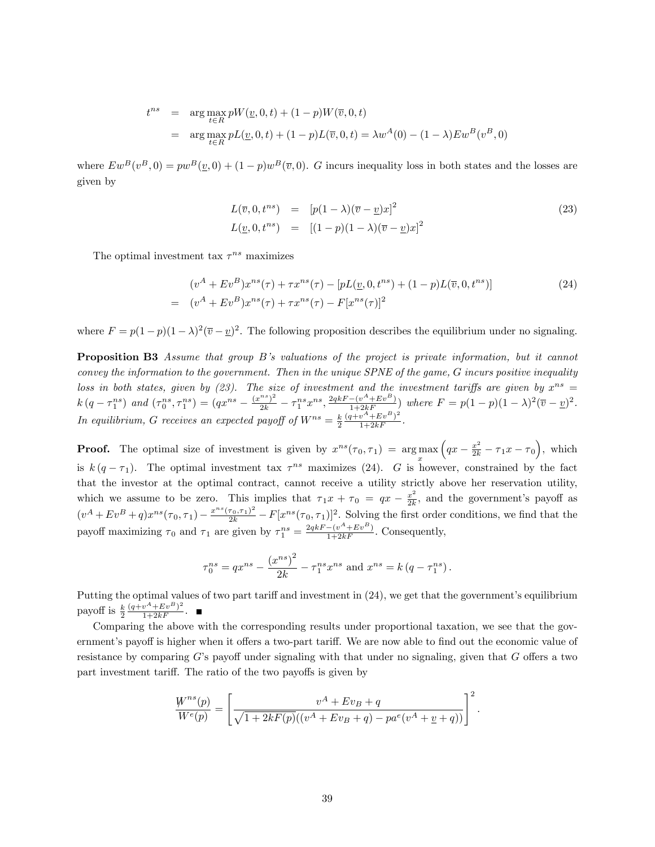$$
t^{ns} = \arg \max_{t \in R} pW(\underline{v}, 0, t) + (1 - p)W(\overline{v}, 0, t)
$$
  
= 
$$
\arg \max_{t \in R} pL(\underline{v}, 0, t) + (1 - p)L(\overline{v}, 0, t) = \lambda w^{A}(0) - (1 - \lambda)Ew^{B}(v^{B}, 0)
$$

where  $Ew^B(v^B, 0) = pw^B(\underline{v}, 0) + (1 - p)w^B(\overline{v}, 0)$ . G incurs inequality loss in both states and the losses are given by

$$
L(\overline{v}, 0, t^{ns}) = [p(1 - \lambda)(\overline{v} - \underline{v})x]^2
$$
  
\n
$$
L(\underline{v}, 0, t^{ns}) = [(1 - p)(1 - \lambda)(\overline{v} - \underline{v})x]^2
$$
\n(23)

The optimal investment tax  $\tau^{ns}$  maximizes

$$
(vA + EvB)xns(\tau) + \tau xns(\tau) - [pL(\underline{v}, 0, tns) + (1 - p)L(\overline{v}, 0, tns)]
$$
\n
$$
= (vA + EvB)xns(\tau) + \tau xns(\tau) - F[xns(\tau)]2
$$
\n(24)

where  $F = p(1-p)(1-\lambda)^2(\overline{v}-\underline{v})^2$ . The following proposition describes the equilibrium under no signaling.

Proposition B3 Assume that group B's valuations of the project is private information, but it cannot convey the information to the government. Then in the unique SPNE of the game, G incurs positive inequality loss in both states, given by (23). The size of investment and the investment tariffs are given by  $x^{ns} =$  $k(q - \tau_1^{ns})$  and  $(\tau_0^{ns}, \tau_1^{ns}) = (qx^{ns} - \frac{(x^{ns})^2}{2k} - \tau_1^{ns}x^{ns}, \frac{2qkF - (v^A + Ev^B)}{1 + 2kF})$  where  $F = p(1 - p)(1 - \lambda)^2(\overline{v} - \underline{v})^2$ . In equilibrium, G receives an expected payoff of  $W^{ns} = \frac{k}{2}$  $\frac{(q+v^A+Ev^B)^2}{1+2kF}$ .

**Proof.** The optimal size of investment is given by  $x^{ns}(\tau_0, \tau_1) = \arg \max_{x} \left( qx - \frac{x^2}{2k} - \tau_1 x - \tau_0 \right)$ , which is  $k(q-\tau_1)$ . The optimal investment tax  $\tau^{ns}$  maximizes (24). G is however, constrained by the fact that the investor at the optimal contract, cannot receive a utility strictly above her reservation utility, which we assume to be zero. This implies that  $\tau_1 x + \tau_0 = qx - \frac{x^2}{2k}$  $\frac{x^2}{2k}$ , and the government's payoff as  $(v^A + Ev^B + q)x^{ns}(\tau_0, \tau_1) - \frac{x^{ns}(\tau_0, \tau_1)^2}{2k} - F[x^{ns}(\tau_0, \tau_1)]^2$ . Solving the first order conditions, we find that the payoff maximizing  $\tau_0$  and  $\tau_1$  are given by  $\tau_1^{ns} = \frac{2qkF - (v^A + Ev^B)}{1 + 2kF}$ . Consequently,

$$
\tau_0^{ns} = qx^{ns} - \frac{(x^{ns})^2}{2k} - \tau_1^{ns} x^{ns} \text{ and } x^{ns} = k (q - \tau_1^{ns}).
$$

Putting the optimal values of two part tariff and investment in  $(24)$ , we get that the government's equilibrium payoff is  $\frac{k}{2}$  $\frac{(q+v^A + Ev^B)^2}{1+2kF}$ .

Comparing the above with the corresponding results under proportional taxation, we see that the government's payoff is higher when it offers a two-part tariff. We are now able to find out the economic value of resistance by comparing  $G$ 's payoff under signaling with that under no signaling, given that  $G$  offers a two part investment tariff. The ratio of the two payoffs is given by

$$
\frac{W^{ns}(p)}{W^{e}(p)} = \left[\frac{v^{A} + Ev_{B} + q}{\sqrt{1 + 2kF(p)}((v^{A} + Ev_{B} + q) - pa^{e}(v^{A} + \underline{v} + q))}\right]^{2}.
$$